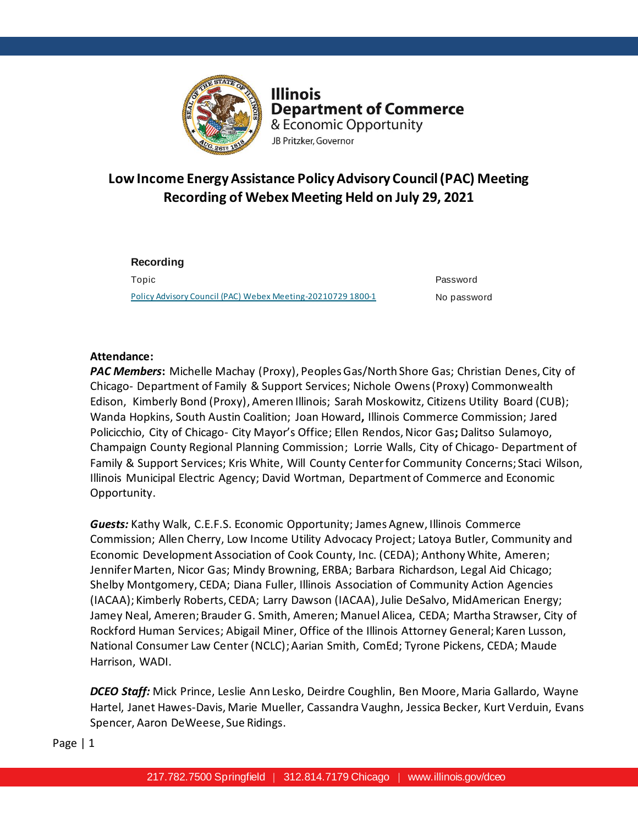

**Illinois Department of Commerce** & Economic Opportunity JB Pritzker, Governor

# **Low Income Energy Assistance Policy Advisory Council (PAC) Meeting Recording of Webex Meeting Held on July 29, 2021**

**Recording**  Topic Password [Policy Advisory Council \(PAC\) Webex Meeting-20210729 1800-1](https://illinois2.webex.com/illinois2/ldr.php?RCID=a957c31adb1a5d5fe3bfff558b23ba05) No password

# **Attendance:**

*PAC Members***:** Michelle Machay (Proxy), Peoples Gas/North Shore Gas; Christian Denes, City of Chicago- Department of Family & Support Services; Nichole Owens (Proxy) Commonwealth Edison, Kimberly Bond (Proxy), Ameren Illinois; Sarah Moskowitz, Citizens Utility Board (CUB); Wanda Hopkins, South Austin Coalition; Joan Howard**,** Illinois Commerce Commission; Jared Policicchio, City of Chicago- City Mayor's Office; Ellen Rendos, Nicor Gas**;** Dalitso Sulamoyo, Champaign County Regional Planning Commission; Lorrie Walls, City of Chicago- Department of Family & Support Services; Kris White, Will County Center for Community Concerns; Staci Wilson, Illinois Municipal Electric Agency; David Wortman, Department of Commerce and Economic Opportunity.

*Guests:* Kathy Walk, C.E.F.S. Economic Opportunity; James Agnew, Illinois Commerce Commission; Allen Cherry, Low Income Utility Advocacy Project; Latoya Butler, Community and Economic Development Association of Cook County, Inc. (CEDA); Anthony White, Ameren; Jennifer Marten, Nicor Gas; Mindy Browning, ERBA; Barbara Richardson, Legal Aid Chicago; Shelby Montgomery, CEDA; Diana Fuller, Illinois Association of Community Action Agencies (IACAA); Kimberly Roberts, CEDA; Larry Dawson (IACAA), Julie DeSalvo, MidAmerican Energy; Jamey Neal, Ameren; Brauder G. Smith, Ameren; Manuel Alicea, CEDA; Martha Strawser, City of Rockford Human Services; Abigail Miner, Office of the Illinois Attorney General; Karen Lusson, National Consumer Law Center (NCLC);Aarian Smith, ComEd; Tyrone Pickens, CEDA; Maude Harrison, WADI.

*DCEO Staff:* Mick Prince, Leslie Ann Lesko, Deirdre Coughlin, Ben Moore, Maria Gallardo, Wayne Hartel, Janet Hawes-Davis, Marie Mueller, Cassandra Vaughn, Jessica Becker, Kurt Verduin, Evans Spencer, Aaron DeWeese, Sue Ridings.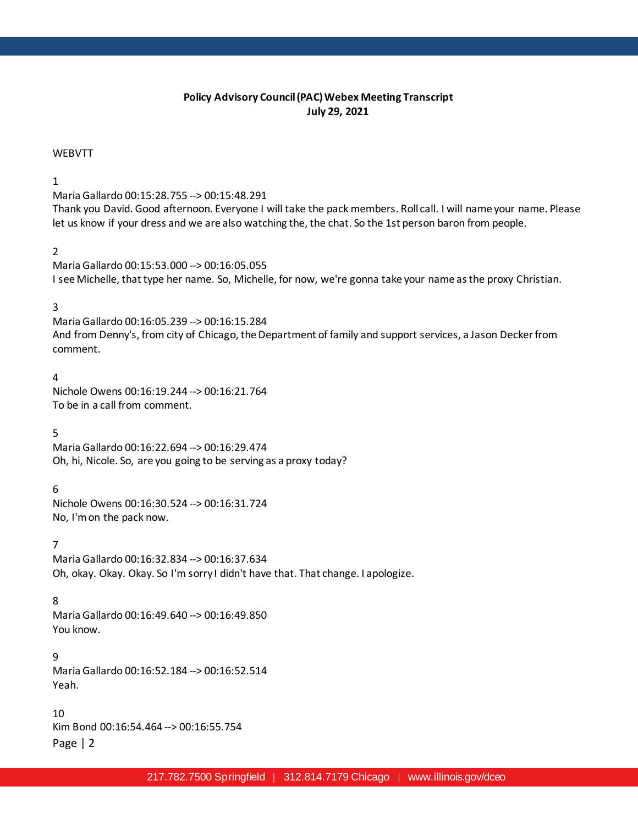# **Policy Advisory Council (PAC) Webex Meeting Transcript July 29, 2021**

#### WEBVTT

#### 1

Maria Gallardo 00:15:28.755 --> 00:15:48.291

Thank you David. Good afternoon. Everyone I will take the pack members. Roll call. I will name your name. Please let us know if your dress and we are also watching the, the chat. So the 1st person baron from people.

### 2

Maria Gallardo 00:15:53.000 --> 00:16:05.055 I see Michelle, that type her name. So, Michelle, for now, we're gonna take your name as the proxy Christian.

#### 3

Maria Gallardo 00:16:05.239 --> 00:16:15.284 And from Denny's, from city of Chicago, the Department of family and support services, a Jason Decker from comment.

# 4

Nichole Owens 00:16:19.244 --> 00:16:21.764 To be in a call from comment.

#### 5

Maria Gallardo 00:16:22.694 --> 00:16:29.474 Oh, hi, Nicole. So, are you going to be serving as a proxy today?

#### 6

Nichole Owens 00:16:30.524 --> 00:16:31.724 No, I'm on the pack now.

# 7

Maria Gallardo 00:16:32.834 --> 00:16:37.634 Oh, okay. Okay. Okay. So I'm sorry I didn't have that. That change. I apologize.

#### 8

Maria Gallardo 00:16:49.640 --> 00:16:49.850 You know.

#### 9

Maria Gallardo 00:16:52.184 --> 00:16:52.514 Yeah.

#### $1<sub>0</sub>$

Page | 2 Kim Bond 00:16:54.464 --> 00:16:55.754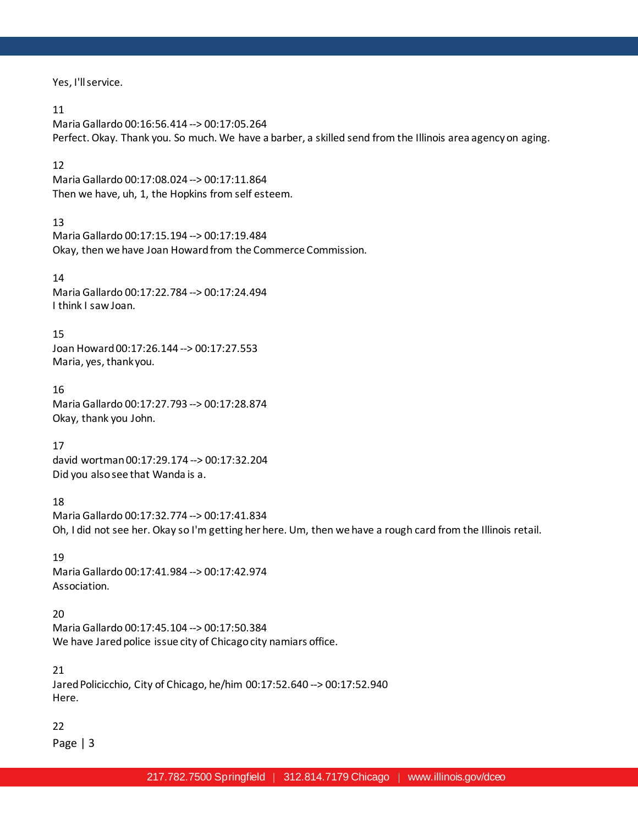Yes, I'll service.

### 11

Maria Gallardo 00:16:56.414 --> 00:17:05.264 Perfect. Okay. Thank you. So much. We have a barber, a skilled send from the Illinois area agency on aging.

# 12

Maria Gallardo 00:17:08.024 --> 00:17:11.864 Then we have, uh, 1, the Hopkins from self esteem.

# 13

Maria Gallardo 00:17:15.194 --> 00:17:19.484 Okay, then we have Joan Howard from the Commerce Commission.

# 14

Maria Gallardo 00:17:22.784 --> 00:17:24.494 I think I saw Joan.

# 15

Joan Howard 00:17:26.144 --> 00:17:27.553 Maria, yes, thank you.

16 Maria Gallardo 00:17:27.793 --> 00:17:28.874 Okay, thank you John.

# 17

david wortman 00:17:29.174 --> 00:17:32.204 Did you also see that Wanda is a.

# 18

Maria Gallardo 00:17:32.774 --> 00:17:41.834 Oh, I did not see her. Okay so I'm getting her here. Um, then we have a rough card from the Illinois retail.

# 19

Maria Gallardo 00:17:41.984 --> 00:17:42.974 Association.

# 20

Maria Gallardo 00:17:45.104 --> 00:17:50.384 We have Jared police issue city of Chicago city namiars office.

# 21

Jared Policicchio, City of Chicago, he/him 00:17:52.640 --> 00:17:52.940 Here.

# 22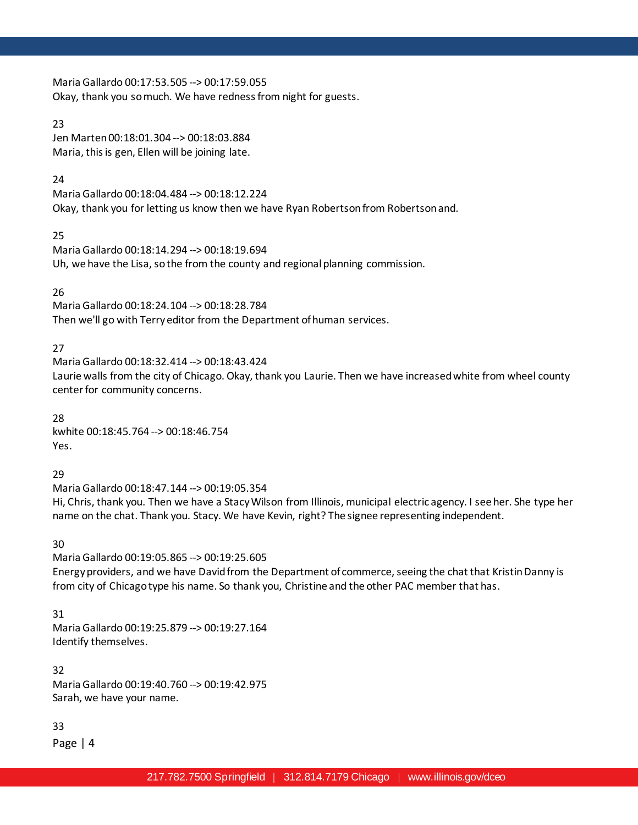Maria Gallardo 00:17:53.505 --> 00:17:59.055 Okay, thank you so much. We have redness from night for guests.

# 23

Jen Marten 00:18:01.304 --> 00:18:03.884 Maria, this is gen, Ellen will be joining late.

# 24

Maria Gallardo 00:18:04.484 --> 00:18:12.224 Okay, thank you for letting us know then we have Ryan Robertson from Robertson and.

# 25

Maria Gallardo 00:18:14.294 --> 00:18:19.694 Uh, we have the Lisa, so the from the county and regional planning commission.

# 26

Maria Gallardo 00:18:24.104 --> 00:18:28.784 Then we'll go with Terry editor from the Department of human services.

# 27

Maria Gallardo 00:18:32.414 --> 00:18:43.424 Laurie walls from the city of Chicago. Okay, thank you Laurie. Then we have increased white from wheel county center for community concerns.

28 kwhite 00:18:45.764 --> 00:18:46.754 Yes.

# 29

Maria Gallardo 00:18:47.144 --> 00:19:05.354 Hi, Chris, thank you. Then we have a Stacy Wilson from Illinois, municipal electric agency. I see her. She type her name on the chat. Thank you. Stacy. We have Kevin, right? The signee representing independent.

# 30

Maria Gallardo 00:19:05.865 --> 00:19:25.605 Energy providers, and we have David from the Department of commerce, seeing the chat that Kristin Danny is from city of Chicago type his name. So thank you, Christine and the other PAC member that has.

# 31

Maria Gallardo 00:19:25.879 --> 00:19:27.164 Identify themselves.

32 Maria Gallardo 00:19:40.760 --> 00:19:42.975 Sarah, we have your name.

# 33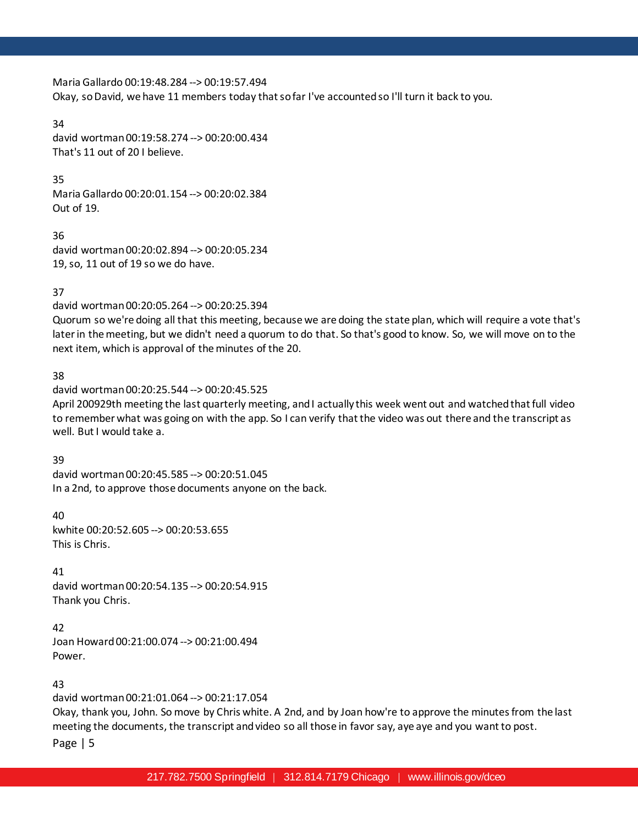Maria Gallardo 00:19:48.284 --> 00:19:57.494 Okay, so David, we have 11 members today that so far I've accounted so I'll turn it back to you.

34 david wortman 00:19:58.274 --> 00:20:00.434 That's 11 out of 20 I believe.

# 35

Maria Gallardo 00:20:01.154 --> 00:20:02.384 Out of 19.

36 david wortman 00:20:02.894 --> 00:20:05.234 19, so, 11 out of 19 so we do have.

# 37

david wortman 00:20:05.264 --> 00:20:25.394

Quorum so we're doing all that this meeting, because we are doing the state plan, which will require a vote that's later in the meeting, but we didn't need a quorum to do that. So that's good to know. So, we will move on to the next item, which is approval of the minutes of the 20.

# 38

david wortman 00:20:25.544 --> 00:20:45.525

April 200929th meeting the last quarterly meeting, and I actually this week went out and watched that full video to remember what was going on with the app. So I can verify that the video was out there and the transcript as well. But I would take a.

# 39

david wortman 00:20:45.585 --> 00:20:51.045 In a 2nd, to approve those documents anyone on the back.

40

kwhite 00:20:52.605 --> 00:20:53.655 This is Chris.

# 41

david wortman 00:20:54.135 --> 00:20:54.915 Thank you Chris.

# 42

Joan Howard 00:21:00.074 --> 00:21:00.494 Power.

# 43

david wortman 00:21:01.064 --> 00:21:17.054

Okay, thank you, John. So move by Chris white. A 2nd, and by Joan how're to approve the minutes from the last meeting the documents, the transcript and video so all those in favor say, aye aye and you want to post.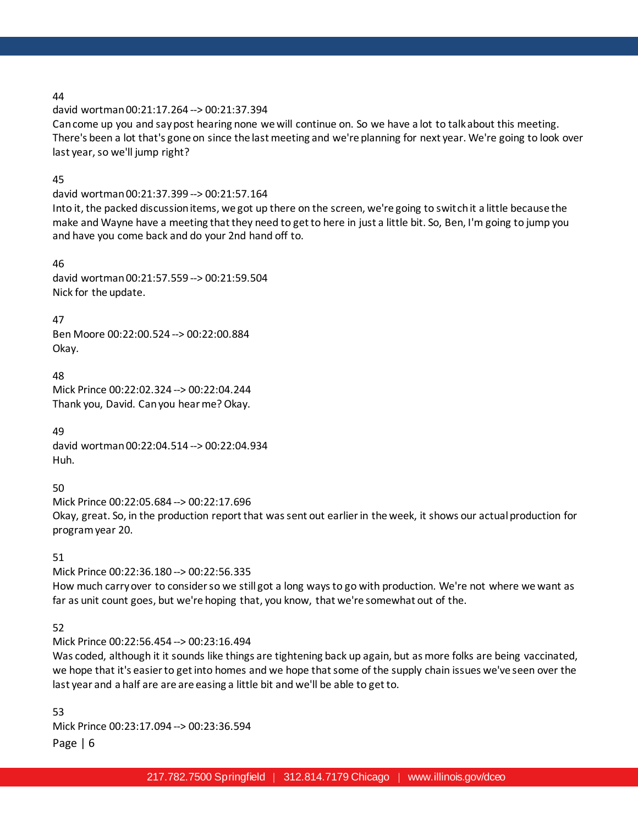david wortman 00:21:17.264 --> 00:21:37.394

Can come up you and say post hearing none we will continue on. So we have a lot to talk about this meeting. There's been a lot that's gone on since the last meeting and we're planning for next year. We're going to look over last year, so we'll jump right?

# 45

david wortman 00:21:37.399 --> 00:21:57.164

Into it, the packed discussion items, we got up there on the screen, we're going to switch it a little because the make and Wayne have a meeting that they need to get to here in just a little bit. So, Ben, I'm going to jump you and have you come back and do your 2nd hand off to.

# 46

david wortman 00:21:57.559 --> 00:21:59.504 Nick for the update.

47

Ben Moore 00:22:00.524 --> 00:22:00.884 Okay.

48

Mick Prince 00:22:02.324 --> 00:22:04.244 Thank you, David. Can you hear me? Okay.

49 david wortman 00:22:04.514 --> 00:22:04.934 Huh.

50

Mick Prince 00:22:05.684 --> 00:22:17.696 Okay, great. So, in the production report that was sent out earlier in the week, it shows our actual production for program year 20.

51

Mick Prince 00:22:36.180 --> 00:22:56.335

How much carry over to consider so we still got a long ways to go with production. We're not where we want as far as unit count goes, but we're hoping that, you know, that we're somewhat out of the.

# 52

Mick Prince 00:22:56.454 --> 00:23:16.494

Was coded, although it it sounds like things are tightening back up again, but as more folks are being vaccinated, we hope that it's easier to get into homes and we hope that some of the supply chain issues we've seen over the last year and a half are are are easing a little bit and we'll be able to get to.

Page | 6 53 Mick Prince 00:23:17.094 --> 00:23:36.594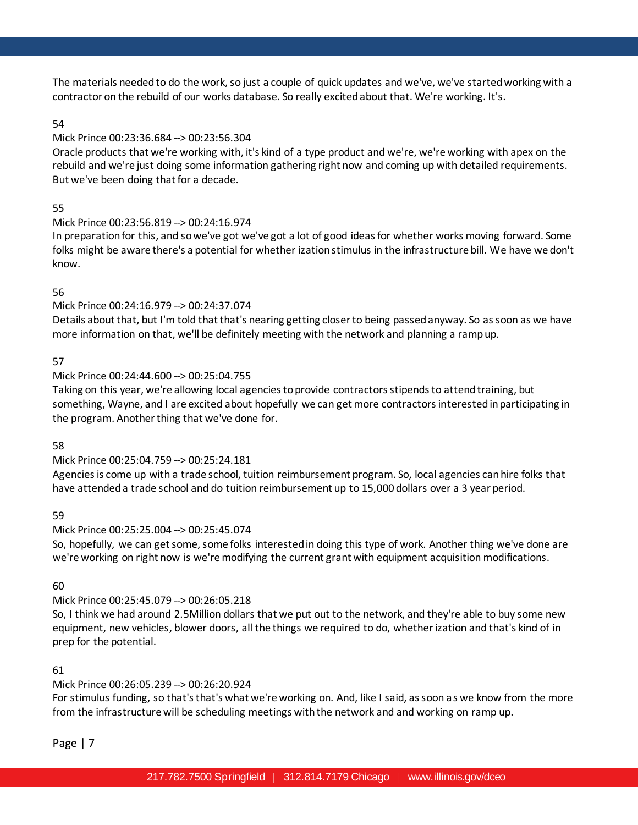The materials needed to do the work, so just a couple of quick updates and we've, we've started working with a contractor on the rebuild of our works database. So really excited about that. We're working. It's.

# 54

# Mick Prince 00:23:36.684 --> 00:23:56.304

Oracle products that we're working with, it's kind of a type product and we're, we're working with apex on the rebuild and we're just doing some information gathering right now and coming up with detailed requirements. But we've been doing that for a decade.

# 55

# Mick Prince 00:23:56.819 --> 00:24:16.974

In preparation for this, and so we've got we've got a lot of good ideas for whether works moving forward. Some folks might be aware there's a potential for whether ization stimulus in the infrastructure bill. We have we don't know.

# 56

# Mick Prince 00:24:16.979 --> 00:24:37.074

Details about that, but I'm told that that's nearing getting closer to being passed anyway. So as soon as we have more information on that, we'll be definitely meeting with the network and planning a ramp up.

# 57

# Mick Prince 00:24:44.600 --> 00:25:04.755

Taking on this year, we're allowing local agencies to provide contractors stipends to attend training, but something, Wayne, and I are excited about hopefully we can get more contractors interested in participating in the program. Another thing that we've done for.

# 58

# Mick Prince 00:25:04.759 --> 00:25:24.181

Agencies is come up with a trade school, tuition reimbursement program. So, local agencies can hire folks that have attended a trade school and do tuition reimbursement up to 15,000 dollars over a 3 year period.

# 59

# Mick Prince 00:25:25.004 --> 00:25:45.074

So, hopefully, we can get some, some folks interested in doing this type of work. Another thing we've done are we're working on right now is we're modifying the current grant with equipment acquisition modifications.

# 60

# Mick Prince 00:25:45.079 --> 00:26:05.218

So, I think we had around 2.5Million dollars that we put out to the network, and they're able to buy some new equipment, new vehicles, blower doors, all the things we required to do, whether ization and that's kind of in prep for the potential.

# 61

# Mick Prince 00:26:05.239 --> 00:26:20.924

For stimulus funding, so that's that's what we're working on. And, like I said, as soon as we know from the more from the infrastructure will be scheduling meetings with the network and and working on ramp up.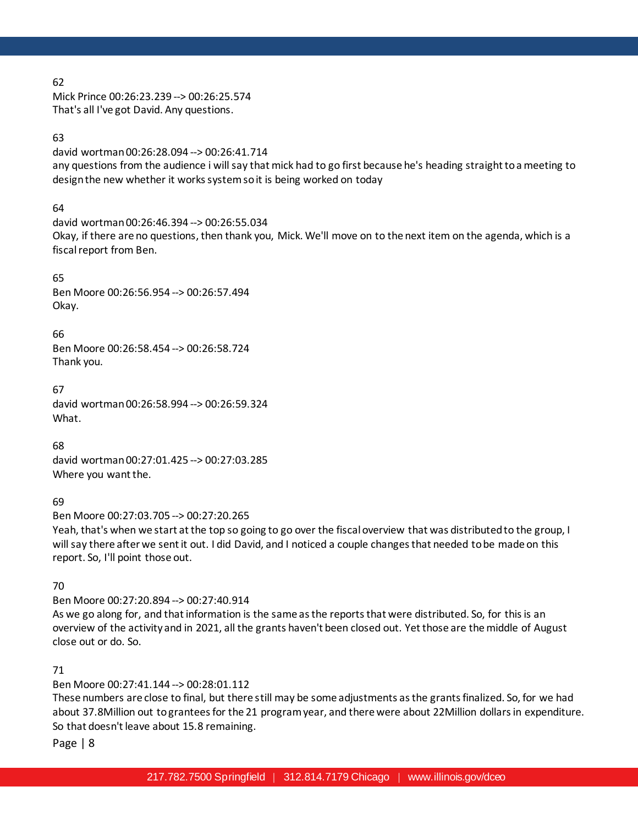Mick Prince 00:26:23.239 --> 00:26:25.574 That's all I've got David. Any questions.

# 63

david wortman 00:26:28.094 --> 00:26:41.714 any questions from the audience i will say that mick had to go first because he's heading straight to a meeting to design the new whether it works system so it is being worked on today

# 64

david wortman 00:26:46.394 --> 00:26:55.034 Okay, if there are no questions, then thank you, Mick. We'll move on to the next item on the agenda, which is a fiscal report from Ben.

# 65

Ben Moore 00:26:56.954 --> 00:26:57.494 Okay.

# 66

Ben Moore 00:26:58.454 --> 00:26:58.724 Thank you.

67 david wortman 00:26:58.994 --> 00:26:59.324 What.

# 68

david wortman 00:27:01.425 --> 00:27:03.285 Where you want the.

# 69

Ben Moore 00:27:03.705 --> 00:27:20.265

Yeah, that's when we start at the top so going to go over the fiscal overview that was distributed to the group, I will say there after we sent it out. I did David, and I noticed a couple changes that needed to be made on this report. So, I'll point those out.

# 70

Ben Moore 00:27:20.894 --> 00:27:40.914 As we go along for, and that information is the same as the reports that were distributed. So, for this is an overview of the activity and in 2021, all the grants haven't been closed out. Yet those are the middle of August close out or do. So.

# 71

Ben Moore 00:27:41.144 --> 00:28:01.112

These numbers are close to final, but there still may be some adjustments as the grants finalized. So, for we had about 37.8Million out to grantees for the 21 program year, and there were about 22Million dollars in expenditure. So that doesn't leave about 15.8 remaining.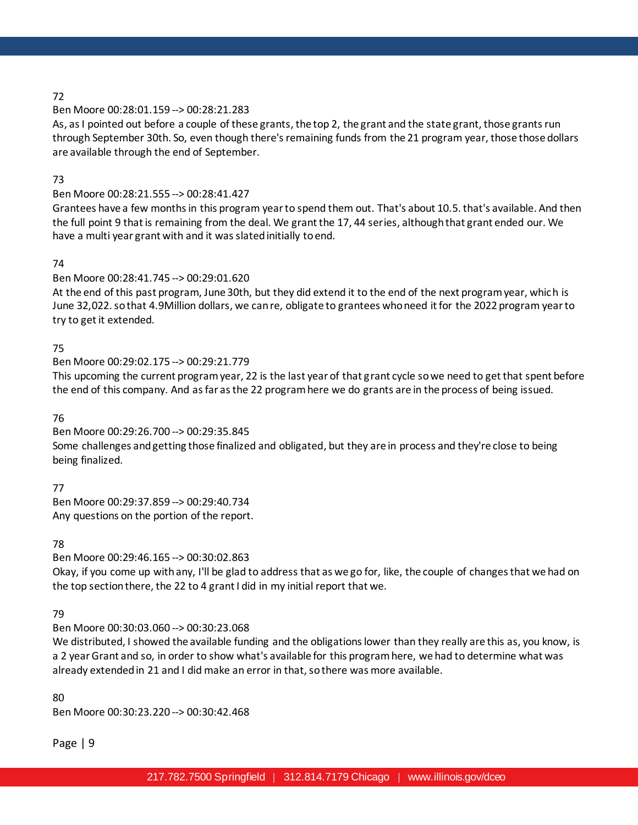# Ben Moore 00:28:01.159 --> 00:28:21.283

As, as I pointed out before a couple of these grants, the top 2, the grant and the state grant, those grants run through September 30th. So, even though there's remaining funds from the 21 program year, those those dollars are available through the end of September.

# 73

# Ben Moore 00:28:21.555 --> 00:28:41.427

Grantees have a few months in this program year to spend them out. That's about 10.5. that's available. And then the full point 9 that is remaining from the deal. We grant the 17, 44 series, although that grant ended our. We have a multi year grant with and it was slated initially to end.

# 74

# Ben Moore 00:28:41.745 --> 00:29:01.620

At the end of this past program, June 30th, but they did extend it to the end of the next program year, which is June 32,022. so that 4.9Million dollars, we can re, obligate to grantees who need it for the 2022 program year to try to get it extended.

# 75

# Ben Moore 00:29:02.175 --> 00:29:21.779

This upcoming the current program year, 22 is the last year of that grant cycle so we need to get that spent before the end of this company. And as far as the 22 program here we do grants are in the process of being issued.

# 76

Ben Moore 00:29:26.700 --> 00:29:35.845 Some challenges and getting those finalized and obligated, but they are in process and they're close to being being finalized.

77

Ben Moore 00:29:37.859 --> 00:29:40.734 Any questions on the portion of the report.

# 78

# Ben Moore 00:29:46.165 --> 00:30:02.863

Okay, if you come up with any, I'll be glad to address that as we go for, like, the couple of changes that we had on the top section there, the 22 to 4 grant I did in my initial report that we.

# 79

# Ben Moore 00:30:03.060 --> 00:30:23.068

We distributed, I showed the available funding and the obligations lower than they really are this as, you know, is a 2 year Grant and so, in order to show what's available for this program here, we had to determine what was already extended in 21 and I did make an error in that, so there was more available.

# 80

Ben Moore 00:30:23.220 --> 00:30:42.468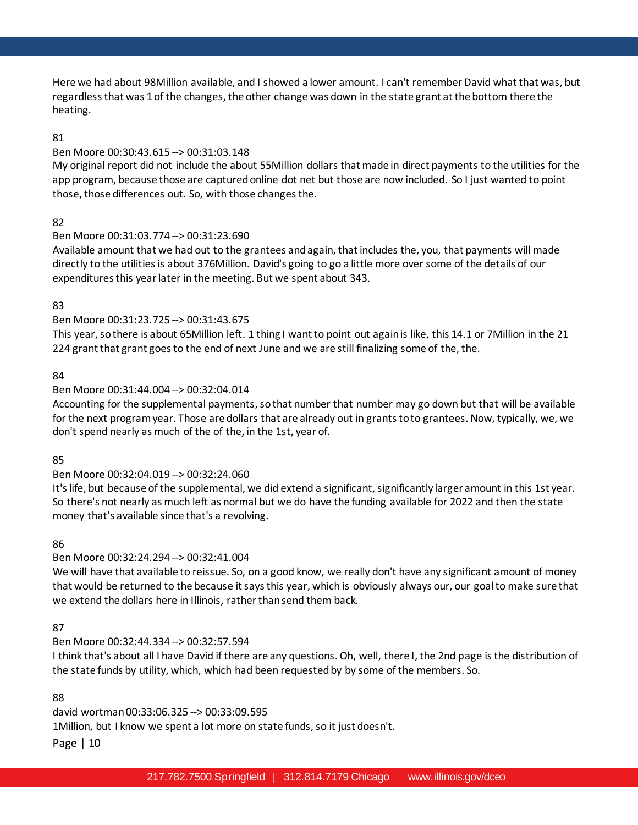Here we had about 98Million available, and I showed a lower amount. I can't remember David what that was, but regardless that was 1 of the changes, the other change was down in the state grant at the bottom there the heating.

# 81

### Ben Moore 00:30:43.615 --> 00:31:03.148

My original report did not include the about 55Million dollars that made in direct payments to the utilities for the app program, because those are captured online dot net but those are now included. So I just wanted to point those, those differences out. So, with those changes the.

# 82

### Ben Moore 00:31:03.774 --> 00:31:23.690

Available amount that we had out to the grantees and again, that includes the, you, that payments will made directly to the utilities is about 376Million. David's going to go a little more over some of the details of our expenditures this year later in the meeting. But we spent about 343.

# 83

# Ben Moore 00:31:23.725 --> 00:31:43.675

This year, so there is about 65Million left. 1 thing I want to point out again is like, this 14.1 or 7Million in the 21 224 grant that grant goes to the end of next June and we are still finalizing some of the, the.

### 84

### Ben Moore 00:31:44.004 --> 00:32:04.014

Accounting for the supplemental payments, so that number that number may go down but that will be available for the next program year. Those are dollars that are already out in grants to to grantees. Now, typically, we, we don't spend nearly as much of the of the, in the 1st, year of.

#### 85

# Ben Moore 00:32:04.019 --> 00:32:24.060

It's life, but because of the supplemental, we did extend a significant, significantly larger amount in this 1st year. So there's not nearly as much left as normal but we do have the funding available for 2022 and then the state money that's available since that's a revolving.

#### 86

# Ben Moore 00:32:24.294 --> 00:32:41.004

We will have that available to reissue. So, on a good know, we really don't have any significant amount of money that would be returned to the because it says this year, which is obviously always our, our goal to make sure that we extend the dollars here in Illinois, rather than send them back.

#### 87

# Ben Moore 00:32:44.334 --> 00:32:57.594

I think that's about all I have David if there are any questions. Oh, well, there I, the 2nd page is the distribution of the state funds by utility, which, which had been requested by by some of the members. So.

#### 88

david wortman 00:33:06.325 --> 00:33:09.595 1Million, but I know we spent a lot more on state funds, so it just doesn't.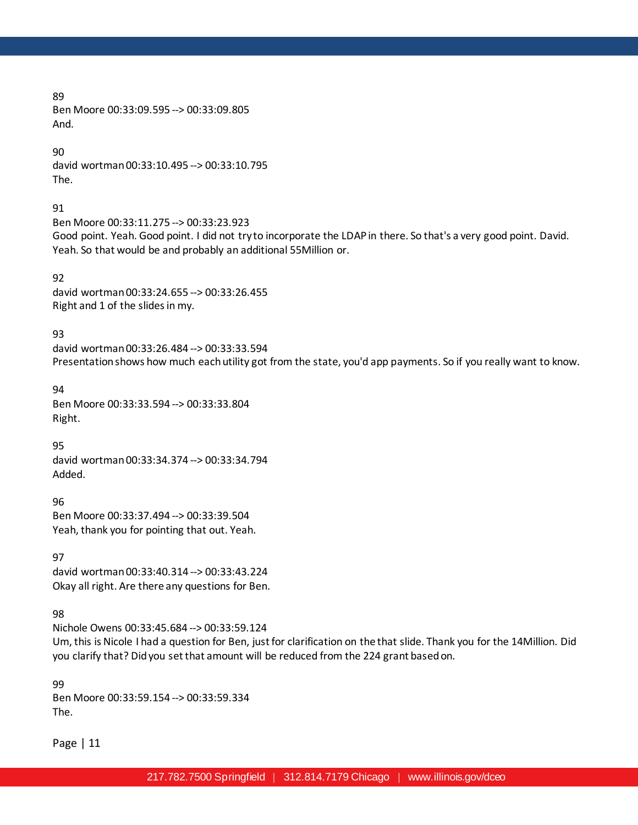Ben Moore 00:33:09.595 --> 00:33:09.805 And.

90

david wortman 00:33:10.495 --> 00:33:10.795 The.

91

Ben Moore 00:33:11.275 --> 00:33:23.923 Good point. Yeah. Good point. I did not try to incorporate the LDAP in there. So that's a very good point. David. Yeah. So that would be and probably an additional 55Million or.

92 david wortman 00:33:24.655 --> 00:33:26.455 Right and 1 of the slides in my.

93

david wortman 00:33:26.484 --> 00:33:33.594 Presentation shows how much each utility got from the state, you'd app payments. So if you really want to know.

94 Ben Moore 00:33:33.594 --> 00:33:33.804 Right.

95

david wortman 00:33:34.374 --> 00:33:34.794 Added.

96 Ben Moore 00:33:37.494 --> 00:33:39.504 Yeah, thank you for pointing that out. Yeah.

97 david wortman 00:33:40.314 --> 00:33:43.224 Okay all right. Are there any questions for Ben.

98

Nichole Owens 00:33:45.684 --> 00:33:59.124

Um, this is Nicole I had a question for Ben, just for clarification on the that slide. Thank you for the 14Million. Did you clarify that? Did you set that amount will be reduced from the 224 grant based on.

99 Ben Moore 00:33:59.154 --> 00:33:59.334 The.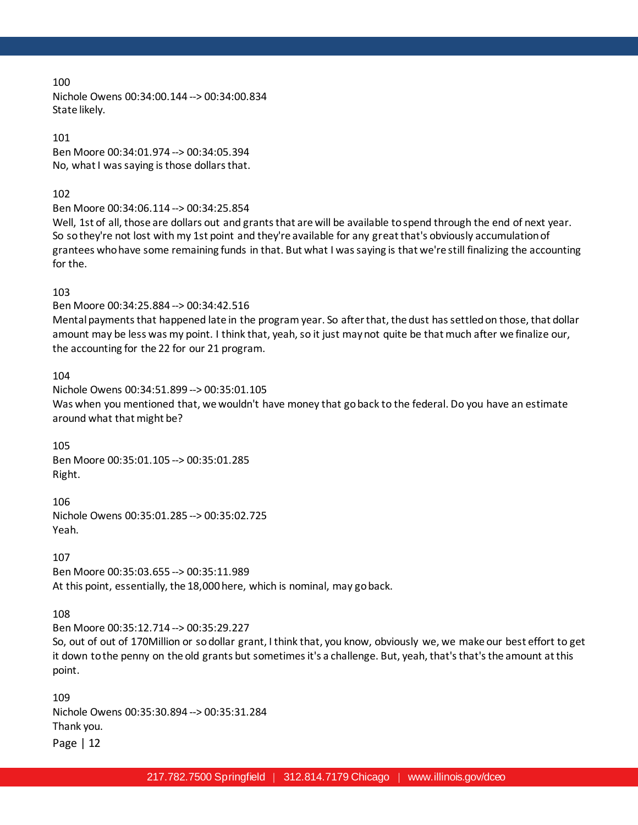Nichole Owens 00:34:00.144 --> 00:34:00.834 State likely.

101 Ben Moore 00:34:01.974 --> 00:34:05.394 No, what I was saying is those dollars that.

### 102

Ben Moore 00:34:06.114 --> 00:34:25.854

Well, 1st of all, those are dollars out and grants that are will be available to spend through the end of next year. So so they're not lost with my 1st point and they're available for any great that's obviously accumulation of grantees who have some remaining funds in that. But what I was saying is that we're still finalizing the accounting for the.

# 103

Ben Moore 00:34:25.884 --> 00:34:42.516

Mental payments that happened late in the program year. So after that, the dust has settled on those, that dollar amount may be less was my point. I think that, yeah, so it just may not quite be that much after we finalize our, the accounting for the 22 for our 21 program.

#### 104

Nichole Owens 00:34:51.899 --> 00:35:01.105 Was when you mentioned that, we wouldn't have money that go back to the federal. Do you have an estimate around what that might be?

#### 105

Ben Moore 00:35:01.105 --> 00:35:01.285 Right.

106 Nichole Owens 00:35:01.285 --> 00:35:02.725 Yeah.

#### 107

Ben Moore 00:35:03.655 --> 00:35:11.989 At this point, essentially, the 18,000 here, which is nominal, may go back.

#### 108

Ben Moore 00:35:12.714 --> 00:35:29.227

So, out of out of 170Million or so dollar grant, I think that, you know, obviously we, we make our best effort to get it down to the penny on the old grants but sometimes it's a challenge. But, yeah, that's that's the amount at this point.

109 Nichole Owens 00:35:30.894 --> 00:35:31.284 Thank you.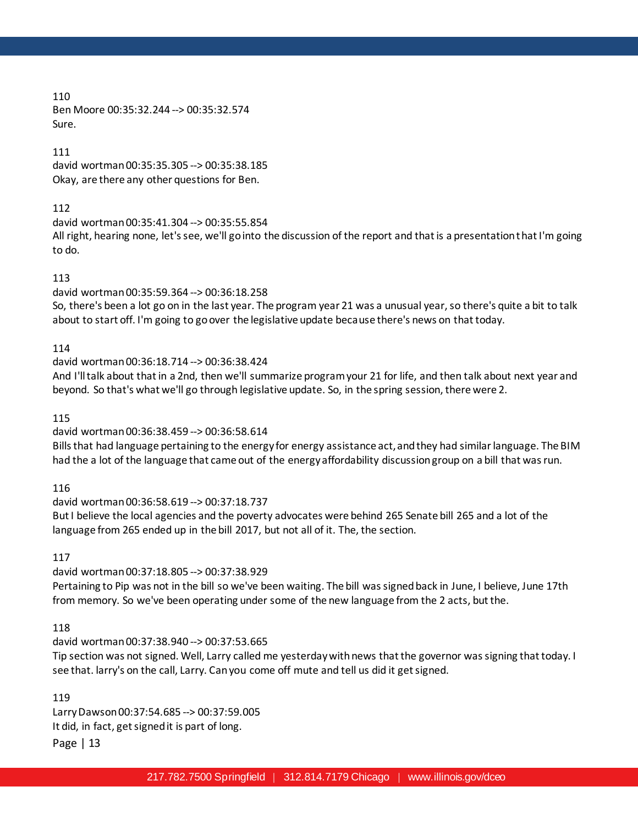110 Ben Moore 00:35:32.244 --> 00:35:32.574 Sure.

111 david wortman 00:35:35.305 --> 00:35:38.185 Okay, are there any other questions for Ben.

# 112

david wortman 00:35:41.304 --> 00:35:55.854 All right, hearing none, let's see, we'll go into the discussion of the report and that is a presentation that I'm going to do.

# 113

david wortman 00:35:59.364 --> 00:36:18.258

So, there's been a lot go on in the last year. The program year 21 was a unusual year, so there's quite a bit to talk about to start off. I'm going to go over the legislative update because there's news on that today.

# 114

david wortman 00:36:18.714 --> 00:36:38.424

And I'll talk about that in a 2nd, then we'll summarize program your 21 for life, and then talk about next year and beyond. So that's what we'll go through legislative update. So, in the spring session, there were 2.

115

# david wortman 00:36:38.459 --> 00:36:58.614

Bills that had language pertaining to the energy for energy assistance act, and they had similar language. The BIM had the a lot of the language that came out of the energy affordability discussion group on a bill that was run.

116

david wortman 00:36:58.619 --> 00:37:18.737

But I believe the local agencies and the poverty advocates were behind 265 Senate bill 265 and a lot of the language from 265 ended up in the bill 2017, but not all of it. The, the section.

117

david wortman 00:37:18.805 --> 00:37:38.929

Pertaining to Pip was not in the bill so we've been waiting. The bill was signed back in June, I believe, June 17th from memory. So we've been operating under some of the new language from the 2 acts, but the.

# 118

david wortman 00:37:38.940 --> 00:37:53.665

Tip section was not signed. Well, Larry called me yesterday with news that the governor was signing that today. I see that. larry's on the call, Larry. Can you come off mute and tell us did it get signed.

119

Larry Dawson 00:37:54.685 --> 00:37:59.005 It did, in fact, get signed it is part of long.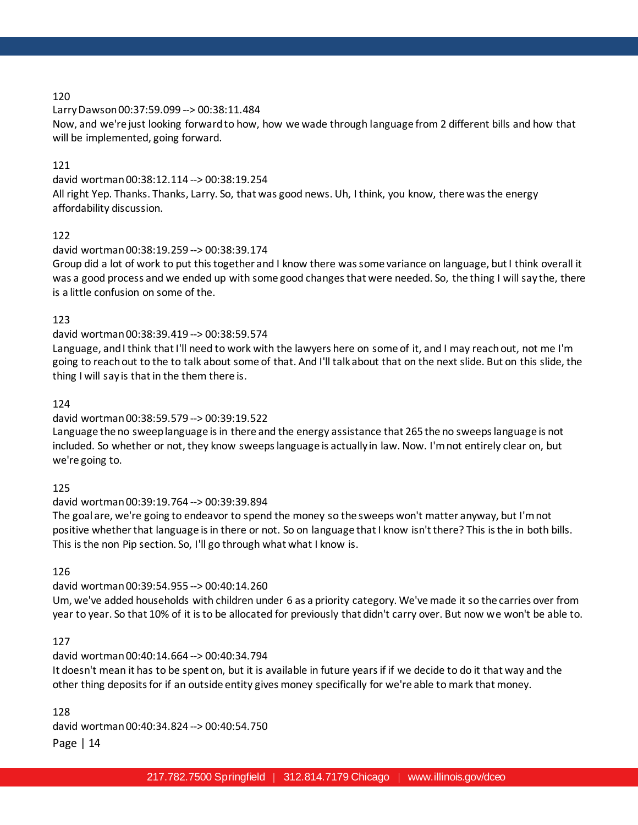Larry Dawson 00:37:59.099 --> 00:38:11.484

Now, and we're just looking forward to how, how we wade through language from 2 different bills and how that will be implemented, going forward.

# 121

david wortman 00:38:12.114 --> 00:38:19.254

All right Yep. Thanks. Thanks, Larry. So, that was good news. Uh, I think, you know, there was the energy affordability discussion.

# 122

### david wortman 00:38:19.259 --> 00:38:39.174

Group did a lot of work to put this together and I know there was some variance on language, but I think overall it was a good process and we ended up with some good changes that were needed. So, the thing I will say the, there is a little confusion on some of the.

### 123

### david wortman 00:38:39.419 --> 00:38:59.574

Language, and I think that I'll need to work with the lawyers here on some of it, and I may reach out, not me I'm going to reach out to the to talk about some of that. And I'll talk about that on the next slide. But on this slide, the thing I will say is that in the them there is.

### 124

### david wortman 00:38:59.579 --> 00:39:19.522

Language the no sweep language is in there and the energy assistance that 265 the no sweeps language is not included. So whether or not, they know sweeps language is actually in law. Now. I'm not entirely clear on, but we're going to.

#### 125

# david wortman 00:39:19.764 --> 00:39:39.894

The goal are, we're going to endeavor to spend the money so the sweeps won't matter anyway, but I'm not positive whether that language is in there or not. So on language that I know isn't there? This is the in both bills. This is the non Pip section. So, I'll go through what what I know is.

#### 126

# david wortman 00:39:54.955 --> 00:40:14.260

Um, we've added households with children under 6 as a priority category. We've made it so the carries over from year to year. So that 10% of it is to be allocated for previously that didn't carry over. But now we won't be able to.

### 127

# david wortman 00:40:14.664 --> 00:40:34.794

It doesn't mean it has to be spent on, but it is available in future years if if we decide to do it that way and the other thing deposits for if an outside entity gives money specifically for we're able to mark that money.

128

david wortman 00:40:34.824 --> 00:40:54.750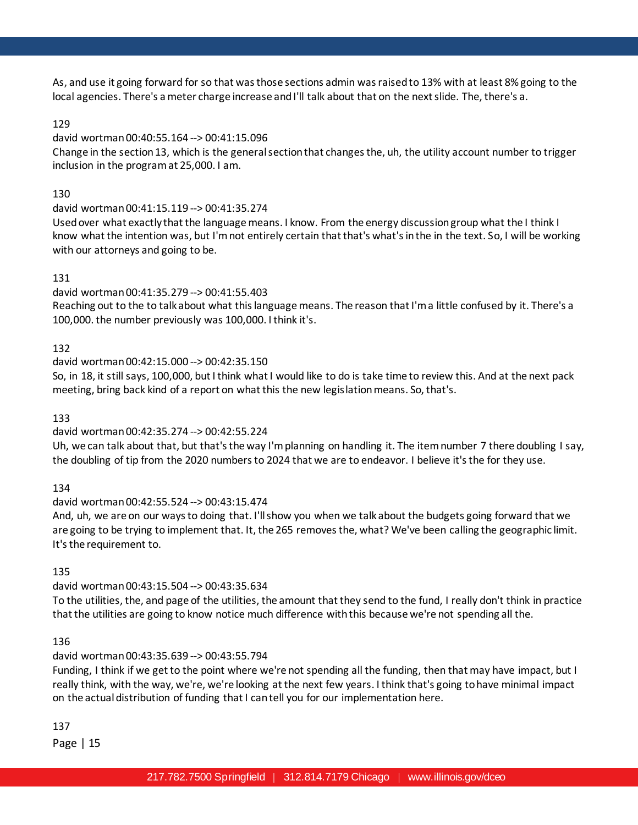As, and use it going forward for so that was those sections admin was raised to 13% with at least 8% going to the local agencies. There's a meter charge increase and I'll talk about that on the next slide. The, there's a.

# 129

# david wortman 00:40:55.164 --> 00:41:15.096

Change in the section 13, which is the general section that changes the, uh, the utility account number to trigger inclusion in the program at 25,000. I am.

# 130

david wortman 00:41:15.119 --> 00:41:35.274

Used over what exactly that the language means. I know. From the energy discussion group what the I think I know what the intention was, but I'm not entirely certain that that's what's in the in the text. So, I will be working with our attorneys and going to be.

# 131

david wortman 00:41:35.279 --> 00:41:55.403

Reaching out to the to talk about what this language means. The reason that I'm a little confused by it. There's a 100,000. the number previously was 100,000. I think it's.

# 132

# david wortman 00:42:15.000 --> 00:42:35.150

So, in 18, it still says, 100,000, but I think what I would like to do is take time to review this. And at the next pack meeting, bring back kind of a report on what this the new legislation means. So, that's.

133

# david wortman 00:42:35.274 --> 00:42:55.224

Uh, we can talk about that, but that's the way I'm planning on handling it. The item number 7 there doubling I say, the doubling of tip from the 2020 numbers to 2024 that we are to endeavor. I believe it's the for they use.

134

# david wortman 00:42:55.524 --> 00:43:15.474

And, uh, we are on our ways to doing that. I'll show you when we talk about the budgets going forward that we are going to be trying to implement that. It, the 265 removes the, what? We've been calling the geographic limit. It's the requirement to.

# 135

# david wortman 00:43:15.504 --> 00:43:35.634

To the utilities, the, and page of the utilities, the amount that they send to the fund, I really don't think in practice that the utilities are going to know notice much difference with this because we're not spending all the.

# 136

# david wortman 00:43:35.639 --> 00:43:55.794

Funding, I think if we get to the point where we're not spending all the funding, then that may have impact, but I really think, with the way, we're, we're looking at the next few years. I think that's going to have minimal impact on the actual distribution of funding that I can tell you for our implementation here.

137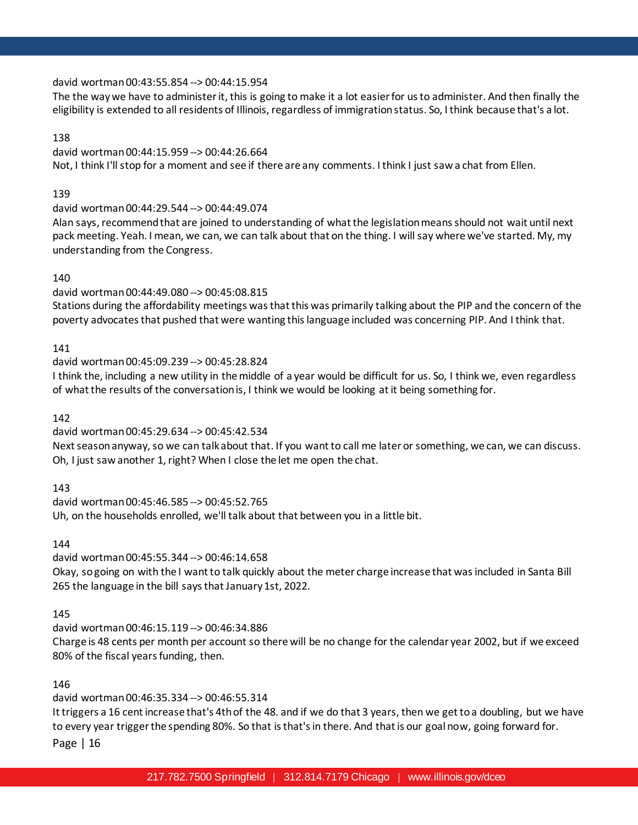### david wortman 00:43:55.854 --> 00:44:15.954

The the way we have to administer it, this is going to make it a lot easier for us to administer. And then finally the eligibility is extended to all residents of Illinois, regardless of immigration status. So, I think because that's a lot.

### 138

david wortman 00:44:15.959 --> 00:44:26.664 Not, I think I'll stop for a moment and see if there are any comments. I think I just saw a chat from Ellen.

#### 139

david wortman 00:44:29.544 --> 00:44:49.074

Alan says, recommend that are joined to understanding of what the legislation means should not wait until next pack meeting. Yeah. I mean, we can, we can talk about that on the thing. I will say where we've started. My, my understanding from the Congress.

### 140

david wortman 00:44:49.080 --> 00:45:08.815

Stations during the affordability meetings was that this was primarily talking about the PIP and the concern of the poverty advocates that pushed that were wanting this language included was concerning PIP. And I think that.

### 141

david wortman 00:45:09.239 --> 00:45:28.824

I think the, including a new utility in the middle of a year would be difficult for us. So, I think we, even regardless of what the results of the conversation is, I think we would be looking at it being something for.

142

david wortman 00:45:29.634 --> 00:45:42.534

Next season anyway, so we can talk about that. If you want to call me later or something, we can, we can discuss. Oh, I just saw another 1, right? When I close the let me open the chat.

143

david wortman 00:45:46.585 --> 00:45:52.765 Uh, on the households enrolled, we'll talk about that between you in a little bit.

144

david wortman 00:45:55.344 --> 00:46:14.658 Okay, so going on with the I want to talk quickly about the meter charge increase that was included in Santa Bill 265 the language in the bill says that January 1st, 2022.

145

david wortman 00:46:15.119 --> 00:46:34.886

Charge is 48 cents per month per account so there will be no change for the calendar year 2002, but if we exceed 80% of the fiscal years funding, then.

146

david wortman 00:46:35.334 --> 00:46:55.314

It triggers a 16 cent increase that's 4th of the 48. and if we do that 3 years, then we get to a doubling, but we have to every year trigger the spending 80%. So that is that's in there. And that is our goal now, going forward for.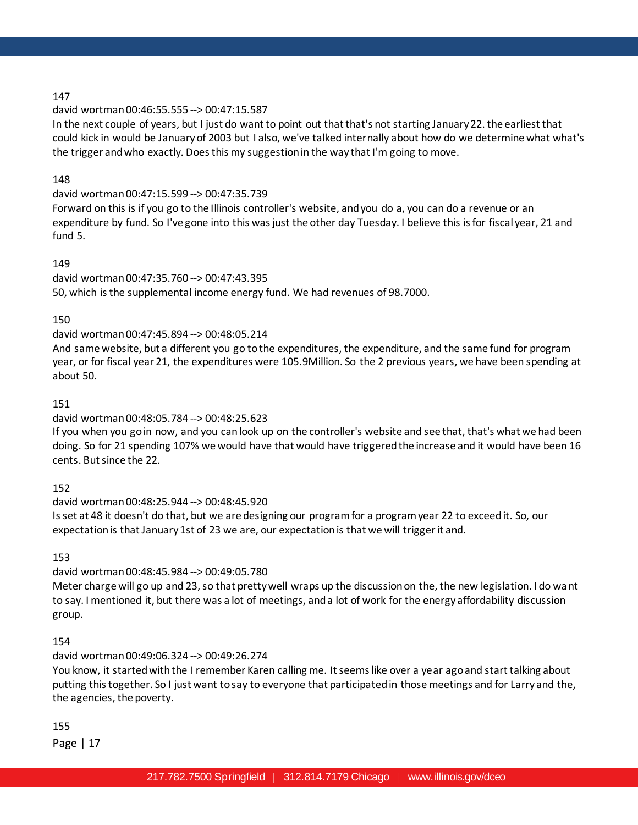# david wortman 00:46:55.555 --> 00:47:15.587

In the next couple of years, but I just do want to point out that that's not starting January 22. the earliest that could kick in would be January of 2003 but I also, we've talked internally about how do we determine what what's the trigger and who exactly. Does this my suggestion in the way that I'm going to move.

### 148

# david wortman 00:47:15.599 --> 00:47:35.739

Forward on this is if you go to the Illinois controller's website, and you do a, you can do a revenue or an expenditure by fund. So I've gone into this was just the other day Tuesday. I believe this is for fiscal year, 21 and fund 5.

### 149

# david wortman 00:47:35.760 --> 00:47:43.395

50, which is the supplemental income energy fund. We had revenues of 98.7000.

#### 150

# david wortman 00:47:45.894 --> 00:48:05.214

And same website, but a different you go to the expenditures, the expenditure, and the same fund for program year, or for fiscal year 21, the expenditures were 105.9Million. So the 2 previous years, we have been spending at about 50.

### 151

# david wortman 00:48:05.784 --> 00:48:25.623

If you when you go in now, and you can look up on the controller's website and see that, that's what we had been doing. So for 21 spending 107% we would have that would have triggered the increase and it would have been 16 cents. But since the 22.

# 152

# david wortman 00:48:25.944 --> 00:48:45.920

Is set at 48 it doesn't do that, but we are designing our program for a program year 22 to exceed it. So, our expectation is that January 1st of 23 we are, our expectation is that we will trigger it and.

153

# david wortman 00:48:45.984 --> 00:49:05.780

Meter charge will go up and 23, so that pretty well wraps up the discussion on the, the new legislation. I do want to say. I mentioned it, but there was a lot of meetings, and a lot of work for the energy affordability discussion group.

# 154

# david wortman 00:49:06.324 --> 00:49:26.274

You know, it started with the I remember Karen calling me. It seems like over a year ago and start talking about putting this together. So I just want to say to everyone that participated in those meetings and for Larry and the, the agencies, the poverty.

# 155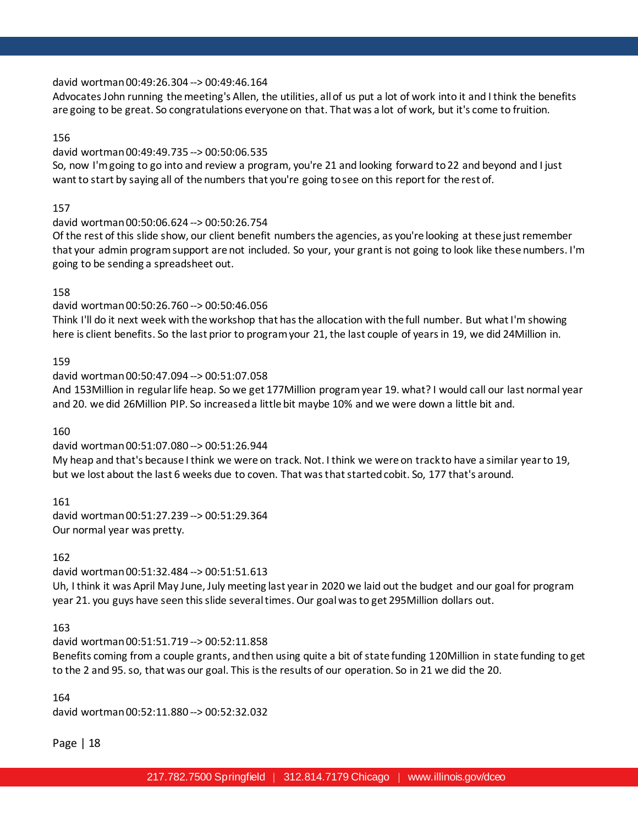### david wortman 00:49:26.304 --> 00:49:46.164

Advocates John running the meeting's Allen, the utilities, all of us put a lot of work into it and I think the benefits are going to be great. So congratulations everyone on that. That was a lot of work, but it's come to fruition.

### 156

### david wortman 00:49:49.735 --> 00:50:06.535

So, now I'm going to go into and review a program, you're 21 and looking forward to 22 and beyond and I just want to start by saying all of the numbers that you're going to see on this report for the rest of.

### 157

### david wortman 00:50:06.624 --> 00:50:26.754

Of the rest of this slide show, our client benefit numbers the agencies, as you're looking at these just remember that your admin program support are not included. So your, your grant is not going to look like these numbers. I'm going to be sending a spreadsheet out.

### 158

# david wortman 00:50:26.760 --> 00:50:46.056

Think I'll do it next week with the workshop that has the allocation with the full number. But what I'm showing here is client benefits. So the last prior to program your 21, the last couple of years in 19, we did 24Million in.

# 159

# david wortman 00:50:47.094 --> 00:51:07.058

And 153Million in regular life heap. So we get 177Million program year 19. what? I would call our last normal year and 20. we did 26Million PIP. So increased a little bit maybe 10% and we were down a little bit and.

#### 160

# david wortman 00:51:07.080 --> 00:51:26.944

My heap and that's because I think we were on track. Not. I think we were on track to have a similar year to 19, but we lost about the last 6 weeks due to coven. That was that started cobit. So, 177 that's around.

161 david wortman 00:51:27.239 --> 00:51:29.364 Our normal year was pretty.

# 162

david wortman 00:51:32.484 --> 00:51:51.613

Uh, I think it was April May June, July meeting last year in 2020 we laid out the budget and our goal for program year 21. you guys have seen this slide several times. Our goal was to get 295Million dollars out.

#### 163

# david wortman 00:51:51.719 --> 00:52:11.858

Benefits coming from a couple grants, and then using quite a bit of state funding 120Million in state funding to get to the 2 and 95. so, that was our goal. This is the results of our operation. So in 21 we did the 20.

#### 164

david wortman 00:52:11.880 --> 00:52:32.032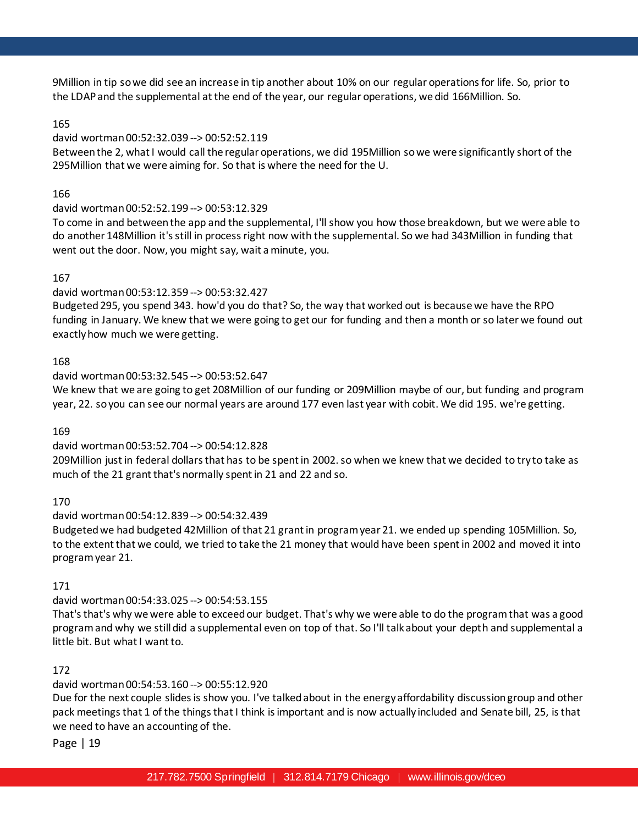9Million in tip so we did see an increase in tip another about 10% on our regular operations for life. So, prior to the LDAP and the supplemental at the end of the year, our regular operations, we did 166Million. So.

# 165

# david wortman 00:52:32.039 --> 00:52:52.119

Between the 2, what I would call the regular operations, we did 195Million so we were significantly short of the 295Million that we were aiming for. So that is where the need for the U.

# 166

# david wortman 00:52:52.199 --> 00:53:12.329

To come in and between the app and the supplemental, I'll show you how those breakdown, but we were able to do another 148Million it's still in process right now with the supplemental. So we had 343Million in funding that went out the door. Now, you might say, wait a minute, you.

# 167

# david wortman 00:53:12.359 --> 00:53:32.427

Budgeted295, you spend 343. how'd you do that? So, the way that worked out is because we have the RPO funding in January. We knew that we were going to get our for funding and then a month or so later we found out exactly how much we were getting.

# 168

# david wortman 00:53:32.545 --> 00:53:52.647

We knew that we are going to get 208Million of our funding or 209Million maybe of our, but funding and program year, 22. so you can see our normal years are around 177 even last year with cobit. We did 195. we're getting.

# 169

# david wortman 00:53:52.704 --> 00:54:12.828

209Million just in federal dollars that has to be spent in 2002. so when we knew that we decided to try to take as much of the 21 grant that's normally spent in 21 and 22 and so.

# 170

# david wortman 00:54:12.839 --> 00:54:32.439

Budgeted we had budgeted 42Million of that 21 grant in program year 21. we ended up spending 105Million. So, to the extent that we could, we tried to take the 21 money that would have been spent in 2002 and moved it into program year 21.

# 171

# david wortman 00:54:33.025 --> 00:54:53.155

That's that's why we were able to exceed our budget. That's why we were able to do the program that was a good program and why we still did a supplemental even on top of that. So I'll talk about your depth and supplemental a little bit. But what I want to.

# 172

# david wortman 00:54:53.160 --> 00:55:12.920

Due for the next couple slides is show you. I've talked about in the energy affordability discussion group and other pack meetings that 1 of the things that I think is important and is now actually included and Senate bill, 25, is that we need to have an accounting of the.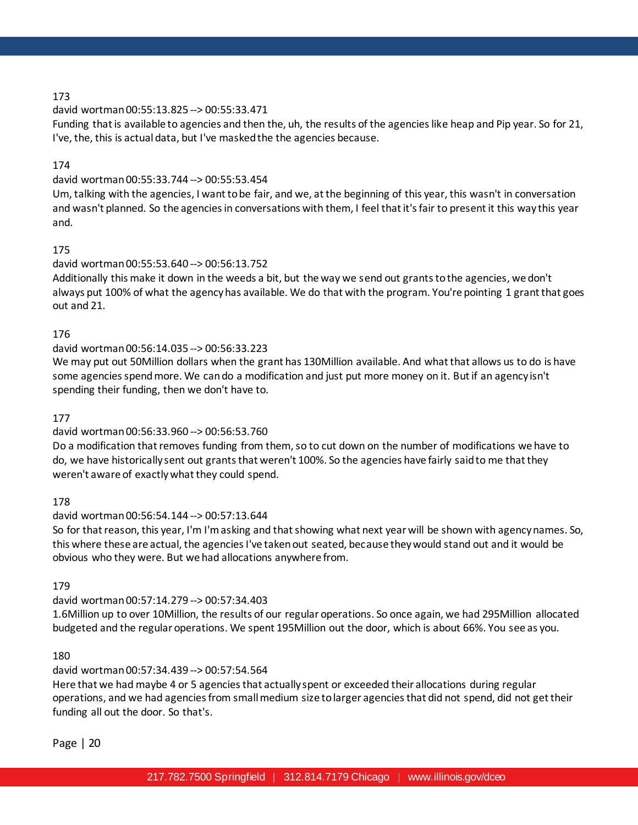# david wortman 00:55:13.825 --> 00:55:33.471

Funding that is available to agencies and then the, uh, the results of the agencies like heap and Pip year. So for 21, I've, the, this is actual data, but I've masked the the agencies because.

# 174

# david wortman 00:55:33.744 --> 00:55:53.454

Um, talking with the agencies, I want to be fair, and we, at the beginning of this year, this wasn't in conversation and wasn't planned. So the agencies in conversations with them, I feel that it's fair to present it this way this year and.

# 175

# david wortman 00:55:53.640 --> 00:56:13.752

Additionally this make it down in the weeds a bit, but the way we send out grants to the agencies, we don't always put 100% of what the agency has available. We do that with the program. You're pointing 1 grant that goes out and 21.

# 176

# david wortman 00:56:14.035 --> 00:56:33.223

We may put out 50Million dollars when the grant has 130Million available. And what that allows us to do is have some agencies spend more. We can do a modification and just put more money on it. But if an agency isn't spending their funding, then we don't have to.

# 177

# david wortman 00:56:33.960 --> 00:56:53.760

Do a modification that removes funding from them, so to cut down on the number of modifications we have to do, we have historically sent out grants that weren't 100%. So the agencies have fairly said to me that they weren't aware of exactlywhat they could spend.

# 178

# david wortman 00:56:54.144 --> 00:57:13.644

So for that reason, this year, I'm I'm asking and that showing what next year will be shown with agency names. So, this where these are actual, the agencies I've taken out seated, because they would stand out and it would be obvious who they were. But we had allocations anywhere from.

# 179

# david wortman 00:57:14.279 --> 00:57:34.403

1.6Million up to over 10Million, the results of our regular operations. So once again, we had 295Million allocated budgeted and the regular operations. We spent 195Million out the door, which is about 66%. You see as you.

# 180

# david wortman 00:57:34.439 --> 00:57:54.564

Here that we had maybe 4 or 5 agencies that actually spent or exceeded their allocations during regular operations, and we had agencies from small medium size to larger agencies that did not spend, did not get their funding all out the door. So that's.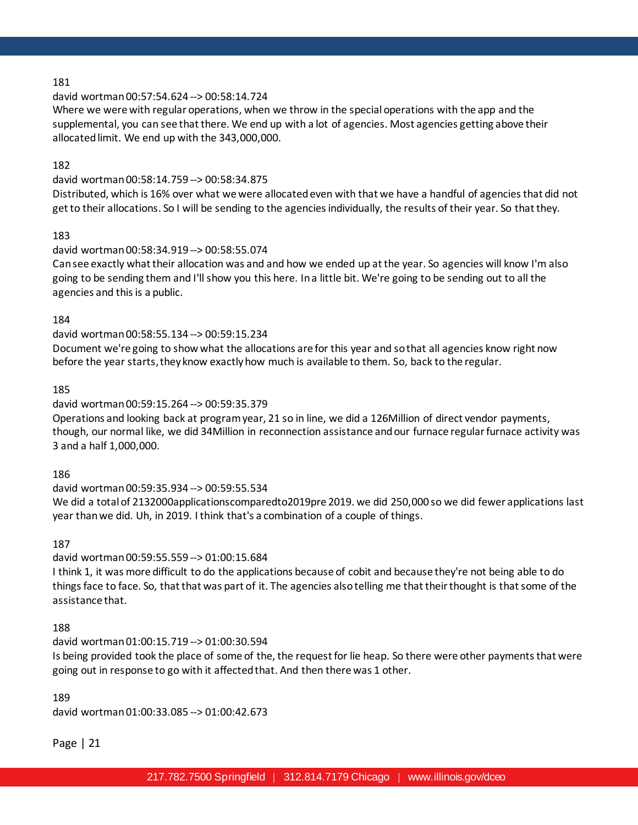### david wortman 00:57:54.624 --> 00:58:14.724

Where we were with regular operations, when we throw in the special operations with the app and the supplemental, you can see that there. We end up with a lot of agencies. Most agencies getting above their allocated limit. We end up with the 343,000,000.

# 182

### david wortman 00:58:14.759 --> 00:58:34.875

Distributed, which is 16% over what we were allocated even with that we have a handful of agencies that did not get to their allocations. So I will be sending to the agencies individually, the results of their year. So that they.

# 183

### david wortman 00:58:34.919 --> 00:58:55.074

Can see exactly what their allocation was and and how we ended up at the year. So agencies will know I'm also going to be sending them and I'll show you this here. In a little bit. We're going to be sending out to all the agencies and this is a public.

#### 184

#### david wortman 00:58:55.134 --> 00:59:15.234

Document we're going to show what the allocations are for this year and so that all agencies know right now before the year starts, they know exactly how much is available to them. So, back to the regular.

### 185

### david wortman 00:59:15.264 --> 00:59:35.379

Operations and looking back at program year, 21 so in line, we did a 126Million of direct vendor payments, though, our normal like, we did 34Million in reconnection assistance and our furnace regular furnace activity was 3 and a half 1,000,000.

#### 186

### david wortman 00:59:35.934 --> 00:59:55.534 We did a total of 2132000applicationscomparedto2019pre 2019. we did 250,000 so we did fewer applications last year than we did. Uh, in 2019. I think that's a combination of a couple of things.

### 187

#### david wortman 00:59:55.559 --> 01:00:15.684

I think 1, it was more difficult to do the applications because of cobit and because they're not being able to do things face to face. So, that that was part of it. The agencies also telling me that their thought is that some of the assistance that.

#### 188

# david wortman 01:00:15.719 --> 01:00:30.594

Is being provided took the place of some of the, the request for lie heap. So there were other payments that were going out in response to go with it affected that. And then there was 1 other.

#### 189

david wortman 01:00:33.085 --> 01:00:42.673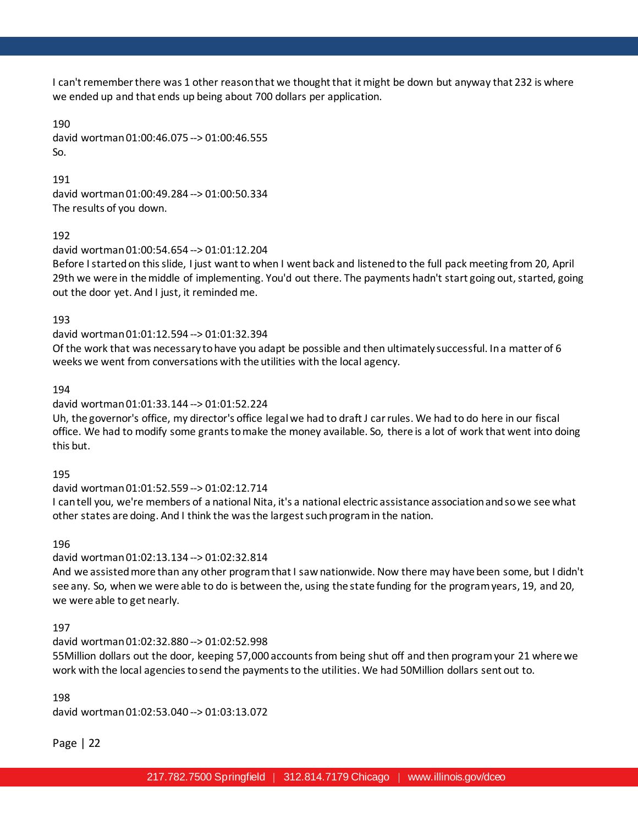I can't remember there was 1 other reason that we thought that it might be down but anyway that 232 is where we ended up and that ends up being about 700 dollars per application.

190 david wortman 01:00:46.075 --> 01:00:46.555 So.

191 david wortman 01:00:49.284 --> 01:00:50.334 The results of you down.

192

david wortman 01:00:54.654 --> 01:01:12.204

Before I started on this slide, I just want to when I went back and listened to the full pack meeting from 20, April 29th we were in the middle of implementing. You'd out there. The payments hadn't start going out, started, going out the door yet. And I just, it reminded me.

193

david wortman 01:01:12.594 --> 01:01:32.394

Of the work that was necessary to have you adapt be possible and then ultimately successful. In a matter of 6 weeks we went from conversations with the utilities with the local agency.

194

david wortman 01:01:33.144 --> 01:01:52.224

Uh, the governor's office, my director's office legal we had to draft J car rules. We had to do here in our fiscal office. We had to modify some grants to make the money available. So, there is a lot of work that went into doing this but.

195

david wortman 01:01:52.559 --> 01:02:12.714

I can tell you, we're members of a national Nita, it's a national electric assistance association and so we see what other states are doing. And I think the was the largest such program in the nation.

196

david wortman 01:02:13.134 --> 01:02:32.814

And we assisted more than any other program that I saw nationwide. Now there may have been some, but I didn't see any. So, when we were able to do is between the, using the state funding for the program years, 19, and 20, we were able to get nearly.

197

david wortman 01:02:32.880 --> 01:02:52.998

55Million dollars out the door, keeping 57,000 accounts from being shut off and then program your 21 where we work with the local agencies to send the payments to the utilities. We had 50Million dollars sent out to.

198

david wortman 01:02:53.040 --> 01:03:13.072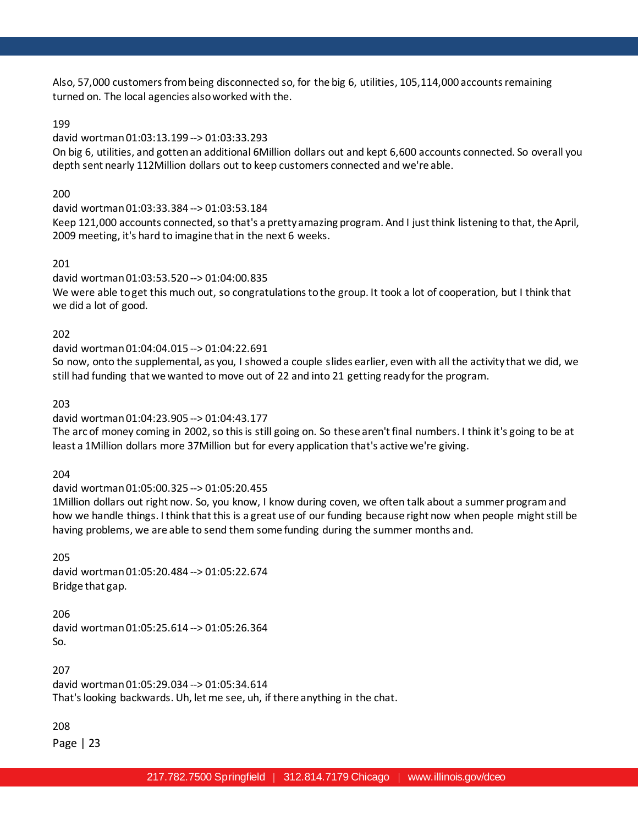Also, 57,000 customers from being disconnected so, for the big 6, utilities, 105,114,000 accounts remaining turned on. The local agencies also worked with the.

# 199

# david wortman 01:03:13.199 --> 01:03:33.293

On big 6, utilities, and gotten an additional 6Million dollars out and kept 6,600 accounts connected. So overall you depth sent nearly 112Million dollars out to keep customers connected and we're able.

# 200

david wortman 01:03:33.384 --> 01:03:53.184 Keep 121,000 accounts connected, so that's a pretty amazing program. And I just think listening to that, the April, 2009 meeting, it's hard to imagine that in the next 6 weeks.

# 201

david wortman 01:03:53.520 --> 01:04:00.835 We were able to get this much out, so congratulations to the group. It took a lot of cooperation, but I think that we did a lot of good.

# 202

david wortman 01:04:04.015 --> 01:04:22.691

So now, onto the supplemental, as you, I showed a couple slides earlier, even with all the activity that we did, we still had funding that we wanted to move out of 22 and into 21 getting ready for the program.

# 203

# david wortman 01:04:23.905 --> 01:04:43.177

The arc of money coming in 2002, so this is still going on. So these aren't final numbers. I think it's going to be at least a 1Million dollars more 37Million but for every application that's active we're giving.

# 204

# david wortman 01:05:00.325 --> 01:05:20.455

1Million dollars out right now. So, you know, I know during coven, we often talk about a summer program and how we handle things. I think that this is a great use of our funding because right now when people might still be having problems, we are able to send them some funding during the summer months and.

205 david wortman 01:05:20.484 --> 01:05:22.674 Bridge that gap.

206 david wortman 01:05:25.614 --> 01:05:26.364 So.

207 david wortman 01:05:29.034 --> 01:05:34.614 That's looking backwards. Uh, let me see, uh, if there anything in the chat.

208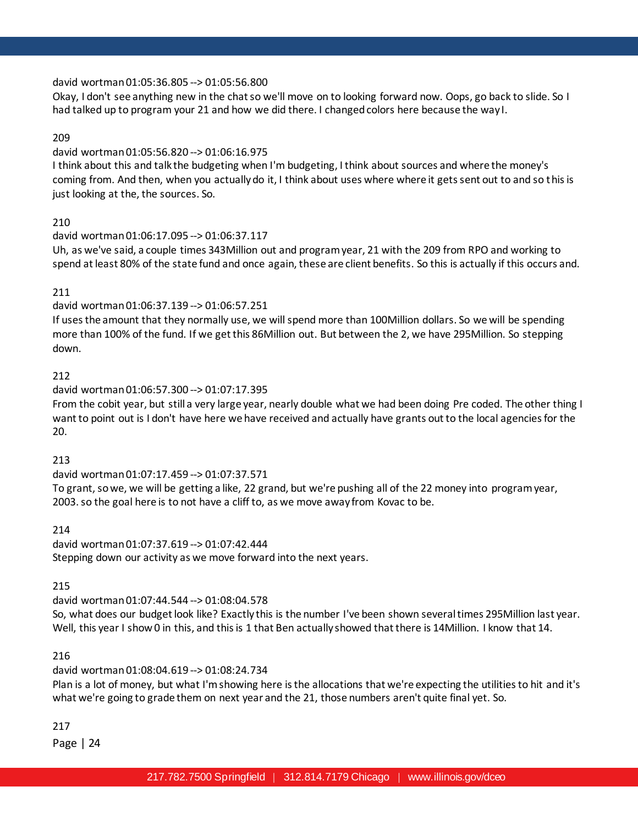david wortman 01:05:36.805 --> 01:05:56.800

Okay, I don't see anything new in the chat so we'll move on to looking forward now. Oops, go back to slide. So I had talked up to program your 21 and how we did there. I changed colors here because the way I.

# 209

### david wortman 01:05:56.820 --> 01:06:16.975

I think about this and talk the budgeting when I'm budgeting, I think about sources and where the money's coming from. And then, when you actually do it, I think about uses where where it gets sent out to and so this is just looking at the, the sources. So.

# 210

#### david wortman 01:06:17.095 --> 01:06:37.117

Uh, as we've said, a couple times 343Million out and program year, 21 with the 209 from RPO and working to spend at least 80% of the state fund and once again, these are client benefits. So this is actually if this occurs and.

### 211

# david wortman 01:06:37.139 --> 01:06:57.251

If uses the amount that they normally use, we will spend more than 100Million dollars. So we will be spending more than 100% of the fund. If we get this 86Million out. But between the 2, we have 295Million. So stepping down.

### 212

### david wortman 01:06:57.300 --> 01:07:17.395

From the cobit year, but still a very large year, nearly double what we had been doing Pre coded. The other thing I want to point out is I don't have here we have received and actually have grants out to the local agencies for the 20.

#### 213

david wortman 01:07:17.459 --> 01:07:37.571

To grant, so we, we will be getting a like, 22 grand, but we're pushing all of the 22 money into program year, 2003. so the goal here is to not have a cliff to, as we move away from Kovac to be.

#### 214

david wortman 01:07:37.619 --> 01:07:42.444 Stepping down our activity as we move forward into the next years.

215

david wortman 01:07:44.544 --> 01:08:04.578 So, what does our budget look like? Exactly this is the number I've been shown several times 295Million last year. Well, this year I show 0 in this, and this is 1 that Ben actually showed that there is 14Million. I know that 14.

#### 216

# david wortman 01:08:04.619 --> 01:08:24.734

Plan is a lot of money, but what I'm showing here is the allocations that we're expecting the utilities to hit and it's what we're going to grade them on next year and the 21, those numbers aren't quite final yet. So.

217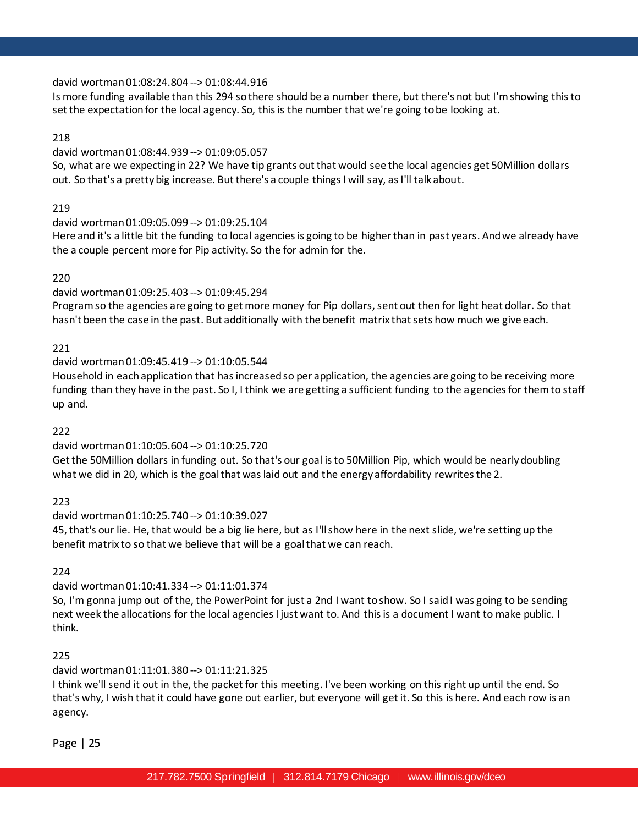### david wortman 01:08:24.804 --> 01:08:44.916

Is more funding available than this 294 so there should be a number there, but there's not but I'm showing this to set the expectation for the local agency. So, this is the number that we're going to be looking at.

### 218

### david wortman 01:08:44.939 --> 01:09:05.057

So, what are we expecting in 22? We have tip grants out that would see the local agencies get 50Million dollars out. So that's a pretty big increase. But there's a couple things I will say, as I'll talk about.

### 219

### david wortman 01:09:05.099 --> 01:09:25.104

Here and it's a little bit the funding to local agencies is going to be higher than in past years. And we already have the a couple percent more for Pip activity. So the for admin for the.

### 220

# david wortman 01:09:25.403 --> 01:09:45.294

Program so the agencies are going to get more money for Pip dollars, sent out then for light heat dollar. So that hasn't been the case in the past. But additionally with the benefit matrix that sets how much we give each.

### 221

# david wortman 01:09:45.419 --> 01:10:05.544

Household in each application that has increased so per application, the agencies are going to be receiving more funding than they have in the past. So I, I think we are getting a sufficient funding to the agencies for them to staff up and.

#### 222

# david wortman 01:10:05.604 --> 01:10:25.720

Get the 50Million dollars in funding out. So that's our goal is to 50Million Pip, which would be nearly doubling what we did in 20, which is the goal that was laid out and the energy affordability rewrites the 2.

223

# david wortman 01:10:25.740 --> 01:10:39.027

45, that's our lie. He, that would be a big lie here, but as I'll show here in the next slide, we're setting up the benefit matrix to so that we believe that will be a goal that we can reach.

#### 224

# david wortman 01:10:41.334 --> 01:11:01.374

So, I'm gonna jump out of the, the PowerPoint for just a 2nd I want to show. So I said I was going to be sending next week the allocations for the local agencies I just want to. And this is a document I want to make public. I think.

# 225

# david wortman 01:11:01.380 --> 01:11:21.325

I think we'll send it out in the, the packet for this meeting. I've been working on this right up until the end. So that's why, I wish that it could have gone out earlier, but everyone will get it. So this is here. And each row is an agency.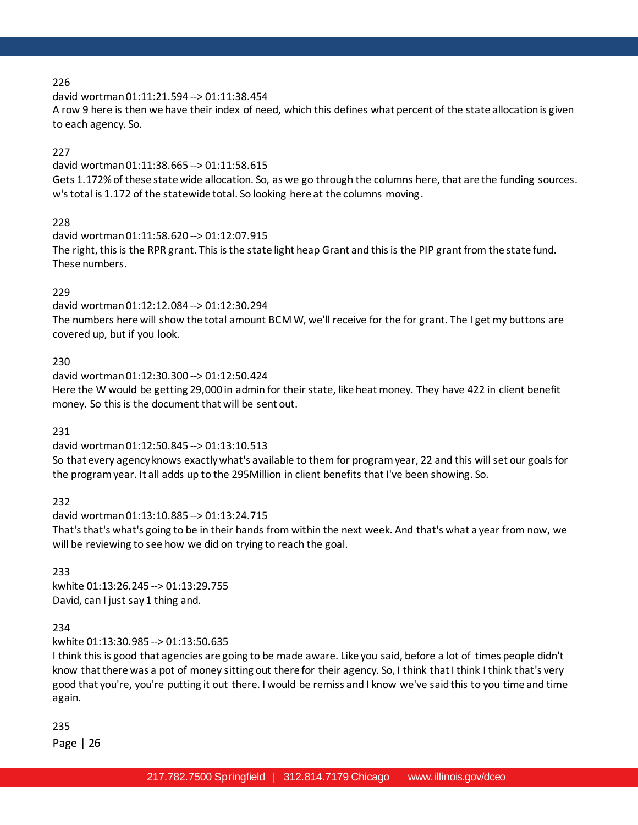david wortman 01:11:21.594 --> 01:11:38.454

A row 9 here is then we have their index of need, which this defines what percent of the state allocation is given to each agency. So.

# 227

david wortman 01:11:38.665 --> 01:11:58.615 Gets 1.172% of these state wide allocation. So, as we go through the columns here, that are the funding sources. w's total is 1.172 of the statewide total. So looking here at the columns moving.

# 228

david wortman 01:11:58.620 --> 01:12:07.915 The right, this is the RPR grant. This is the state light heap Grant and this is the PIP grant from the state fund. These numbers.

# 229

david wortman 01:12:12.084 --> 01:12:30.294 The numbers here will show the total amount BCM W, we'll receive for the for grant. The I get my buttons are covered up, but if you look.

# 230

david wortman 01:12:30.300 --> 01:12:50.424 Here the W would be getting 29,000 in admin for their state, like heat money. They have 422 in client benefit money. So this is the document that will be sent out.

# 231

david wortman 01:12:50.845 --> 01:13:10.513

So that every agency knows exactly what's available to them for program year, 22 and this will set our goals for the program year. It all adds up to the 295Million in client benefits that I've been showing. So.

232

david wortman 01:13:10.885 --> 01:13:24.715

That's that's what's going to be in their hands from within the next week. And that's what a year from now, we will be reviewing to see how we did on trying to reach the goal.

# 233

kwhite 01:13:26.245 --> 01:13:29.755 David, can I just say 1 thing and.

# 234

kwhite 01:13:30.985 --> 01:13:50.635

I think this is good that agencies are going to be made aware. Like you said, before a lot of times people didn't know that there was a pot of money sitting out there for their agency. So, I think that I think I think that's very good that you're, you're putting it out there. I would be remiss and I know we've said this to you time and time again.

235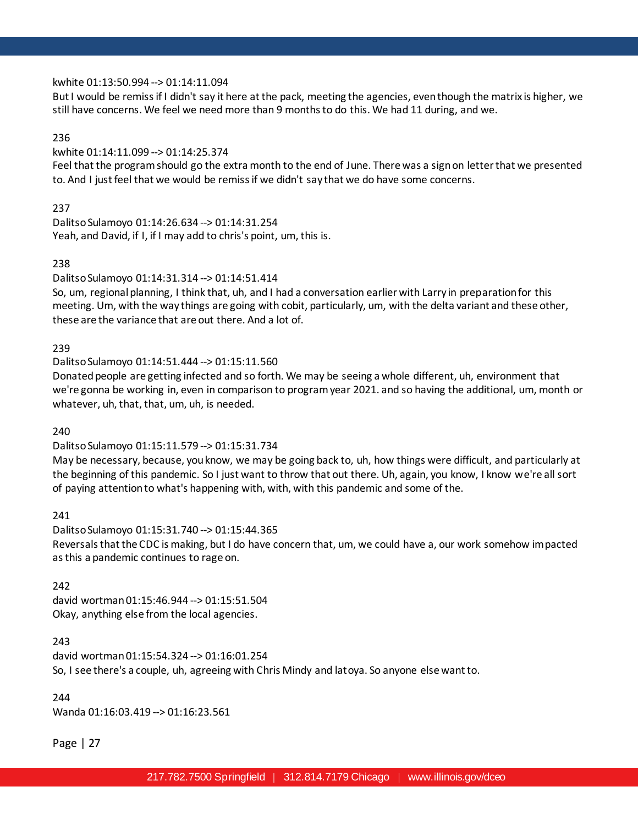### kwhite 01:13:50.994 --> 01:14:11.094

But I would be remiss if I didn't say it here at the pack, meeting the agencies, even though the matrix is higher, we still have concerns. We feel we need more than 9 months to do this. We had 11 during, and we.

### 236

# kwhite 01:14:11.099 --> 01:14:25.374

Feel that the program should go the extra month to the end of June. There was a sign on letter that we presented to. And I just feel that we would be remiss if we didn't say that we do have some concerns.

### 237

Dalitso Sulamoyo 01:14:26.634 --> 01:14:31.254 Yeah, and David, if I, if I may add to chris's point, um, this is.

### 238

# Dalitso Sulamoyo 01:14:31.314 --> 01:14:51.414

So, um, regional planning, I think that, uh, and I had a conversation earlier with Larry in preparation for this meeting. Um, with the way things are going with cobit, particularly, um, with the delta variant and these other, these are the variance that are out there. And a lot of.

### 239

# Dalitso Sulamoyo 01:14:51.444 --> 01:15:11.560

Donated people are getting infected and so forth. We may be seeing a whole different, uh, environment that we're gonna be working in, even in comparison to program year 2021. and so having the additional, um, month or whatever, uh, that, that, um, uh, is needed.

# 240

# Dalitso Sulamoyo 01:15:11.579 --> 01:15:31.734

May be necessary, because, you know, we may be going back to, uh, how things were difficult, and particularly at the beginning of this pandemic. So I just want to throw that out there. Uh, again, you know, I know we're all sort of paying attention to what's happening with, with, with this pandemic and some of the.

# 241

Dalitso Sulamoyo 01:15:31.740 --> 01:15:44.365 Reversals that the CDC is making, but I do have concern that, um, we could have a, our work somehow impacted as this a pandemic continues to rage on.

#### 242

david wortman 01:15:46.944 --> 01:15:51.504 Okay, anything else from the local agencies.

# 243

david wortman 01:15:54.324 --> 01:16:01.254 So, I see there's a couple, uh, agreeing with Chris Mindy and latoya. So anyone else want to.

### 244

Wanda 01:16:03.419 --> 01:16:23.561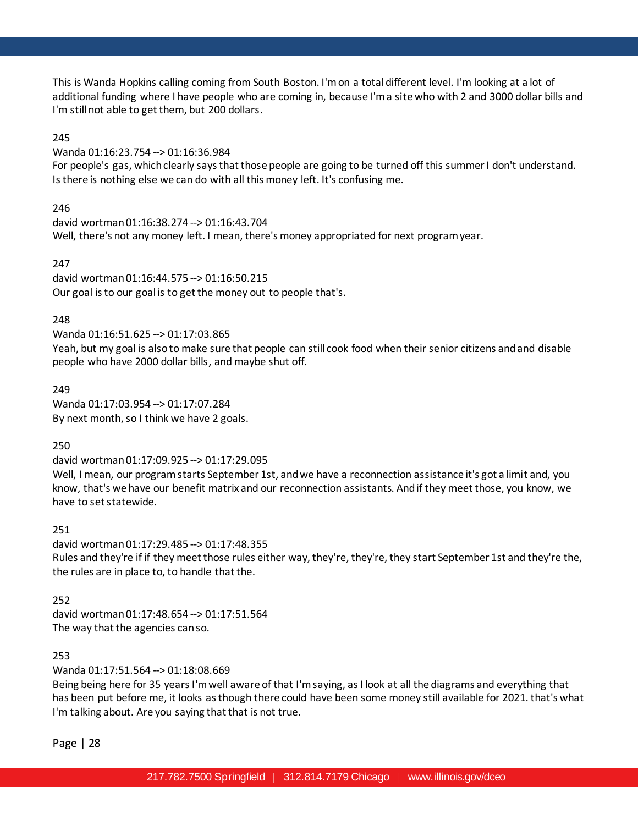This is Wanda Hopkins calling coming from South Boston. I'm on a total different level. I'm looking at a lot of additional funding where I have people who are coming in, because I'm a site who with 2 and 3000 dollar bills and I'm still not able to get them, but 200 dollars.

### 245

Wanda 01:16:23.754 --> 01:16:36.984

For people's gas, which clearly says that those people are going to be turned off this summer I don't understand. Is there is nothing else we can do with all this money left. It's confusing me.

246

david wortman 01:16:38.274 --> 01:16:43.704 Well, there's not any money left. I mean, there's money appropriated for next program year.

### 247

david wortman 01:16:44.575 --> 01:16:50.215 Our goal is to our goal is to get the money out to people that's.

### 248

Wanda 01:16:51.625 --> 01:17:03.865

Yeah, but my goal is also to make sure that people can still cook food when their senior citizens and and disable people who have 2000 dollar bills, and maybe shut off.

### 249

Wanda 01:17:03.954 --> 01:17:07.284 By next month, so I think we have 2 goals.

250

# david wortman 01:17:09.925 --> 01:17:29.095

Well, I mean, our program starts September 1st, and we have a reconnection assistance it's got a limit and, you know, that's we have our benefit matrix and our reconnection assistants. And if they meet those, you know, we have to set statewide.

# 251

david wortman 01:17:29.485 --> 01:17:48.355 Rules and they're if if they meet those rules either way, they're, they're, they start September 1st and they're the, the rules are in place to, to handle that the.

# 252

david wortman 01:17:48.654 --> 01:17:51.564 The way that the agencies can so.

# 253

Wanda 01:17:51.564 --> 01:18:08.669

Being being here for 35 years I'm well aware of that I'm saying, as I look at all the diagrams and everything that has been put before me, it looks as though there could have been some money still available for 2021. that's what I'm talking about. Are you saying that that is not true.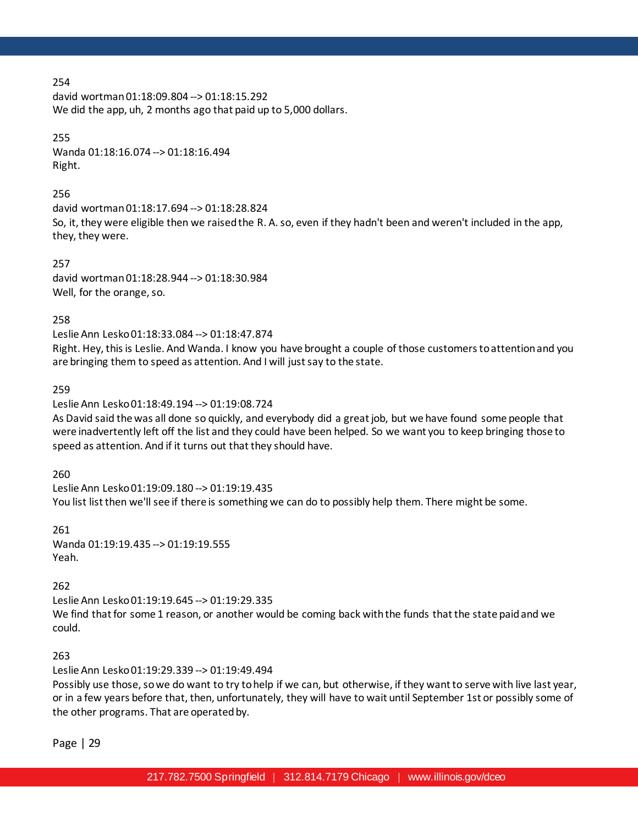david wortman 01:18:09.804 --> 01:18:15.292 We did the app, uh, 2 months ago that paid up to 5,000 dollars.

#### 255

Wanda 01:18:16.074 --> 01:18:16.494 Right.

#### 256

david wortman 01:18:17.694 --> 01:18:28.824 So, it, they were eligible then we raised the R. A. so, even if they hadn't been and weren't included in the app, they, they were.

257 david wortman 01:18:28.944 --> 01:18:30.984 Well, for the orange, so.

258

Leslie Ann Lesko 01:18:33.084 --> 01:18:47.874

Right. Hey, this is Leslie. And Wanda. I know you have brought a couple of those customers to attention and you are bringing them to speed as attention. And I will just say to the state.

259

Leslie Ann Lesko 01:18:49.194 --> 01:19:08.724

As David said the was all done so quickly, and everybody did a great job, but we have found some people that were inadvertently left off the list and they could have been helped. So we want you to keep bringing those to speed as attention. And if it turns out that they should have.

260

Leslie Ann Lesko 01:19:09.180 --> 01:19:19.435 You list list then we'll see if there is something we can do to possibly help them. There might be some.

261 Wanda 01:19:19.435 --> 01:19:19.555 Yeah.

#### 262

Leslie Ann Lesko 01:19:19.645 --> 01:19:29.335 We find that for some 1 reason, or another would be coming back with the funds that the state paid and we could.

263

Leslie Ann Lesko 01:19:29.339 --> 01:19:49.494

Possibly use those, so we do want to try to help if we can, but otherwise, if they want to serve with live last year, or in a few years before that, then, unfortunately, they will have to wait until September 1st or possibly some of the other programs. That are operated by.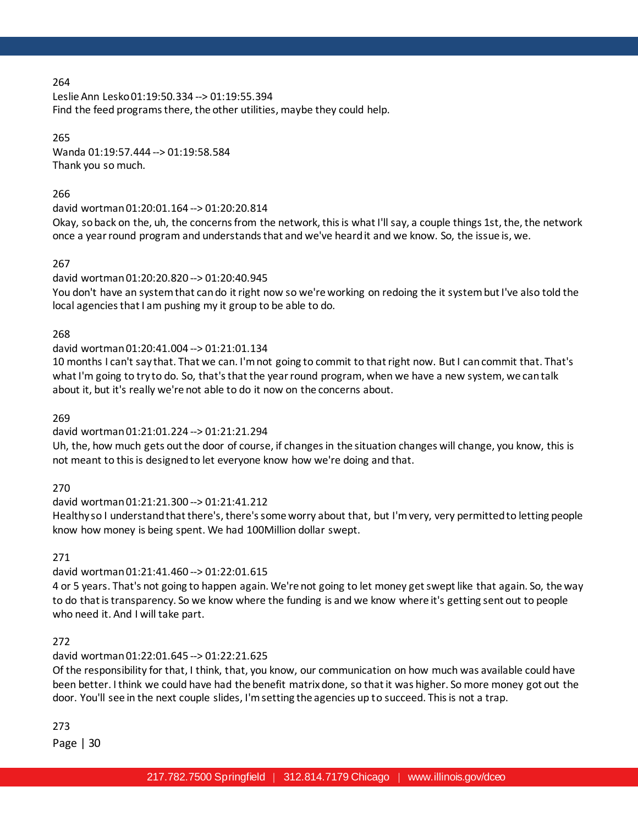Leslie Ann Lesko 01:19:50.334 --> 01:19:55.394 Find the feed programs there, the other utilities, maybe they could help.

265 Wanda 01:19:57.444 --> 01:19:58.584 Thank you so much.

# 266

# david wortman 01:20:01.164 --> 01:20:20.814

Okay, so back on the, uh, the concerns from the network, this is what I'll say, a couple things 1st, the, the network once a year round program and understands that and we've heard it and we know. So, the issue is, we.

# 267

# david wortman 01:20:20.820 --> 01:20:40.945

You don't have an system that can do it right now so we're working on redoing the it system but I've also told the local agencies that I am pushing my it group to be able to do.

# 268

# david wortman 01:20:41.004 --> 01:21:01.134

10 months I can't say that. That we can. I'm not going to commit to that right now. But I can commit that. That's what I'm going to try to do. So, that's that the year round program, when we have a new system, we can talk about it, but it's really we're not able to do it now on the concerns about.

269

# david wortman 01:21:01.224 --> 01:21:21.294

Uh, the, how much gets out the door of course, if changes in the situation changes will change, you know, this is not meant to this is designed to let everyone know how we're doing and that.

270

# david wortman 01:21:21.300 --> 01:21:41.212

Healthy so I understand that there's, there's some worry about that, but I'm very, very permitted to letting people know how money is being spent. We had 100Million dollar swept.

271

# david wortman 01:21:41.460 --> 01:22:01.615

4 or 5 years. That's not going to happen again. We're not going to let money get swept like that again. So, the way to do that is transparency. So we know where the funding is and we know where it's getting sent out to people who need it. And I will take part.

# 272

# david wortman 01:22:01.645 --> 01:22:21.625

Of the responsibility for that, I think, that, you know, our communication on how much was available could have been better. I think we could have had the benefit matrix done, so that it was higher. So more money got out the door. You'll see in the next couple slides, I'm setting the agencies up to succeed. This is not a trap.

273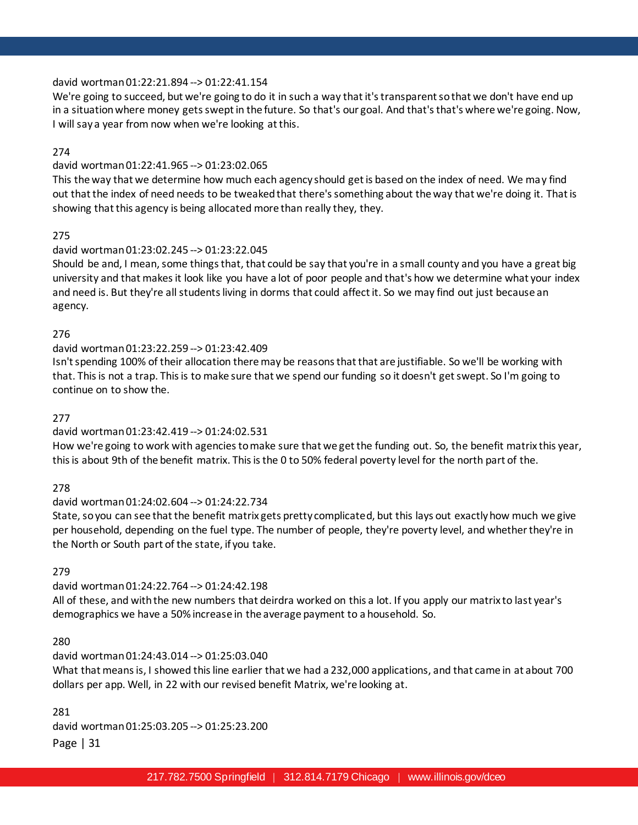### david wortman 01:22:21.894 --> 01:22:41.154

We're going to succeed, but we're going to do it in such a way that it's transparent so that we don't have end up in a situation where money gets swept in the future. So that's our goal. And that's that's where we're going. Now, I will say a year from now when we're looking at this.

### 274

### david wortman 01:22:41.965 --> 01:23:02.065

This the way that we determine how much each agency should get is based on the index of need. We may find out that the index of need needs to be tweaked that there's something about the way that we're doing it. That is showing that this agency is being allocated more than really they, they.

# 275

### david wortman 01:23:02.245 --> 01:23:22.045

Should be and, I mean, some things that, that could be say that you're in a small county and you have a great big university and that makes it look like you have a lot of poor people and that's how we determine what your index and need is. But they're all students living in dorms that could affect it. So we may find out just because an agency.

### 276

### david wortman 01:23:22.259 --> 01:23:42.409

Isn't spending 100% of their allocation there may be reasons that that are justifiable. So we'll be working with that. This is not a trap. This is to make sure that we spend our funding so it doesn't get swept. So I'm going to continue on to show the.

#### 277

# david wortman 01:23:42.419 --> 01:24:02.531

How we're going to work with agencies to make sure that we get the funding out. So, the benefit matrix this year, this is about 9th of the benefit matrix. This is the 0 to 50% federal poverty level for the north part of the.

#### 278

#### david wortman 01:24:02.604 --> 01:24:22.734

State, so you can see that the benefit matrix gets pretty complicated, but this lays out exactly how much we give per household, depending on the fuel type. The number of people, they're poverty level, and whether they're in the North or South part of the state, if you take.

#### 279

#### david wortman 01:24:22.764 --> 01:24:42.198

All of these, and with the new numbers that deirdra worked on this a lot. If you apply our matrix to last year's demographics we have a 50% increase in the average payment to a household. So.

# 280

#### david wortman 01:24:43.014 --> 01:25:03.040

What that means is, I showed this line earlier that we had a 232,000 applications, and that came in at about 700 dollars per app. Well, in 22 with our revised benefit Matrix, we're looking at.

281

david wortman 01:25:03.205 --> 01:25:23.200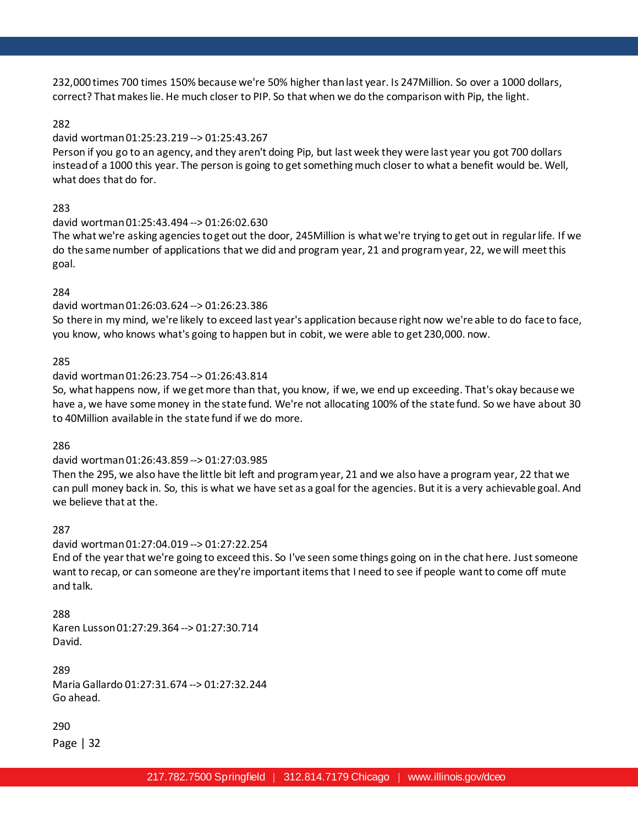232,000 times 700 times 150% because we're 50% higher than last year. Is 247Million. So over a 1000 dollars, correct? That makes lie. He much closer to PIP. So that when we do the comparison with Pip, the light.

### 282

### david wortman 01:25:23.219 --> 01:25:43.267

Person if you go to an agency, and they aren't doing Pip, but last week they were last year you got 700 dollars instead of a 1000 this year. The person is going to get something much closer to what a benefit would be. Well, what does that do for.

# 283

### david wortman 01:25:43.494 --> 01:26:02.630

The what we're asking agencies to get out the door, 245Million is what we're trying to get out in regular life. If we do the same number of applications that we did and program year, 21 and program year, 22, we will meet this goal.

### 284

# david wortman 01:26:03.624 --> 01:26:23.386

So there in my mind, we're likely to exceed last year's application because right now we're able to do face to face, you know, who knows what's going to happen but in cobit, we were able to get 230,000. now.

# 285

### david wortman 01:26:23.754 --> 01:26:43.814

So, what happens now, if we get more than that, you know, if we, we end up exceeding. That's okay because we have a, we have some money in the state fund. We're not allocating 100% of the state fund. So we have about 30 to 40Million available in the state fund if we do more.

#### 286

# david wortman 01:26:43.859 --> 01:27:03.985

Then the 295, we also have the little bit left and program year, 21 and we also have a program year, 22 that we can pull money back in. So, this is what we have set as a goal for the agencies. But it is a very achievable goal. And we believe that at the.

#### 287

# david wortman 01:27:04.019 --> 01:27:22.254

End of the year that we're going to exceed this. So I've seen some things going on in the chat here. Just someone want to recap, or can someone are they're important items that I need to see if people want to come off mute and talk.

#### 288

Karen Lusson 01:27:29.364 --> 01:27:30.714 David.

289 Maria Gallardo 01:27:31.674 --> 01:27:32.244 Go ahead.

#### 290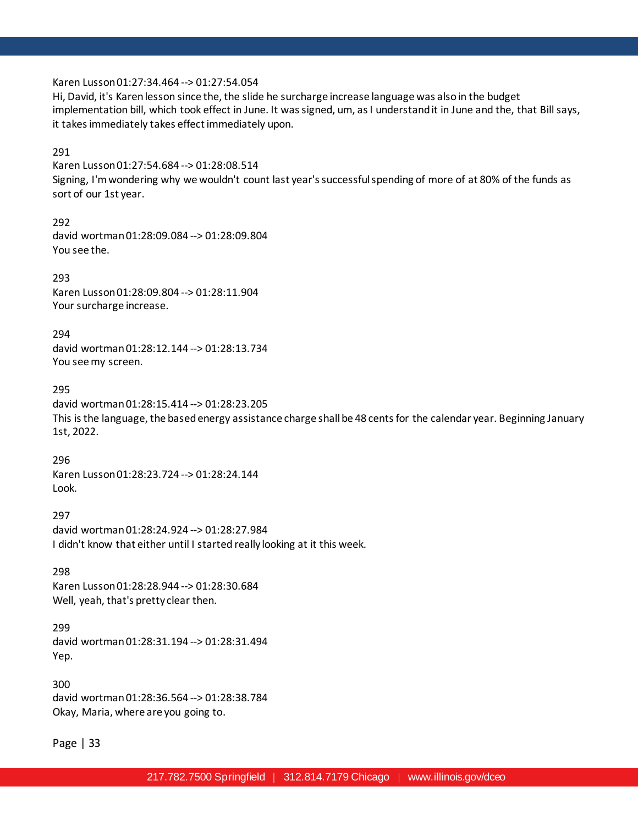Karen Lusson 01:27:34.464 --> 01:27:54.054

Hi, David, it's Karen lesson since the, the slide he surcharge increase language was also in the budget implementation bill, which took effect in June. It was signed, um, as I understand it in June and the, that Bill says, it takes immediately takes effect immediately upon.

### 291

Karen Lusson 01:27:54.684 --> 01:28:08.514 Signing, I'm wondering why we wouldn't count last year's successful spending of more of at 80% of the funds as sort of our 1st year.

292 david wortman 01:28:09.084 --> 01:28:09.804 You see the.

293 Karen Lusson 01:28:09.804 --> 01:28:11.904 Your surcharge increase.

294 david wortman 01:28:12.144 --> 01:28:13.734 You see my screen.

295

david wortman 01:28:15.414 --> 01:28:23.205 This is the language, the based energy assistance charge shall be 48 cents for the calendar year. Beginning January 1st, 2022.

296 Karen Lusson 01:28:23.724 --> 01:28:24.144 Look.

297 david wortman 01:28:24.924 --> 01:28:27.984 I didn't know that either until I started really looking at it this week.

298 Karen Lusson 01:28:28.944 --> 01:28:30.684 Well, yeah, that's pretty clear then.

#### 299

david wortman 01:28:31.194 --> 01:28:31.494 Yep.

300 david wortman 01:28:36.564 --> 01:28:38.784 Okay, Maria, where are you going to.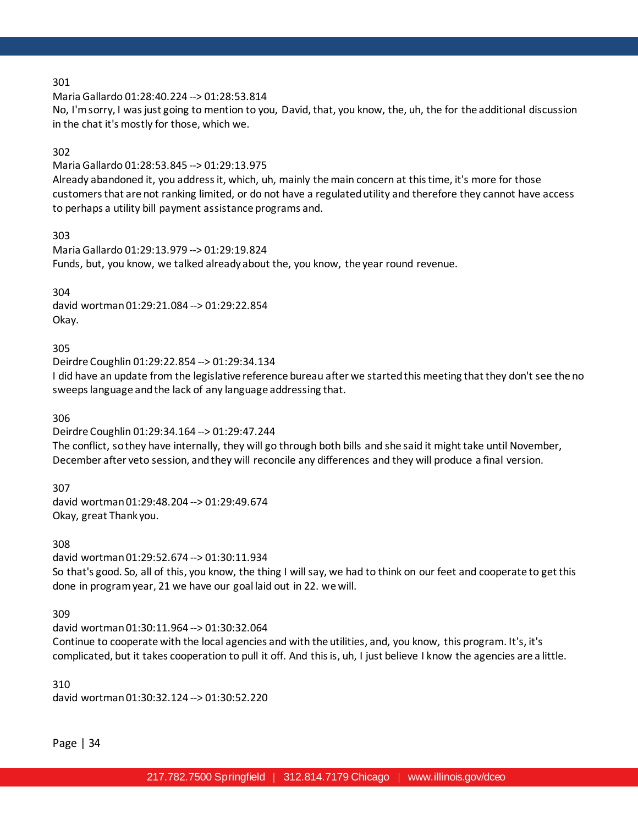Maria Gallardo 01:28:40.224 --> 01:28:53.814

No, I'm sorry, I was just going to mention to you, David, that, you know, the, uh, the for the additional discussion in the chat it's mostly for those, which we.

### 302

Maria Gallardo 01:28:53.845 --> 01:29:13.975 Already abandoned it, you address it, which, uh, mainly the main concern at this time, it's more for those customers that are not ranking limited, or do not have a regulated utility and therefore they cannot have access to perhaps a utility bill payment assistance programs and.

303

Maria Gallardo 01:29:13.979 --> 01:29:19.824 Funds, but, you know, we talked already about the, you know, the year round revenue.

304 david wortman 01:29:21.084 --> 01:29:22.854 Okay.

305

Deirdre Coughlin 01:29:22.854 --> 01:29:34.134

I did have an update from the legislative reference bureau after we started this meeting that they don't see the no sweeps language and the lack of any language addressing that.

306

Deirdre Coughlin 01:29:34.164 --> 01:29:47.244 The conflict, so they have internally, they will go through both bills and she said it might take until November, December after veto session, and they will reconcile any differences and they will produce a final version.

307 david wortman 01:29:48.204 --> 01:29:49.674 Okay, great Thank you.

308

david wortman 01:29:52.674 --> 01:30:11.934 So that's good. So, all of this, you know, the thing I will say, we had to think on our feet and cooperate to get this done in program year, 21 we have our goal laid out in 22. we will.

309

david wortman 01:30:11.964 --> 01:30:32.064

Continue to cooperate with the local agencies and with the utilities, and, you know, this program. It's, it's complicated, but it takes cooperation to pull it off. And this is, uh, I just believe I know the agencies are a little.

310 david wortman 01:30:32.124 --> 01:30:52.220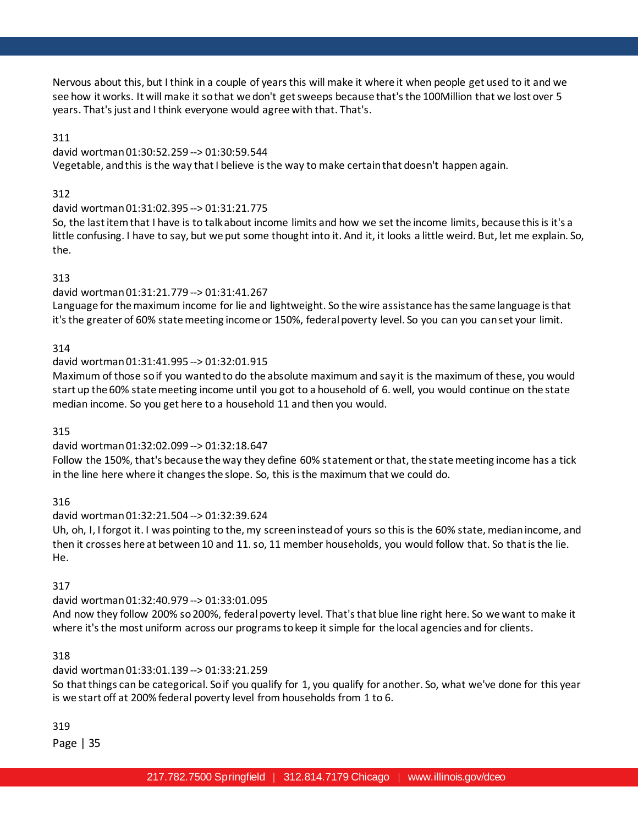Nervous about this, but I think in a couple of years this will make it where it when people get used to it and we see how it works. It will make it so that we don't get sweeps because that's the 100Million that we lost over 5 years. That's just and I think everyone would agree with that. That's.

# 311

david wortman 01:30:52.259 --> 01:30:59.544 Vegetable, and this is the way that I believe is the way to make certain that doesn't happen again.

### 312

### david wortman 01:31:02.395 --> 01:31:21.775

So, the last item that I have is to talk about income limits and how we set the income limits, because this is it's a little confusing. I have to say, but we put some thought into it. And it, it looks a little weird. But, let me explain. So, the.

### 313

# david wortman 01:31:21.779 --> 01:31:41.267

Language for the maximum income for lie and lightweight. So the wire assistance has the same language is that it's the greater of 60% state meeting income or 150%, federal poverty level. So you can you can set your limit.

### 314

# david wortman 01:31:41.995 --> 01:32:01.915

Maximum of those so if you wanted to do the absolute maximum and say it is the maximum of these, you would start up the 60% state meeting income until you got to a household of 6. well, you would continue on the state median income. So you get here to a household 11 and then you would.

# 315

# david wortman 01:32:02.099 --> 01:32:18.647

Follow the 150%, that's because the way they define 60% statement or that, the state meeting income has a tick in the line here where it changes the slope. So, this is the maximum that we could do.

# 316

# david wortman 01:32:21.504 --> 01:32:39.624

Uh, oh, I, I forgot it. I was pointing to the, my screen instead of yours so this is the 60% state, median income, and then it crosses here at between 10 and 11. so, 11 member households, you would follow that. So that is the lie. He.

# 317

# david wortman 01:32:40.979 --> 01:33:01.095

And now they follow 200% so 200%, federal poverty level. That's that blue line right here. So we want to make it where it's the most uniform across our programs to keep it simple for the local agencies and for clients.

# 318

# david wortman 01:33:01.139 --> 01:33:21.259

So that things can be categorical. So if you qualify for 1, you qualify for another. So, what we've done for this year is we start off at 200% federal poverty level from households from 1 to 6.

319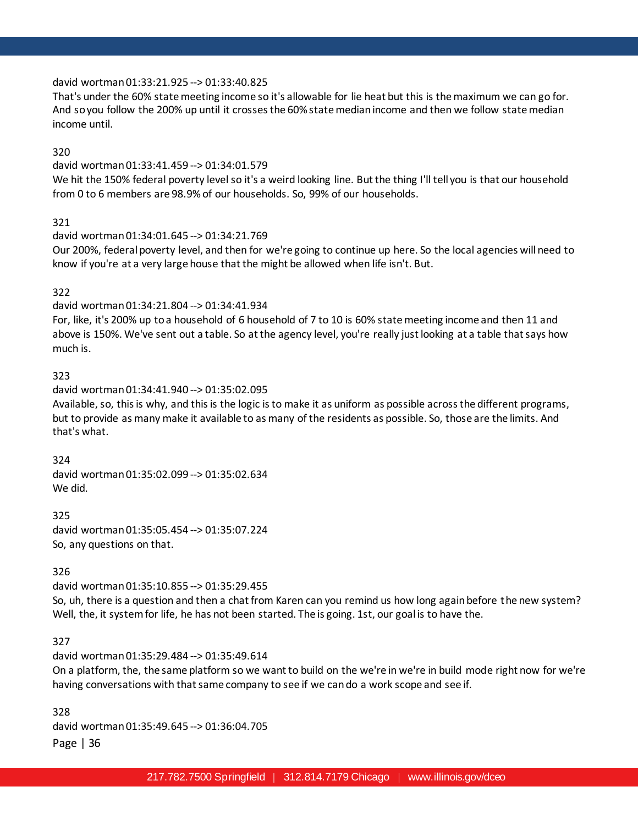# david wortman 01:33:21.925 --> 01:33:40.825

That's under the 60% state meeting income so it's allowable for lie heat but this is the maximum we can go for. And so you follow the 200% up until it crosses the 60% state median income and then we follow state median income until.

### 320

# david wortman 01:33:41.459 --> 01:34:01.579

We hit the 150% federal poverty level so it's a weird looking line. But the thing I'll tell you is that our household from 0 to 6 members are 98.9% of our households. So, 99% of our households.

### 321

### david wortman 01:34:01.645 --> 01:34:21.769

Our 200%, federal poverty level, and then for we're going to continue up here. So the local agencies will need to know if you're at a very large house that the might be allowed when life isn't. But.

# 322

# david wortman 01:34:21.804 --> 01:34:41.934

For, like, it's 200% up to a household of 6 household of 7 to 10 is 60% state meeting income and then 11 and above is 150%. We've sent out a table. So at the agency level, you're really just looking at a table that says how much is.

### 323

### david wortman 01:34:41.940 --> 01:35:02.095

Available, so, this is why, and this is the logic is to make it as uniform as possible across the different programs, but to provide as many make it available to as many of the residents as possible. So, those are the limits. And that's what.

#### 324

david wortman 01:35:02.099 --> 01:35:02.634 We did.

### 325

david wortman 01:35:05.454 --> 01:35:07.224 So, any questions on that.

#### 326

david wortman 01:35:10.855 --> 01:35:29.455

So, uh, there is a question and then a chat from Karen can you remind us how long again before the new system? Well, the, it system for life, he has not been started. The is going. 1st, our goal is to have the.

# 327

# david wortman 01:35:29.484 --> 01:35:49.614

On a platform, the, the same platform so we want to build on the we're in we're in build mode right now for we're having conversations with that same company to see if we can do a work scope and see if.

Page | 36 328 david wortman 01:35:49.645 --> 01:36:04.705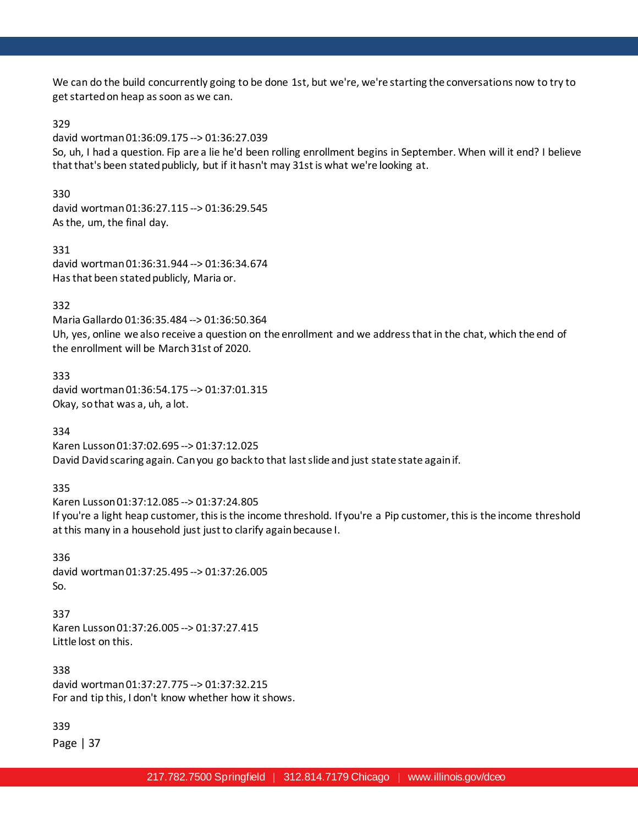We can do the build concurrently going to be done 1st, but we're, we're starting the conversations now to try to get started on heap as soon as we can.

### 329

david wortman 01:36:09.175 --> 01:36:27.039

So, uh, I had a question. Fip are a lie he'd been rolling enrollment begins in September. When will it end? I believe that that's been stated publicly, but if it hasn't may 31st is what we're looking at.

330

david wortman 01:36:27.115 --> 01:36:29.545 As the, um, the final day.

331 david wortman 01:36:31.944 --> 01:36:34.674 Has that been stated publicly, Maria or.

### 332

Maria Gallardo 01:36:35.484 --> 01:36:50.364 Uh, yes, online we also receive a question on the enrollment and we address that in the chat, which the end of the enrollment will be March 31st of 2020.

333 david wortman 01:36:54.175 --> 01:37:01.315 Okay, so that was a, uh, a lot.

334

Karen Lusson 01:37:02.695 --> 01:37:12.025 David David scaring again. Can you go back to that last slide and just state state again if.

335

Karen Lusson 01:37:12.085 --> 01:37:24.805 If you're a light heap customer, this is the income threshold. If you're a Pip customer, this is the income threshold at this many in a household just just to clarify again because I.

336 david wortman 01:37:25.495 --> 01:37:26.005 So.

337 Karen Lusson 01:37:26.005 --> 01:37:27.415 Little lost on this.

338 david wortman 01:37:27.775 --> 01:37:32.215 For and tip this, I don't know whether how it shows.

339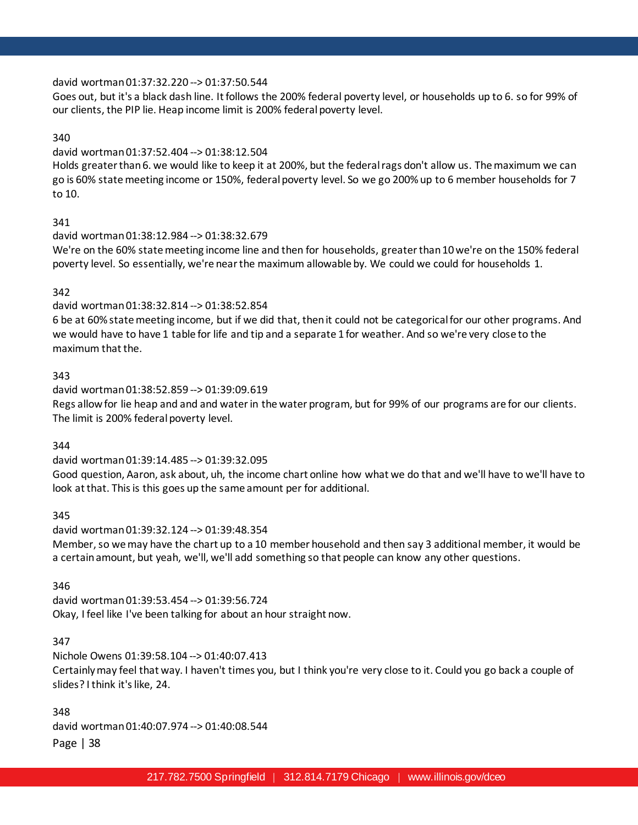### david wortman 01:37:32.220 --> 01:37:50.544

Goes out, but it's a black dash line. It follows the 200% federal poverty level, or households up to 6. so for 99% of our clients, the PIP lie. Heap income limit is 200% federal poverty level.

### 340

### david wortman 01:37:52.404 --> 01:38:12.504

Holds greater than 6. we would like to keep it at 200%, but the federal rags don't allow us. The maximum we can go is 60% state meeting income or 150%, federal poverty level. So we go 200% up to 6 member households for 7 to 10.

### 341

### david wortman 01:38:12.984 --> 01:38:32.679

We're on the 60% state meeting income line and then for households, greater than 10 we're on the 150% federal poverty level. So essentially, we're near the maximum allowable by. We could we could for households 1.

# 342

# david wortman 01:38:32.814 --> 01:38:52.854

6 be at 60% state meeting income, but if we did that, then it could not be categorical for our other programs. And we would have to have 1 table for life and tip and a separate 1 for weather. And so we're very close to the maximum that the.

### 343

david wortman 01:38:52.859 --> 01:39:09.619 Regs allow for lie heap and and and water in the water program, but for 99% of our programs are for our clients. The limit is 200% federal poverty level.

# 344

david wortman 01:39:14.485 --> 01:39:32.095 Good question, Aaron, ask about, uh, the income chart online how what we do that and we'll have to we'll have to look at that. This is this goes up the same amount per for additional.

# 345

david wortman 01:39:32.124 --> 01:39:48.354 Member, so we may have the chart up to a 10 member household and then say 3 additional member, it would be a certain amount, but yeah, we'll, we'll add something so that people can know any other questions.

# 346

david wortman 01:39:53.454 --> 01:39:56.724 Okay, I feel like I've been talking for about an hour straight now.

# 347

Nichole Owens 01:39:58.104 --> 01:40:07.413 Certainly may feel that way. I haven't times you, but I think you're very close to it. Could you go back a couple of slides? I think it's like, 24.

348 david wortman 01:40:07.974 --> 01:40:08.544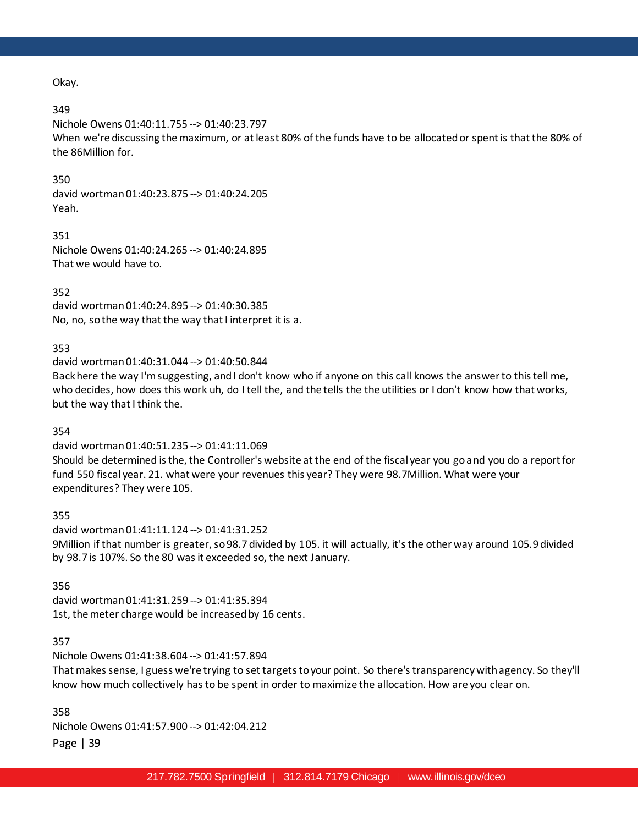Okay.

### 349

Nichole Owens 01:40:11.755 --> 01:40:23.797 When we're discussing the maximum, or at least 80% of the funds have to be allocated or spent is that the 80% of the 86Million for.

### 350

david wortman 01:40:23.875 --> 01:40:24.205 Yeah.

351 Nichole Owens 01:40:24.265 --> 01:40:24.895 That we would have to.

352 david wortman 01:40:24.895 --> 01:40:30.385 No, no, so the way that the way that I interpret it is a.

### 353

david wortman 01:40:31.044 --> 01:40:50.844

Back here the way I'm suggesting, and I don't know who if anyone on this call knows the answer to this tell me, who decides, how does this work uh, do I tell the, and the tells the the utilities or I don't know how that works, but the way that I think the.

354

david wortman 01:40:51.235 --> 01:41:11.069

Should be determined is the, the Controller's website at the end of the fiscal year you go and you do a report for fund 550 fiscal year. 21. what were your revenues this year? They were 98.7Million. What were your expenditures? They were 105.

355

david wortman 01:41:11.124 --> 01:41:31.252 9Million if that number is greater, so 98.7 divided by 105. it will actually, it's the other way around 105.9 divided by 98.7 is 107%. So the 80 was it exceeded so, the next January.

#### 356

david wortman 01:41:31.259 --> 01:41:35.394 1st, the meter charge would be increased by 16 cents.

# 357

Nichole Owens 01:41:38.604 --> 01:41:57.894

That makes sense, I guess we're trying to set targets to your point. So there's transparency with agency. So they'll know how much collectively has to be spent in order to maximize the allocation. How are you clear on.

358 Nichole Owens 01:41:57.900 --> 01:42:04.212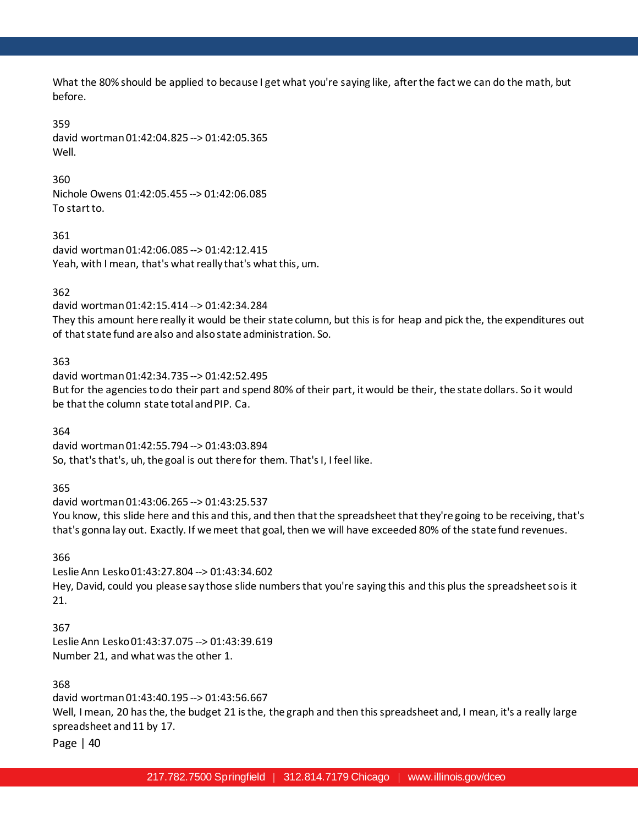What the 80% should be applied to because I get what you're saying like, after the fact we can do the math, but before.

### 359

david wortman 01:42:04.825 --> 01:42:05.365 Well.

360 Nichole Owens 01:42:05.455 --> 01:42:06.085 To start to.

361 david wortman 01:42:06.085 --> 01:42:12.415 Yeah, with I mean, that's what really that's what this, um.

# 362

david wortman 01:42:15.414 --> 01:42:34.284 They this amount here really it would be their state column, but this is for heap and pick the, the expenditures out of that state fund are also and also state administration. So.

363 david wortman 01:42:34.735 --> 01:42:52.495 But for the agencies to do their part and spend 80% of their part, it would be their, the state dollars. So it would be that the column state total and PIP. Ca.

364

david wortman 01:42:55.794 --> 01:43:03.894 So, that's that's, uh, the goal is out there for them. That's I, I feel like.

365

david wortman 01:43:06.265 --> 01:43:25.537 You know, this slide here and this and this, and then that the spreadsheet that they're going to be receiving, that's that's gonna lay out. Exactly. If we meet that goal, then we will have exceeded 80% of the state fund revenues.

366

Leslie Ann Lesko 01:43:27.804 --> 01:43:34.602 Hey, David, could you please say those slide numbers that you're saying this and this plus the spreadsheet so is it 21.

367

Leslie Ann Lesko 01:43:37.075 --> 01:43:39.619 Number 21, and what was the other 1.

368

david wortman 01:43:40.195 --> 01:43:56.667 Well, I mean, 20 has the, the budget 21 is the, the graph and then this spreadsheet and, I mean, it's a really large spreadsheet and 11 by 17.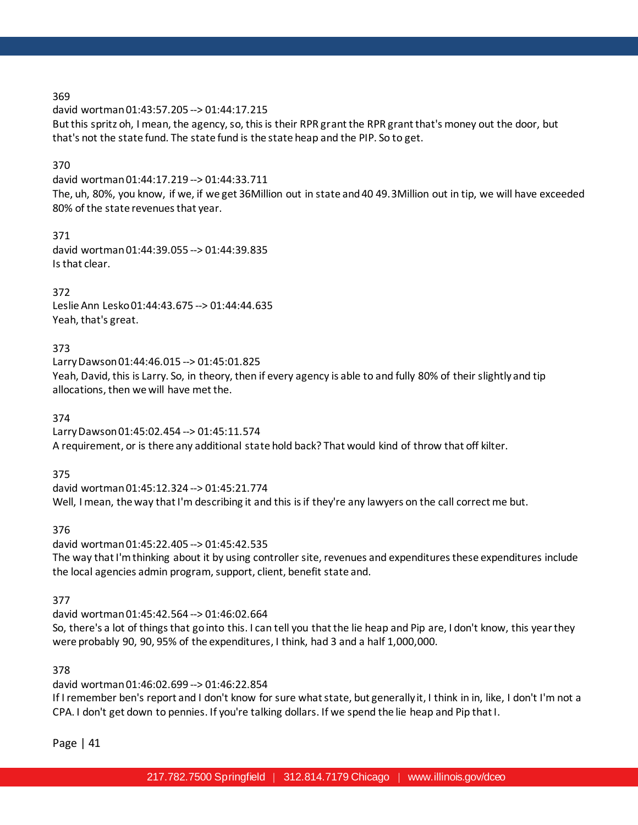david wortman 01:43:57.205 --> 01:44:17.215 But this spritz oh, I mean, the agency, so, this is their RPR grant the RPR grant that's money out the door, but that's not the state fund. The state fund is the state heap and the PIP. So to get.

# 370

david wortman 01:44:17.219 --> 01:44:33.711

The, uh, 80%, you know, if we, if we get 36Million out in state and 40 49.3Million out in tip, we will have exceeded 80% of the state revenues that year.

# 371

david wortman 01:44:39.055 --> 01:44:39.835 Is that clear.

# 372

Leslie Ann Lesko 01:44:43.675 --> 01:44:44.635 Yeah, that's great.

# 373

Larry Dawson 01:44:46.015 --> 01:45:01.825 Yeah, David, this is Larry. So, in theory, then if every agency is able to and fully 80% of their slightly and tip allocations, then we will have met the.

374

Larry Dawson 01:45:02.454 --> 01:45:11.574 A requirement, or is there any additional state hold back? That would kind of throw that off kilter.

375

david wortman 01:45:12.324 --> 01:45:21.774 Well, I mean, the way that I'm describing it and this is if they're any lawyers on the call correct me but.

376

david wortman 01:45:22.405 --> 01:45:42.535 The way that I'm thinking about it by using controller site, revenues and expenditures these expenditures include the local agencies admin program, support, client, benefit state and.

# 377

david wortman 01:45:42.564 --> 01:46:02.664 So, there's a lot of things that go into this. I can tell you that the lie heap and Pip are, I don't know, this year they were probably 90, 90, 95% of the expenditures, I think, had 3 and a half 1,000,000.

# 378

david wortman 01:46:02.699 --> 01:46:22.854

If I remember ben's report and I don't know for sure what state, but generally it, I think in in, like, I don't I'm not a CPA. I don't get down to pennies. If you're talking dollars. If we spend the lie heap and Pip that I.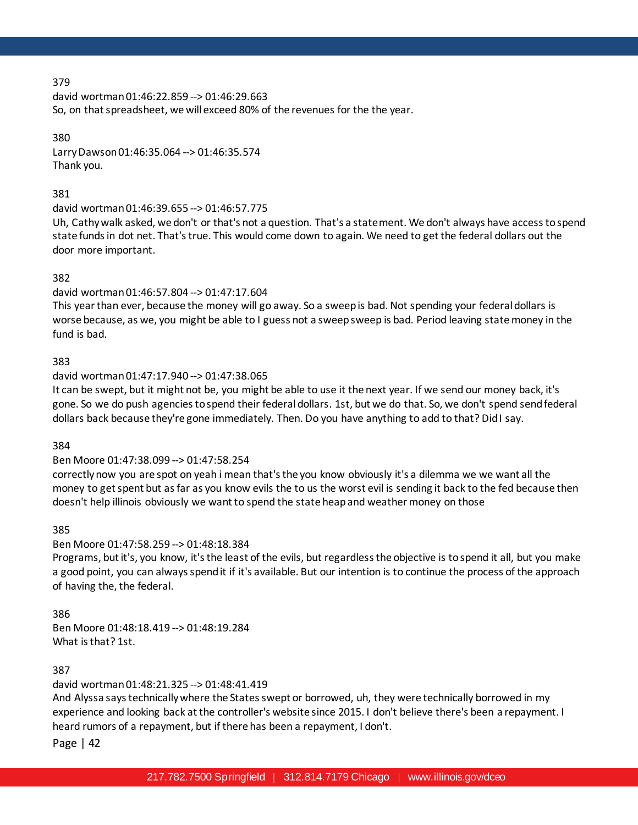david wortman 01:46:22.859 --> 01:46:29.663 So, on that spreadsheet, we will exceed 80% of the revenues for the the year.

380 Larry Dawson 01:46:35.064 --> 01:46:35.574 Thank you.

### 381

david wortman 01:46:39.655 --> 01:46:57.775

Uh, Cathy walk asked, we don't or that's not a question. That's a statement. We don't always have access to spend state funds in dot net. That's true. This would come down to again. We need to get the federal dollars out the door more important.

# 382

# david wortman 01:46:57.804 --> 01:47:17.604

This year than ever, because the money will go away. So a sweep is bad. Not spending your federal dollars is worse because, as we, you might be able to I guess not a sweep sweep is bad. Period leaving state money in the fund is bad.

# 383

### david wortman 01:47:17.940 --> 01:47:38.065

It can be swept, but it might not be, you might be able to use it the next year. If we send our money back, it's gone. So we do push agencies to spend their federal dollars. 1st, but we do that. So, we don't spend send federal dollars back because they're gone immediately. Then. Do you have anything to add to that? Did I say.

#### 384

# Ben Moore 01:47:38.099 --> 01:47:58.254

correctly now you are spot on yeah i mean that's the you know obviously it's a dilemma we we want all the money to get spent but as far as you know evils the to us the worst evil is sending it back to the fed because then doesn't help illinois obviously we want to spend the state heap and weather money on those

#### 385

# Ben Moore 01:47:58.259 --> 01:48:18.384

Programs, but it's, you know, it's the least of the evils, but regardless the objective is to spend it all, but you make a good point, you can always spend it if it's available. But our intention is to continue the process of the approach of having the, the federal.

# 386

Ben Moore 01:48:18.419 --> 01:48:19.284 What is that? 1st.

# 387

# david wortman 01:48:21.325 --> 01:48:41.419

And Alyssa says technically where the States swept or borrowed, uh, they were technically borrowed in my experience and looking back at the controller's website since 2015. I don't believe there's been a repayment. I heard rumors of a repayment, but if there has been a repayment, I don't.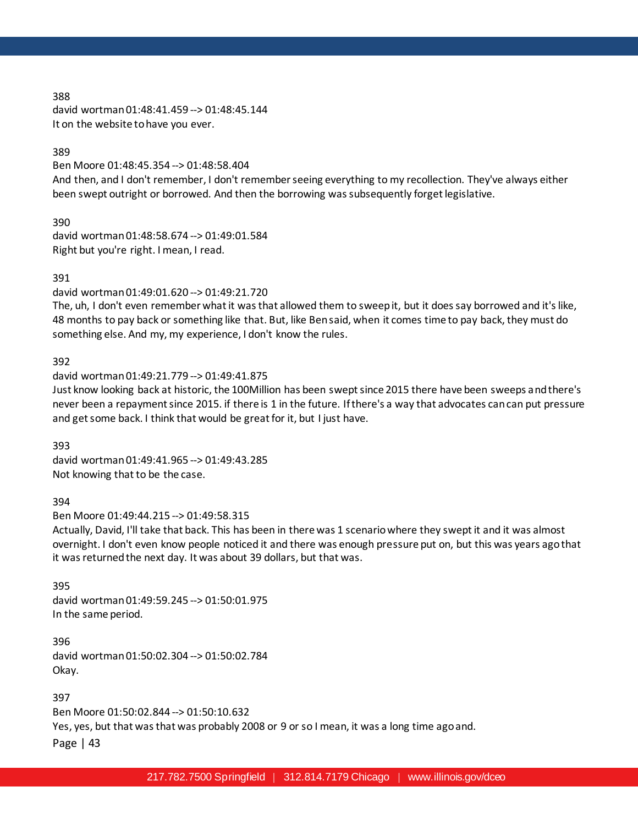david wortman 01:48:41.459 --> 01:48:45.144 It on the website to have you ever.

#### 389

Ben Moore 01:48:45.354 --> 01:48:58.404 And then, and I don't remember, I don't remember seeing everything to my recollection. They've always either been swept outright or borrowed. And then the borrowing was subsequently forget legislative.

390 david wortman 01:48:58.674 --> 01:49:01.584 Right but you're right. I mean, I read.

### 391

david wortman 01:49:01.620 --> 01:49:21.720

The, uh, I don't even remember what it was that allowed them to sweep it, but it does say borrowed and it's like, 48 months to pay back or something like that. But, like Ben said, when it comes time to pay back, they must do something else. And my, my experience, I don't know the rules.

# 392

#### david wortman 01:49:21.779 --> 01:49:41.875

Just know looking back at historic, the 100Million has been swept since 2015 there have been sweeps and there's never been a repayment since 2015. if there is 1 in the future. If there's a way that advocates can can put pressure and get some back. I think that would be great for it, but I just have.

#### 393

david wortman 01:49:41.965 --> 01:49:43.285 Not knowing that to be the case.

#### 394

Ben Moore 01:49:44.215 --> 01:49:58.315

Actually, David, I'll take that back. This has been in there was 1 scenario where they swept it and it was almost overnight. I don't even know people noticed it and there was enough pressure put on, but this was years ago that it was returned the next day. It was about 39 dollars, but that was.

395

david wortman 01:49:59.245 --> 01:50:01.975 In the same period.

396 david wortman 01:50:02.304 --> 01:50:02.784 Okay.

397

Ben Moore 01:50:02.844 --> 01:50:10.632

Yes, yes, but that was that was probably 2008 or 9 or so I mean, it was a long time ago and.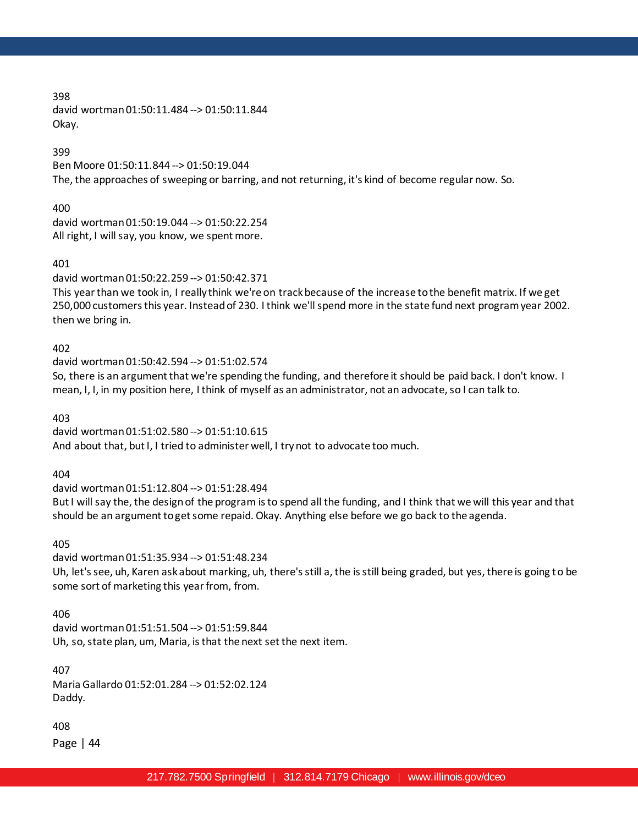398 david wortman 01:50:11.484 --> 01:50:11.844 Okay.

399

Ben Moore 01:50:11.844 --> 01:50:19.044 The, the approaches of sweeping or barring, and not returning, it's kind of become regular now. So.

400

david wortman 01:50:19.044 --> 01:50:22.254 All right, I will say, you know, we spent more.

401

david wortman 01:50:22.259 --> 01:50:42.371

This year than we took in, I really think we're on track because of the increase to the benefit matrix. If we get 250,000 customers this year. Instead of 230. I think we'll spend more in the state fund next program year 2002. then we bring in.

402

david wortman 01:50:42.594 --> 01:51:02.574 So, there is an argument that we're spending the funding, and therefore it should be paid back. I don't know. I mean, I, I, in my position here, I think of myself as an administrator, not an advocate, so I can talk to.

403

david wortman 01:51:02.580 --> 01:51:10.615 And about that, but I, I tried to administer well, I try not to advocate too much.

404

david wortman 01:51:12.804 --> 01:51:28.494 But I will say the, the design of the program is to spend all the funding, and I think that we will this year and that should be an argument to get some repaid. Okay. Anything else before we go back to the agenda.

405

david wortman 01:51:35.934 --> 01:51:48.234 Uh, let's see, uh, Karen ask about marking, uh, there's still a, the is still being graded, but yes, there is going to be some sort of marketing this year from, from.

406

david wortman 01:51:51.504 --> 01:51:59.844 Uh, so, state plan, um, Maria, is that the next set the next item.

407

Maria Gallardo 01:52:01.284 --> 01:52:02.124 Daddy.

408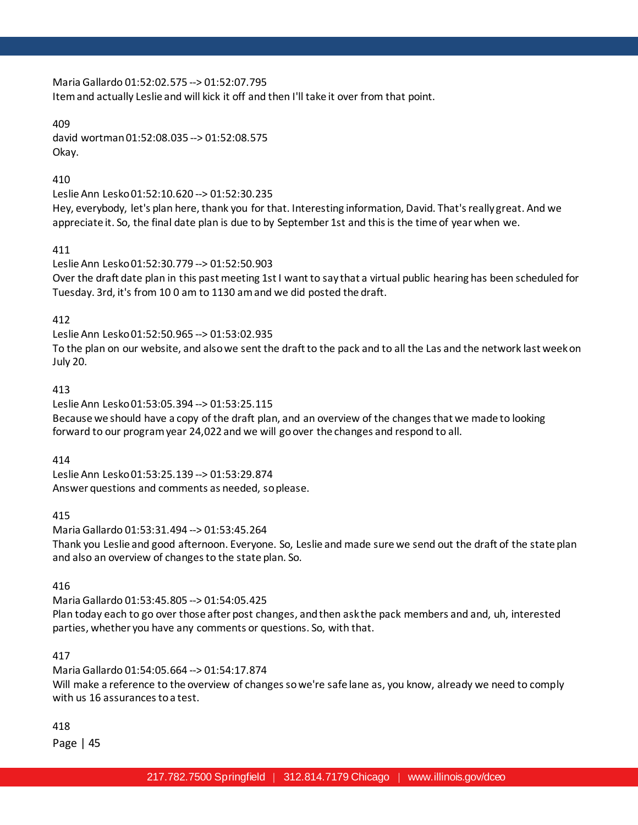Maria Gallardo 01:52:02.575 --> 01:52:07.795 Item and actually Leslie and will kick it off and then I'll take it over from that point.

# 409

david wortman 01:52:08.035 --> 01:52:08.575 Okay.

# 410

Leslie Ann Lesko 01:52:10.620 --> 01:52:30.235

Hey, everybody, let's plan here, thank you for that. Interesting information, David. That's really great. And we appreciate it. So, the final date plan is due to by September 1st and this is the time of year when we.

# 411

Leslie Ann Lesko 01:52:30.779 --> 01:52:50.903 Over the draft date plan in this past meeting 1st I want to say that a virtual public hearing has been scheduled for Tuesday. 3rd, it's from 10 0 am to 1130 am and we did posted the draft.

# 412

Leslie Ann Lesko 01:52:50.965 --> 01:53:02.935

To the plan on our website, and also we sent the draft to the pack and to all the Las and the network last week on July 20.

# 413

Leslie Ann Lesko 01:53:05.394 --> 01:53:25.115 Because we should have a copy of the draft plan, and an overview of the changes that we made to looking forward to our program year 24,022 and we will go over the changes and respond to all.

# 414

Leslie Ann Lesko 01:53:25.139 --> 01:53:29.874 Answer questions and comments as needed, so please.

# 415

Maria Gallardo 01:53:31.494 --> 01:53:45.264 Thank you Leslie and good afternoon. Everyone. So, Leslie and made sure we send out the draft of the state plan and also an overview of changes to the state plan. So.

# 416

Maria Gallardo 01:53:45.805 --> 01:54:05.425 Plan today each to go over those after post changes, and then ask the pack members and and, uh, interested parties, whether you have any comments or questions. So, with that.

# 417

Maria Gallardo 01:54:05.664 --> 01:54:17.874 Will make a reference to the overview of changes so we're safe lane as, you know, already we need to comply with us 16 assurances to a test.

418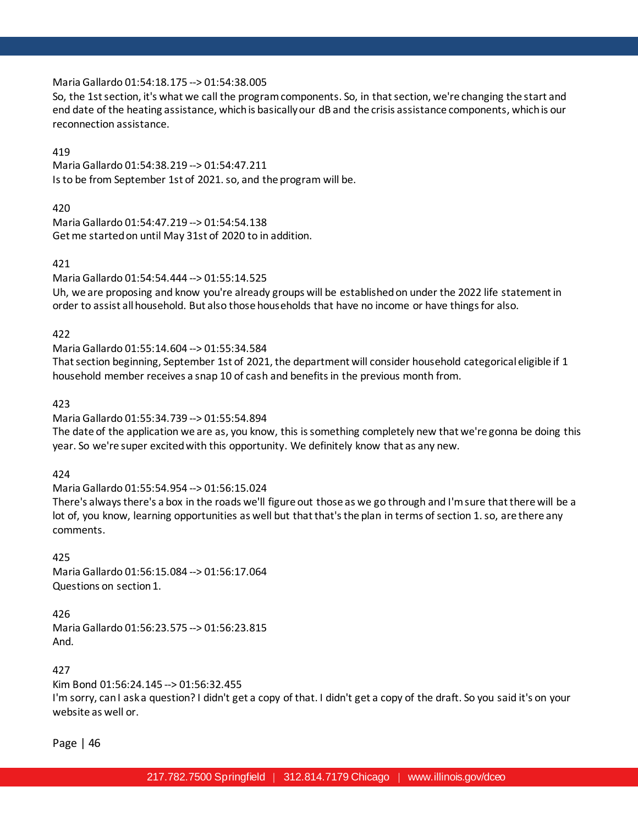### Maria Gallardo 01:54:18.175 --> 01:54:38.005

So, the 1st section, it's what we call the program components. So, in that section, we're changing the start and end date of the heating assistance, which is basically our dB and the crisis assistance components, which is our reconnection assistance.

### 419

Maria Gallardo 01:54:38.219 --> 01:54:47.211 Is to be from September 1st of 2021. so, and the program will be.

# 420

Maria Gallardo 01:54:47.219 --> 01:54:54.138 Get me started on until May 31st of 2020 to in addition.

### 421

Maria Gallardo 01:54:54.444 --> 01:55:14.525 Uh, we are proposing and know you're already groups will be established on under the 2022 life statement in order to assist all household. But also those households that have no income or have things for also.

### 422

Maria Gallardo 01:55:14.604 --> 01:55:34.584

That section beginning, September 1st of 2021, the department will consider household categorical eligible if 1 household member receives a snap 10 of cash and benefits in the previous month from.

### 423

# Maria Gallardo 01:55:34.739 --> 01:55:54.894

The date of the application we are as, you know, this is something completely new that we're gonna be doing this year. So we're super excited with this opportunity. We definitely know that as any new.

#### 424

#### Maria Gallardo 01:55:54.954 --> 01:56:15.024

There's always there's a box in the roads we'll figure out those as we go through and I'm sure that there will be a lot of, you know, learning opportunities as well but that that's the plan in terms of section 1. so, are there any comments.

425 Maria Gallardo 01:56:15.084 --> 01:56:17.064 Questions on section 1.

#### 426

Maria Gallardo 01:56:23.575 --> 01:56:23.815 And.

### 427

Kim Bond 01:56:24.145 --> 01:56:32.455 I'm sorry, can I ask a question? I didn't get a copy of that. I didn't get a copy of the draft. So you said it's on your website as well or.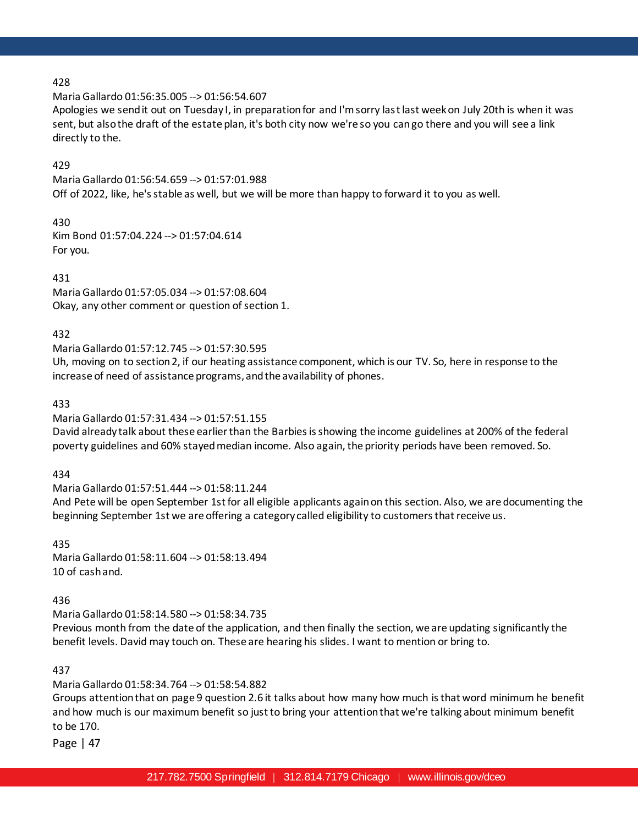Maria Gallardo 01:56:35.005 --> 01:56:54.607

Apologies we send it out on Tuesday I, in preparation for and I'm sorry last last week on July 20th is when it was sent, but also the draft of the estate plan, it's both city now we're so you can go there and you will see a link directly to the.

### 429

Maria Gallardo 01:56:54.659 --> 01:57:01.988 Off of 2022, like, he's stable as well, but we will be more than happy to forward it to you as well.

430 Kim Bond 01:57:04.224 --> 01:57:04.614 For you.

431

Maria Gallardo 01:57:05.034 --> 01:57:08.604 Okay, any other comment or question of section 1.

### 432

Maria Gallardo 01:57:12.745 --> 01:57:30.595

Uh, moving on to section 2, if our heating assistance component, which is our TV. So, here in response to the increase of need of assistance programs, and the availability of phones.

433

Maria Gallardo 01:57:31.434 --> 01:57:51.155

David already talk about these earlier than the Barbies is showing the income guidelines at 200% of the federal poverty guidelines and 60% stayed median income. Also again, the priority periods have been removed. So.

434

Maria Gallardo 01:57:51.444 --> 01:58:11.244

And Pete will be open September 1st for all eligible applicants again on this section. Also, we are documenting the beginning September 1st we are offering a category called eligibility to customers that receive us.

435

Maria Gallardo 01:58:11.604 --> 01:58:13.494 10 of cash and.

436

Maria Gallardo 01:58:14.580 --> 01:58:34.735

Previous month from the date of the application, and then finally the section, we are updating significantly the benefit levels. David may touch on. These are hearing his slides. I want to mention or bring to.

437

Maria Gallardo 01:58:34.764 --> 01:58:54.882

Groups attention that on page 9 question 2.6 it talks about how many how much is that word minimum he benefit and how much is our maximum benefit so just to bring your attention that we're talking about minimum benefit to be 170.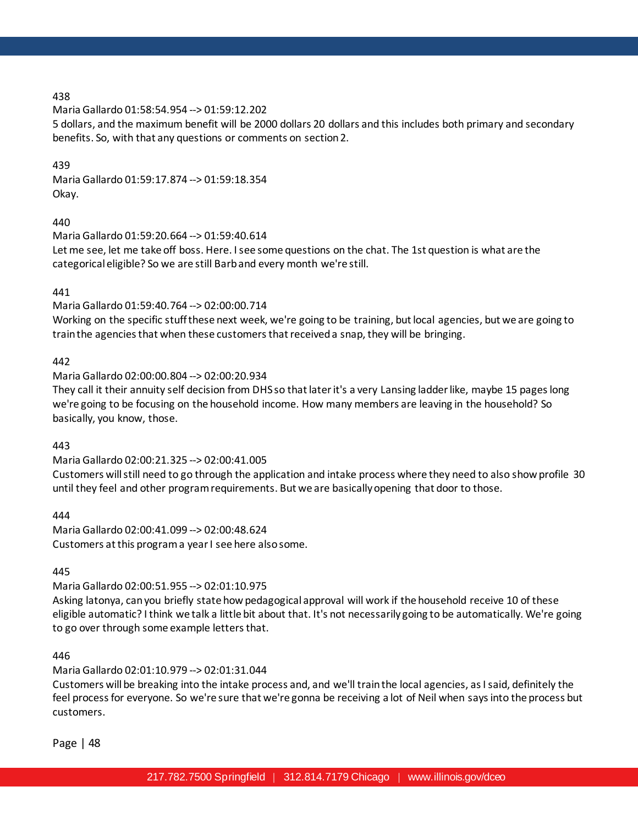Maria Gallardo 01:58:54.954 --> 01:59:12.202

5 dollars, and the maximum benefit will be 2000 dollars 20 dollars and this includes both primary and secondary benefits. So, with that any questions or comments on section 2.

### 439

Maria Gallardo 01:59:17.874 --> 01:59:18.354 Okay.

440

Maria Gallardo 01:59:20.664 --> 01:59:40.614

Let me see, let me take off boss. Here. I see some questions on the chat. The 1st question is what are the categorical eligible? So we are still Barb and every month we're still.

441

### Maria Gallardo 01:59:40.764 --> 02:00:00.714

Working on the specific stuff these next week, we're going to be training, but local agencies, but we are going to train the agencies that when these customers that received a snap, they will be bringing.

# 442

Maria Gallardo 02:00:00.804 --> 02:00:20.934

They call it their annuity self decision from DHS so that later it's a very Lansing ladder like, maybe 15 pages long we're going to be focusing on the household income. How many members are leaving in the household? So basically, you know, those.

#### 443

Maria Gallardo 02:00:21.325 --> 02:00:41.005 Customers will still need to go through the application and intake process where they need to also show profile 30 until they feel and other program requirements. But we are basically opening that door to those.

444

Maria Gallardo 02:00:41.099 --> 02:00:48.624 Customers at this program a year I see here also some.

445

#### Maria Gallardo 02:00:51.955 --> 02:01:10.975

Asking latonya, can you briefly state how pedagogical approval will work if the household receive 10 of these eligible automatic? I think we talk a little bit about that. It's not necessarily going to be automatically. We're going to go over through some example letters that.

#### 446

Maria Gallardo 02:01:10.979 --> 02:01:31.044

Customers will be breaking into the intake process and, and we'll train the local agencies, as I said, definitely the feel process for everyone. So we're sure that we're gonna be receiving a lot of Neil when says into the process but customers.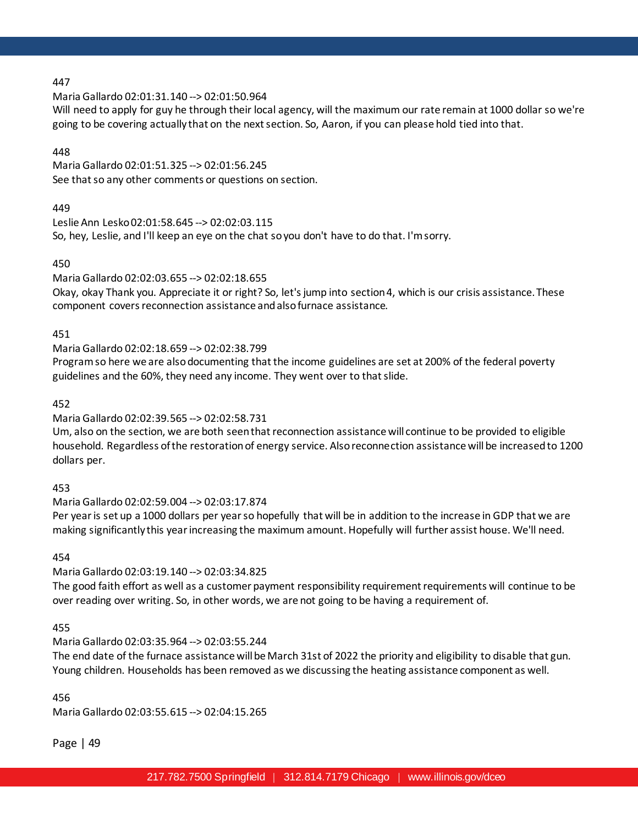#### Maria Gallardo 02:01:31.140 --> 02:01:50.964

Will need to apply for guy he through their local agency, will the maximum our rate remain at 1000 dollar so we're going to be covering actually that on the next section. So, Aaron, if you can please hold tied into that.

### 448

Maria Gallardo 02:01:51.325 --> 02:01:56.245 See that so any other comments or questions on section.

### 449

Leslie Ann Lesko 02:01:58.645 --> 02:02:03.115 So, hey, Leslie, and I'll keep an eye on the chat so you don't have to do that. I'm sorry.

### 450

### Maria Gallardo 02:02:03.655 --> 02:02:18.655

Okay, okay Thank you. Appreciate it or right? So, let's jump into section 4, which is our crisis assistance. These component covers reconnection assistance and also furnace assistance.

### 451

### Maria Gallardo 02:02:18.659 --> 02:02:38.799

Program so here we are also documenting that the income guidelines are set at 200% of the federal poverty guidelines and the 60%, they need any income. They went over to that slide.

### 452

# Maria Gallardo 02:02:39.565 --> 02:02:58.731

Um, also on the section, we are both seen that reconnection assistance will continue to be provided to eligible household. Regardless of the restoration of energy service. Also reconnection assistance will be increased to 1200 dollars per.

#### 453

# Maria Gallardo 02:02:59.004 --> 02:03:17.874

Per year is set up a 1000 dollars per year so hopefully that will be in addition to the increase in GDP that we are making significantly this year increasing the maximum amount. Hopefully will further assist house. We'll need.

454

# Maria Gallardo 02:03:19.140 --> 02:03:34.825

The good faith effort as well as a customer payment responsibility requirement requirements will continue to be over reading over writing. So, in other words, we are not going to be having a requirement of.

#### 455

# Maria Gallardo 02:03:35.964 --> 02:03:55.244

The end date of the furnace assistance will be March 31st of 2022 the priority and eligibility to disable that gun. Young children. Households has been removed as we discussing the heating assistance component as well.

#### 456

Maria Gallardo 02:03:55.615 --> 02:04:15.265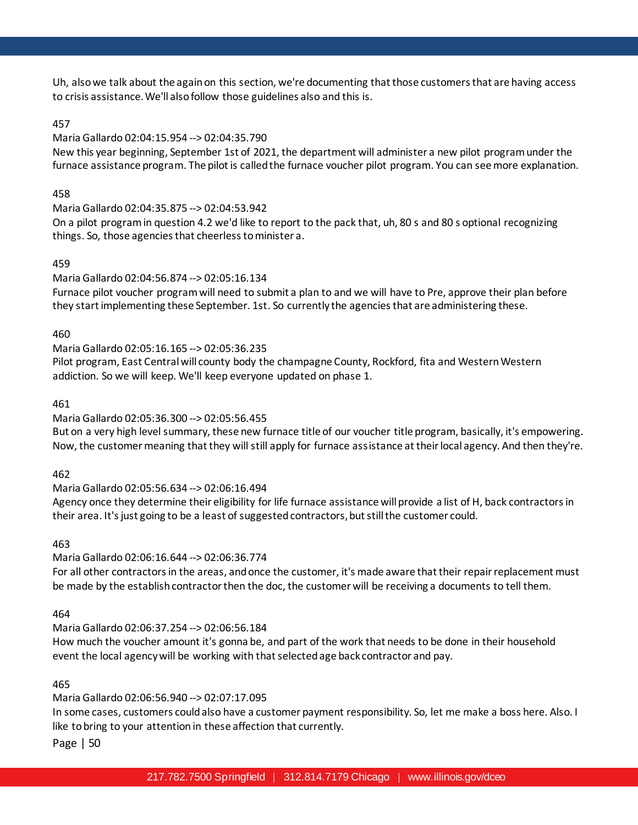Uh, also we talk about the again on this section, we're documenting that those customers that are having access to crisis assistance. We'll also follow those guidelines also and this is.

# 457

# Maria Gallardo 02:04:15.954 --> 02:04:35.790

New this year beginning, September 1st of 2021, the department will administer a new pilot program under the furnace assistance program. The pilot is called the furnace voucher pilot program. You can see more explanation.

# 458

Maria Gallardo 02:04:35.875 --> 02:04:53.942 On a pilot program in question 4.2 we'd like to report to the pack that, uh, 80 s and 80 s optional recognizing things. So, those agencies that cheerless to minister a.

# 459

# Maria Gallardo 02:04:56.874 --> 02:05:16.134

Furnace pilot voucher program will need to submit a plan to and we will have to Pre, approve their plan before they start implementing these September. 1st. So currently the agencies that are administering these.

# 460

Maria Gallardo 02:05:16.165 --> 02:05:36.235

Pilot program, East Central will county body the champagne County, Rockford, fita and Western Western addiction. So we will keep. We'll keep everyone updated on phase 1.

# 461

# Maria Gallardo 02:05:36.300 --> 02:05:56.455

But on a very high level summary, these new furnace title of our voucher title program, basically, it's empowering. Now, the customer meaning that they will still apply for furnace assistance at their local agency. And then they're.

# 462

# Maria Gallardo 02:05:56.634 --> 02:06:16.494

Agency once they determine their eligibility for life furnace assistance will provide a list of H, back contractors in their area. It's just going to be a least of suggested contractors, but still the customer could.

# 463

# Maria Gallardo 02:06:16.644 --> 02:06:36.774

For all other contractors in the areas, and once the customer, it's made aware that their repair replacement must be made by the establish contractor then the doc, the customer will be receiving a documents to tell them.

# 464

# Maria Gallardo 02:06:37.254 --> 02:06:56.184

How much the voucher amount it's gonna be, and part of the work that needs to be done in their household event the local agency will be working with that selected age back contractor and pay.

# 465

# Maria Gallardo 02:06:56.940 --> 02:07:17.095

In some cases, customers could also have a customer payment responsibility. So, let me make a boss here. Also. I like to bring to your attention in these affection that currently.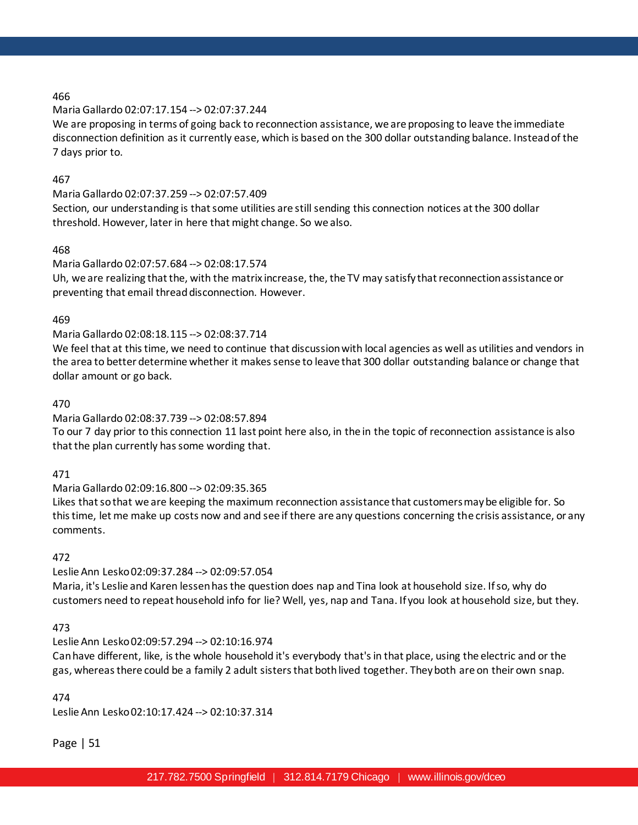# Maria Gallardo 02:07:17.154 --> 02:07:37.244

We are proposing in terms of going back to reconnection assistance, we are proposing to leave the immediate disconnection definition as it currently ease, which is based on the 300 dollar outstanding balance. Instead of the 7 days prior to.

### 467

### Maria Gallardo 02:07:37.259 --> 02:07:57.409

Section, our understanding is that some utilities are still sending this connection notices at the 300 dollar threshold. However, later in here that might change. So we also.

### 468

### Maria Gallardo 02:07:57.684 --> 02:08:17.574

Uh, we are realizing that the, with the matrix increase, the, the TV may satisfy that reconnection assistance or preventing that email thread disconnection. However.

### 469

### Maria Gallardo 02:08:18.115 --> 02:08:37.714

We feel that at this time, we need to continue that discussion with local agencies as well as utilities and vendors in the area to better determine whether it makes sense to leave that 300 dollar outstanding balance or change that dollar amount or go back.

#### 470

### Maria Gallardo 02:08:37.739 --> 02:08:57.894

To our 7 day prior to this connection 11 last point here also, in the in the topic of reconnection assistance is also that the plan currently has some wording that.

#### 471

#### Maria Gallardo 02:09:16.800 --> 02:09:35.365

Likes that so that we are keeping the maximum reconnection assistance that customers may be eligible for. So this time, let me make up costs now and and see if there are any questions concerning the crisis assistance, or any comments.

# 472

# Leslie Ann Lesko 02:09:37.284 --> 02:09:57.054

Maria, it's Leslie and Karen lessen has the question does nap and Tina look at household size. If so, why do customers need to repeat household info for lie? Well, yes, nap and Tana. If you look at household size, but they.

#### 473

# Leslie Ann Lesko 02:09:57.294 --> 02:10:16.974

Can have different, like, is the whole household it's everybody that's in that place, using the electric and or the gas, whereas there could be a family 2 adult sisters that both lived together. They both are on their own snap.

#### 474

Leslie Ann Lesko 02:10:17.424 --> 02:10:37.314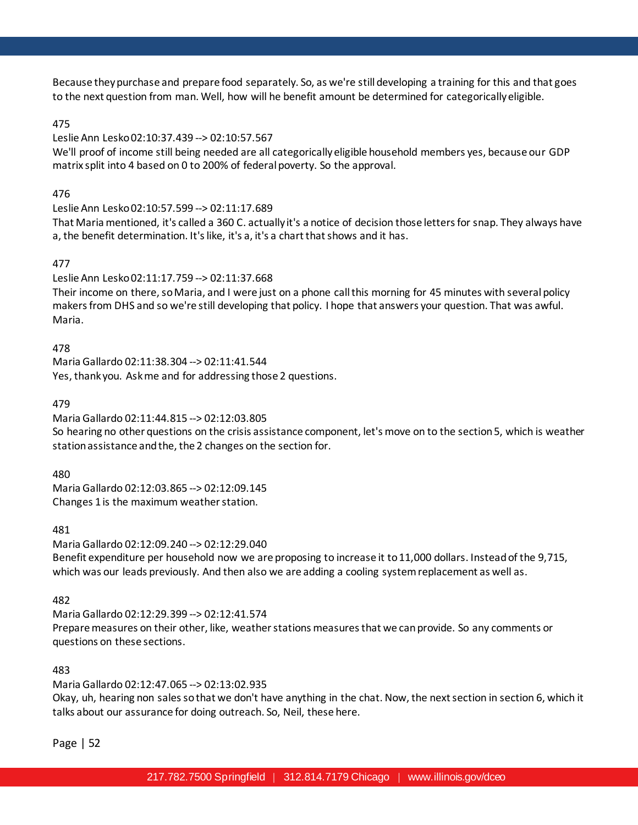Because they purchase and prepare food separately. So, as we're still developing a training for this and that goes to the next question from man. Well, how will he benefit amount be determined for categorically eligible.

# 475

### Leslie Ann Lesko 02:10:37.439 --> 02:10:57.567

We'll proof of income still being needed are all categorically eligible household members yes, because our GDP matrix split into 4 based on 0 to 200% of federal poverty. So the approval.

### 476

#### Leslie Ann Lesko 02:10:57.599 --> 02:11:17.689

That Maria mentioned, it's called a 360 C. actually it's a notice of decision those letters for snap. They always have a, the benefit determination. It's like, it's a, it's a chart that shows and it has.

### 477

### Leslie Ann Lesko 02:11:17.759 --> 02:11:37.668

Their income on there, so Maria, and I were just on a phone call this morning for 45 minutes with several policy makers from DHS and so we're still developing that policy. I hope that answers your question. That was awful. Maria.

### 478

Maria Gallardo 02:11:38.304 --> 02:11:41.544 Yes, thank you. Ask me and for addressing those 2 questions.

### 479

# Maria Gallardo 02:11:44.815 --> 02:12:03.805

So hearing no other questions on the crisis assistance component, let's move on to the section 5, which is weather station assistance and the, the 2 changes on the section for.

480

Maria Gallardo 02:12:03.865 --> 02:12:09.145 Changes 1 is the maximum weather station.

#### 481

Maria Gallardo 02:12:09.240 --> 02:12:29.040

Benefit expenditure per household now we are proposing to increase it to 11,000 dollars. Instead of the 9,715, which was our leads previously. And then also we are adding a cooling system replacement as well as.

#### 482

Maria Gallardo 02:12:29.399 --> 02:12:41.574 Prepare measures on their other, like, weather stations measures that we can provide. So any comments or questions on these sections.

#### 483

Maria Gallardo 02:12:47.065 --> 02:13:02.935

Okay, uh, hearing non sales so that we don't have anything in the chat. Now, the next section in section 6, which it talks about our assurance for doing outreach. So, Neil, these here.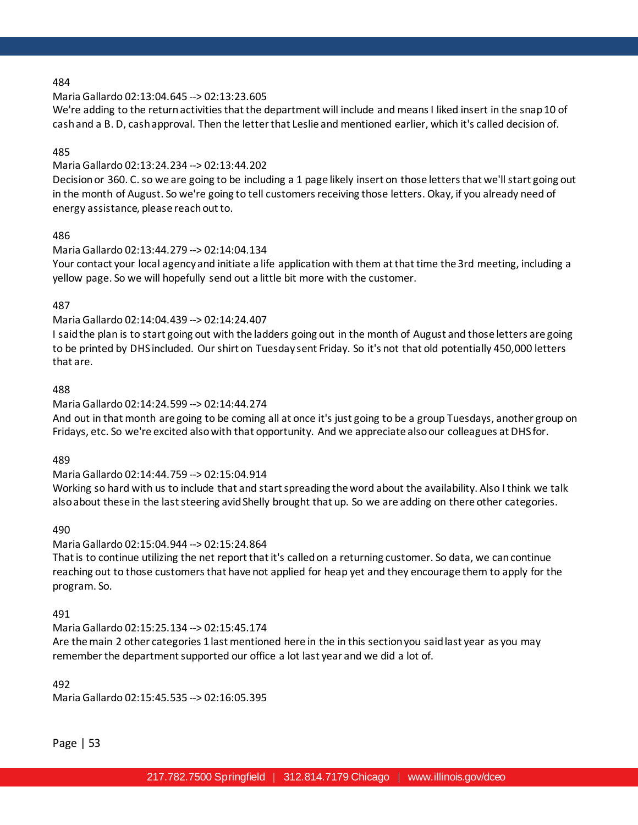### Maria Gallardo 02:13:04.645 --> 02:13:23.605

We're adding to the return activities that the department will include and means I liked insert in the snap 10 of cash and a B. D, cash approval. Then the letter that Leslie and mentioned earlier, which it's called decision of.

### 485

### Maria Gallardo 02:13:24.234 --> 02:13:44.202

Decision or 360. C. so we are going to be including a 1 page likely insert on those letters that we'll start going out in the month of August. So we're going to tell customers receiving those letters. Okay, if you already need of energy assistance, please reach out to.

# 486

### Maria Gallardo 02:13:44.279 --> 02:14:04.134

Your contact your local agency and initiate a life application with them at that time the 3rd meeting, including a yellow page. So we will hopefully send out a little bit more with the customer.

### 487

### Maria Gallardo 02:14:04.439 --> 02:14:24.407

I said the plan is to start going out with the ladders going out in the month of August and those letters are going to be printed by DHS included. Our shirt on Tuesday sent Friday. So it's not that old potentially 450,000 letters that are.

### 488

### Maria Gallardo 02:14:24.599 --> 02:14:44.274

And out in that month are going to be coming all at once it's just going to be a group Tuesdays, another group on Fridays, etc. So we're excited also with that opportunity. And we appreciate also our colleagues at DHS for.

#### 489

#### Maria Gallardo 02:14:44.759 --> 02:15:04.914

Working so hard with us to include that and start spreading the word about the availability. Also I think we talk also about these in the last steering avid Shelly brought that up. So we are adding on there other categories.

#### 490

#### Maria Gallardo 02:15:04.944 --> 02:15:24.864

That is to continue utilizing the net report that it's called on a returning customer. So data, we can continue reaching out to those customers that have not applied for heap yet and they encourage them to apply for the program. So.

#### 491

Maria Gallardo 02:15:25.134 --> 02:15:45.174

Are the main 2 other categories 1 last mentioned here in the in this section you said last year as you may remember the department supported our office a lot last year and we did a lot of.

#### 492

Maria Gallardo 02:15:45.535 --> 02:16:05.395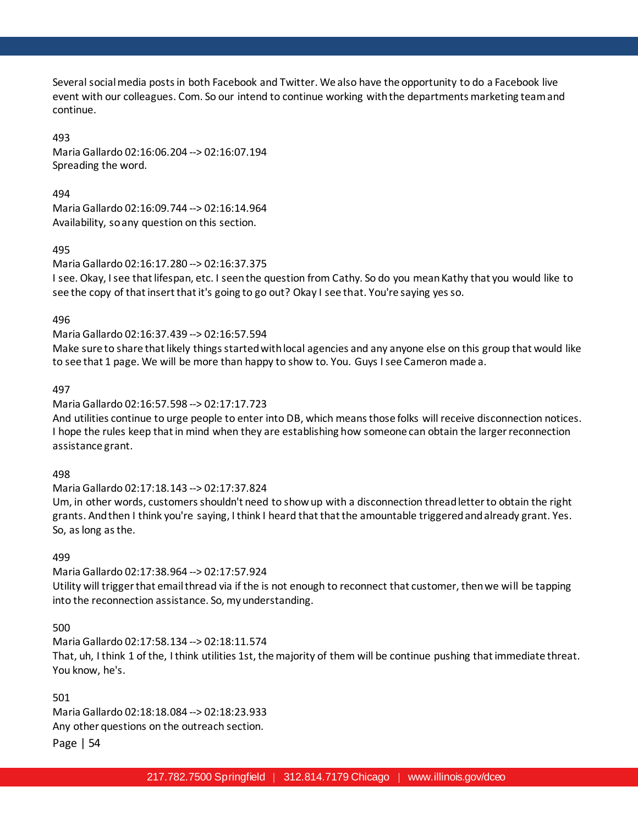Several social media posts in both Facebook and Twitter. We also have the opportunity to do a Facebook live event with our colleagues. Com. So our intend to continue working with the departments marketing team and continue.

493

Maria Gallardo 02:16:06.204 --> 02:16:07.194 Spreading the word.

494

Maria Gallardo 02:16:09.744 --> 02:16:14.964 Availability, so any question on this section.

495

Maria Gallardo 02:16:17.280 --> 02:16:37.375

I see. Okay, I see that lifespan, etc. I seen the question from Cathy. So do you mean Kathy that you would like to see the copy of that insert that it's going to go out? Okay I see that. You're saying yes so.

496

Maria Gallardo 02:16:37.439 --> 02:16:57.594

Make sure to share that likely things started with local agencies and any anyone else on this group that would like to see that 1 page. We will be more than happy to show to. You. Guys I see Cameron made a.

497

Maria Gallardo 02:16:57.598 --> 02:17:17.723

And utilities continue to urge people to enter into DB, which means those folks will receive disconnection notices. I hope the rules keep that in mind when they are establishing how someone can obtain the larger reconnection assistance grant.

498

Maria Gallardo 02:17:18.143 --> 02:17:37.824

Um, in other words, customers shouldn't need to show up with a disconnection thread letter to obtain the right grants. And then I think you're saying, I think I heard that that the amountable triggered and already grant. Yes. So, as long as the.

499

Maria Gallardo 02:17:38.964 --> 02:17:57.924

Utility will trigger that email thread via if the is not enough to reconnect that customer, then we will be tapping into the reconnection assistance. So, my understanding.

500

Maria Gallardo 02:17:58.134 --> 02:18:11.574

That, uh, I think 1 of the, I think utilities 1st, the majority of them will be continue pushing that immediate threat. You know, he's.

501

Maria Gallardo 02:18:18.084 --> 02:18:23.933 Any other questions on the outreach section.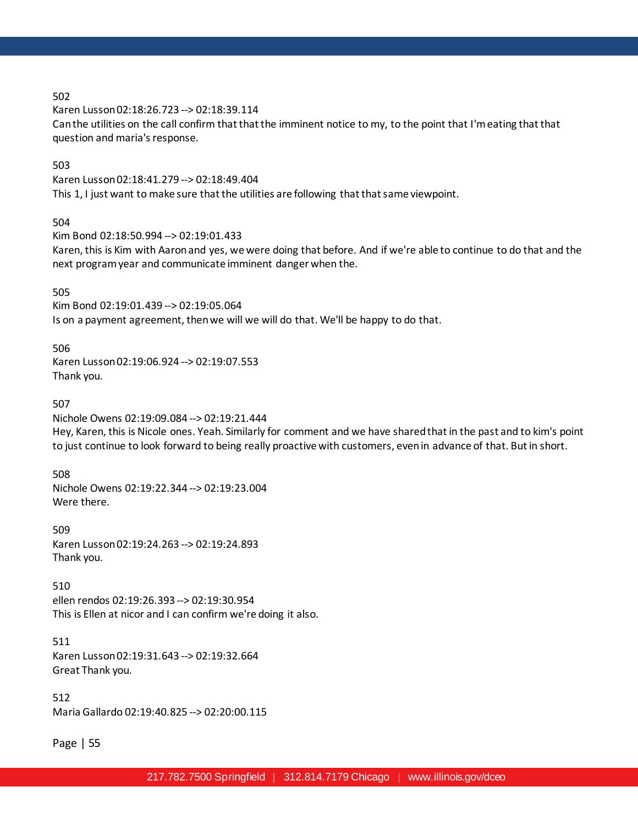Karen Lusson 02:18:26.723 --> 02:18:39.114

Can the utilities on the call confirm that that the imminent notice to my, to the point that I'm eating that that question and maria's response.

### 503

Karen Lusson 02:18:41.279 --> 02:18:49.404 This 1, I just want to make sure that the utilities are following that that same viewpoint.

#### 504

Kim Bond 02:18:50.994 --> 02:19:01.433

Karen, this is Kim with Aaron and yes, we were doing that before. And if we're able to continue to do that and the next program year and communicate imminent danger when the.

#### 505

Kim Bond 02:19:01.439 --> 02:19:05.064 Is on a payment agreement, then we will we will do that. We'll be happy to do that.

#### 506

Karen Lusson 02:19:06.924 --> 02:19:07.553 Thank you.

#### 507

Nichole Owens 02:19:09.084 --> 02:19:21.444 Hey, Karen, this is Nicole ones. Yeah. Similarly for comment and we have shared that in the past and to kim's point to just continue to look forward to being really proactive with customers, even in advance of that. But in short.

#### 508

Nichole Owens 02:19:22.344 --> 02:19:23.004 Were there.

509 Karen Lusson 02:19:24.263 --> 02:19:24.893 Thank you.

510 ellen rendos 02:19:26.393 --> 02:19:30.954 This is Ellen at nicor and I can confirm we're doing it also.

511 Karen Lusson 02:19:31.643 --> 02:19:32.664 Great Thank you.

512 Maria Gallardo 02:19:40.825 --> 02:20:00.115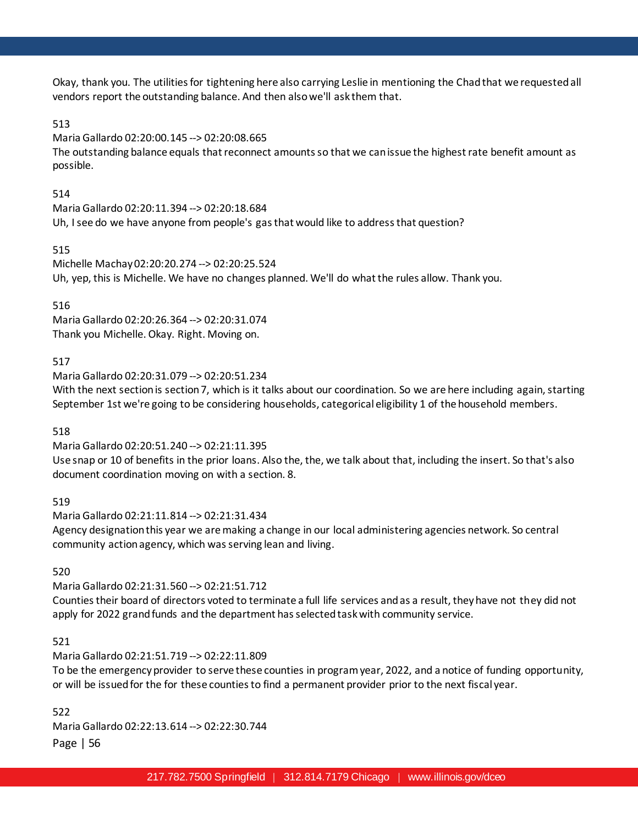Okay, thank you. The utilities for tightening here also carrying Leslie in mentioning the Chad that we requested all vendors report the outstanding balance. And then also we'll ask them that.

# 513

Maria Gallardo 02:20:00.145 --> 02:20:08.665

The outstanding balance equals that reconnect amounts so that we can issue the highest rate benefit amount as possible.

# 514

Maria Gallardo 02:20:11.394 --> 02:20:18.684 Uh, I see do we have anyone from people's gas that would like to address that question?

# 515

Michelle Machay 02:20:20.274 --> 02:20:25.524 Uh, yep, this is Michelle. We have no changes planned. We'll do what the rules allow. Thank you.

# 516

Maria Gallardo 02:20:26.364 --> 02:20:31.074 Thank you Michelle. Okay. Right. Moving on.

# 517

Maria Gallardo 02:20:31.079 --> 02:20:51.234

With the next section is section 7, which is it talks about our coordination. So we are here including again, starting September 1st we're going to be considering households, categorical eligibility 1 of the household members.

# 518

Maria Gallardo 02:20:51.240 --> 02:21:11.395

Use snap or 10 of benefits in the prior loans. Also the, the, we talk about that, including the insert. So that's also document coordination moving on with a section. 8.

# 519

Maria Gallardo 02:21:11.814 --> 02:21:31.434 Agency designation this year we are making a change in our local administering agencies network. So central community action agency, which was serving lean and living.

# 520

Maria Gallardo 02:21:31.560 --> 02:21:51.712

Counties their board of directors voted to terminate a full life services and as a result, they have not they did not apply for 2022 grand funds and the department has selected task with community service.

# 521

Maria Gallardo 02:21:51.719 --> 02:22:11.809

To be the emergency provider to serve these counties in program year, 2022, and a notice of funding opportunity, or will be issued for the for these counties to find a permanent provider prior to the next fiscal year.

522

Maria Gallardo 02:22:13.614 --> 02:22:30.744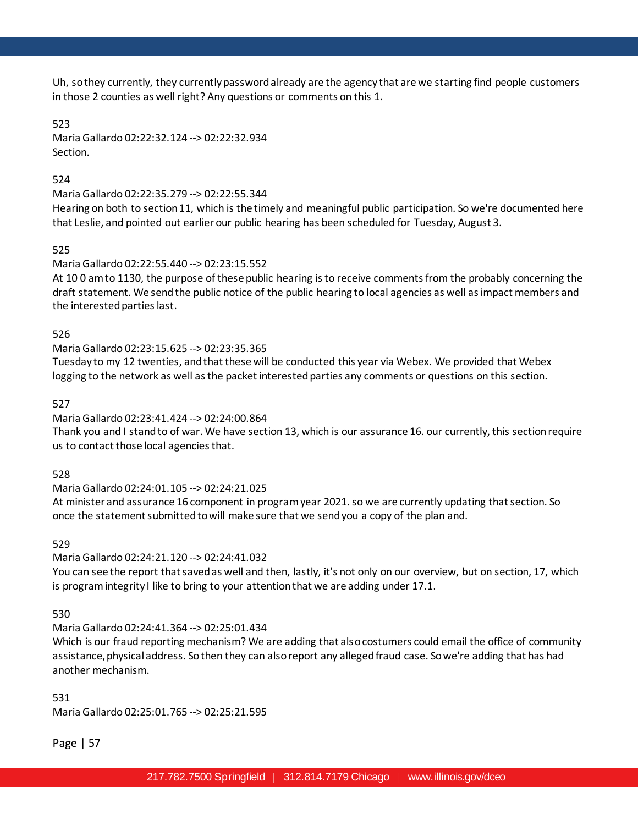Uh, so they currently, they currently password already are the agency that are we starting find people customers in those 2 counties as well right? Any questions or comments on this 1.

### 523

Maria Gallardo 02:22:32.124 --> 02:22:32.934 Section.

# 524

Maria Gallardo 02:22:35.279 --> 02:22:55.344

Hearing on both to section 11, which is the timely and meaningful public participation. So we're documented here that Leslie, and pointed out earlier our public hearing has been scheduled for Tuesday, August 3.

### 525

# Maria Gallardo 02:22:55.440 --> 02:23:15.552

At 10 0 am to 1130, the purpose of these public hearing is to receive comments from the probably concerning the draft statement. We send the public notice of the public hearing to local agencies as well as impact members and the interested parties last.

### 526

# Maria Gallardo 02:23:15.625 --> 02:23:35.365

Tuesday to my 12 twenties, and that these will be conducted this year via Webex. We provided that Webex logging to the network as well as the packet interested parties any comments or questions on this section.

### 527

# Maria Gallardo 02:23:41.424 --> 02:24:00.864

Thank you and I stand to of war. We have section 13, which is our assurance 16. our currently, this section require us to contact those local agencies that.

#### 528

# Maria Gallardo 02:24:01.105 --> 02:24:21.025

At minister and assurance 16 component in program year 2021. so we are currently updating that section. So once the statement submitted to will make sure that we send you a copy of the plan and.

### 529

# Maria Gallardo 02:24:21.120 --> 02:24:41.032

You can see the report that saved as well and then, lastly, it's not only on our overview, but on section, 17, which is program integrity I like to bring to your attention that we are adding under 17.1.

#### 530

# Maria Gallardo 02:24:41.364 --> 02:25:01.434

Which is our fraud reporting mechanism? We are adding that also costumers could email the office of community assistance, physical address. So then they can also report any alleged fraud case. So we're adding that has had another mechanism.

#### 531

Maria Gallardo 02:25:01.765 --> 02:25:21.595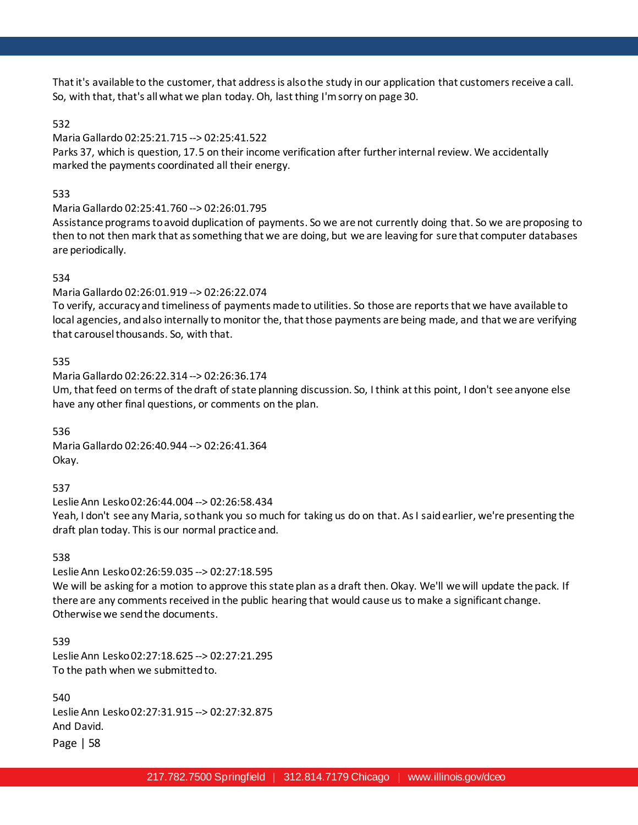That it's available to the customer, that address is also the study in our application that customers receive a call. So, with that, that's all what we plan today. Oh, last thing I'm sorry on page 30.

# 532

# Maria Gallardo 02:25:21.715 --> 02:25:41.522

Parks 37, which is question, 17.5 on their income verification after further internal review. We accidentally marked the payments coordinated all their energy.

# 533

# Maria Gallardo 02:25:41.760 --> 02:26:01.795

Assistance programs to avoid duplication of payments. So we are not currently doing that. So we are proposing to then to not then mark that as something that we are doing, but we are leaving for sure that computer databases are periodically.

# 534

# Maria Gallardo 02:26:01.919 --> 02:26:22.074

To verify, accuracy and timeliness of payments made to utilities. So those are reports that we have available to local agencies, and also internally to monitor the, that those payments are being made, and that we are verifying that carousel thousands. So, with that.

# 535

Maria Gallardo 02:26:22.314 --> 02:26:36.174 Um, that feed on terms of the draft of state planning discussion. So, I think at this point, I don't see anyone else have any other final questions, or comments on the plan.

536 Maria Gallardo 02:26:40.944 --> 02:26:41.364 Okay.

537

Leslie Ann Lesko 02:26:44.004 --> 02:26:58.434 Yeah, I don't see any Maria, so thank you so much for taking us do on that. As I said earlier, we're presenting the draft plan today. This is our normal practice and.

538

Leslie Ann Lesko 02:26:59.035 --> 02:27:18.595 We will be asking for a motion to approve this state plan as a draft then. Okay. We'll we will update the pack. If there are any comments received in the public hearing that would cause us to make a significant change. Otherwise we send the documents.

539 Leslie Ann Lesko 02:27:18.625 --> 02:27:21.295 To the path when we submitted to.

540 Leslie Ann Lesko 02:27:31.915 --> 02:27:32.875 And David.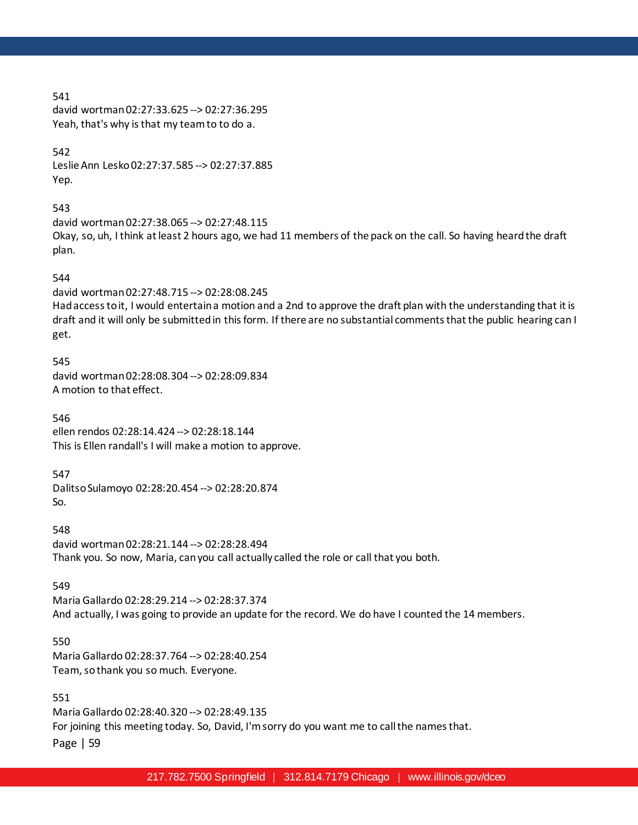david wortman 02:27:33.625 --> 02:27:36.295 Yeah, that's why is that my team to to do a.

#### 542

Leslie Ann Lesko 02:27:37.585 --> 02:27:37.885 Yep.

# 543

david wortman 02:27:38.065 --> 02:27:48.115 Okay, so, uh, I think at least 2 hours ago, we had 11 members of the pack on the call. So having heard the draft plan.

#### 544

david wortman 02:27:48.715 --> 02:28:08.245 Had access to it, I would entertain a motion and a 2nd to approve the draft plan with the understanding that it is draft and it will only be submitted in this form. If there are no substantial comments that the public hearing can I get.

545 david wortman 02:28:08.304 --> 02:28:09.834 A motion to that effect.

546 ellen rendos 02:28:14.424 --> 02:28:18.144 This is Ellen randall's I will make a motion to approve.

#### 547

Dalitso Sulamoyo 02:28:20.454 --> 02:28:20.874 So.

548 david wortman 02:28:21.144 --> 02:28:28.494 Thank you. So now, Maria, can you call actually called the role or call that you both.

#### 549

Maria Gallardo 02:28:29.214 --> 02:28:37.374 And actually, I was going to provide an update for the record. We do have I counted the 14 members.

# 550

Maria Gallardo 02:28:37.764 --> 02:28:40.254 Team, so thank you so much. Everyone.

### 551

Page | 59 Maria Gallardo 02:28:40.320 --> 02:28:49.135 For joining this meeting today. So, David, I'm sorry do you want me to call the names that.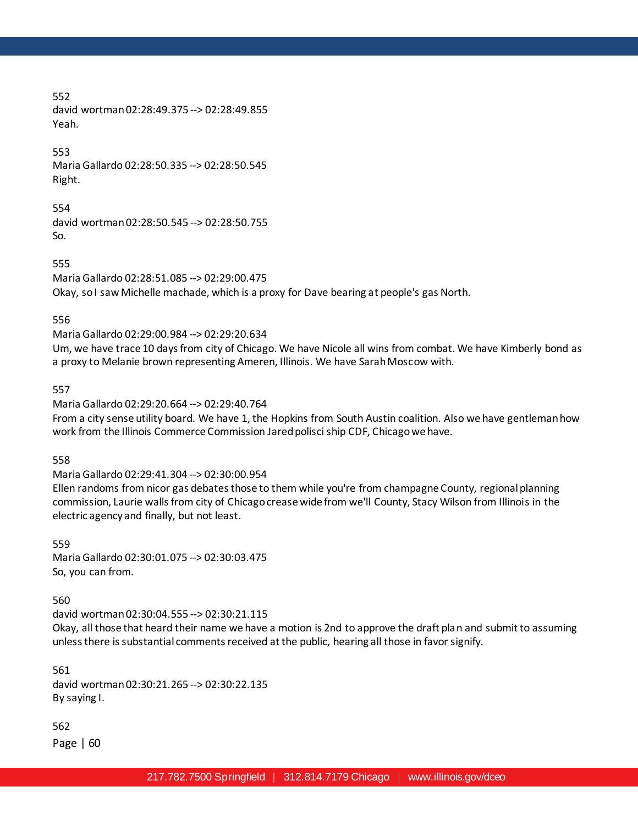552 david wortman 02:28:49.375 --> 02:28:49.855 Yeah.

553 Maria Gallardo 02:28:50.335 --> 02:28:50.545 Right.

554 david wortman 02:28:50.545 --> 02:28:50.755 So.

555 Maria Gallardo 02:28:51.085 --> 02:29:00.475 Okay, so I saw Michelle machade, which is a proxy for Dave bearing at people's gas North.

556

Maria Gallardo 02:29:00.984 --> 02:29:20.634

Um, we have trace 10 days from city of Chicago. We have Nicole all wins from combat. We have Kimberly bond as a proxy to Melanie brown representing Ameren, Illinois. We have Sarah Moscow with.

557

Maria Gallardo 02:29:20.664 --> 02:29:40.764

From a city sense utility board. We have 1, the Hopkins from South Austin coalition. Also we have gentleman how work from the Illinois Commerce Commission Jared polisci ship CDF, Chicago we have.

558

Maria Gallardo 02:29:41.304 --> 02:30:00.954

Ellen randoms from nicor gas debates those to them while you're from champagne County, regional planning commission, Laurie walls from city of Chicago crease wide from we'll County, Stacy Wilson from Illinois in the electric agency and finally, but not least.

559 Maria Gallardo 02:30:01.075 --> 02:30:03.475 So, you can from.

560

david wortman 02:30:04.555 --> 02:30:21.115

Okay, all those that heard their name we have a motion is 2nd to approve the draft plan and submit to assuming unless there is substantial comments received at the public, hearing all those in favor signify.

561 david wortman 02:30:21.265 --> 02:30:22.135 By saying I.

562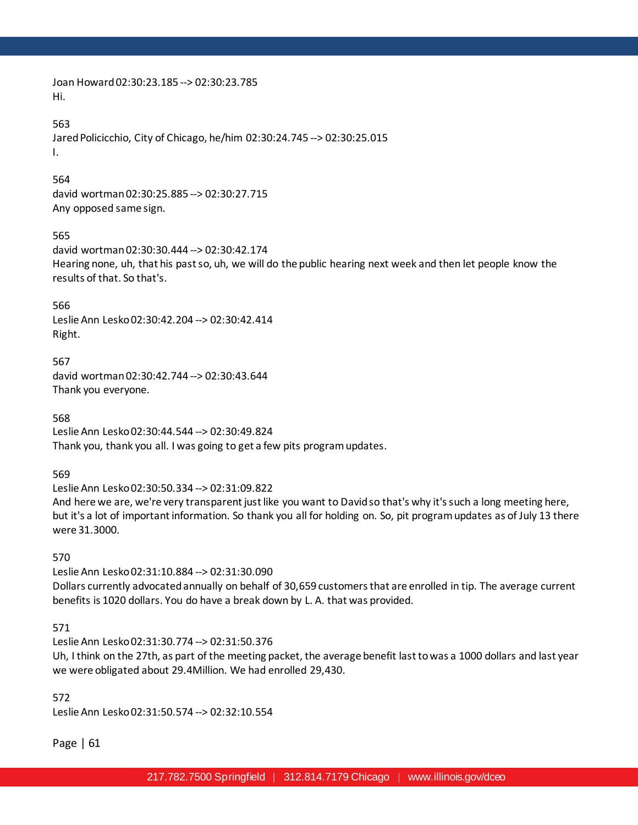Joan Howard 02:30:23.185 --> 02:30:23.785 Hi.

#### 563

Jared Policicchio, City of Chicago, he/him 02:30:24.745 --> 02:30:25.015 I.

#### 564

david wortman 02:30:25.885 --> 02:30:27.715 Any opposed same sign.

# 565

david wortman 02:30:30.444 --> 02:30:42.174 Hearing none, uh, that his past so, uh, we will do the public hearing next week and then let people know the results of that. So that's.

566

Leslie Ann Lesko 02:30:42.204 --> 02:30:42.414 Right.

567 david wortman 02:30:42.744 --> 02:30:43.644 Thank you everyone.

568 Leslie Ann Lesko 02:30:44.544 --> 02:30:49.824 Thank you, thank you all. I was going to get a few pits program updates.

569

Leslie Ann Lesko 02:30:50.334 --> 02:31:09.822

And here we are, we're very transparent just like you want to David so that's why it's such a long meeting here, but it's a lot of important information. So thank you all for holding on. So, pit program updates as of July 13 there were 31.3000.

570

Leslie Ann Lesko 02:31:10.884 --> 02:31:30.090 Dollars currently advocated annually on behalf of 30,659 customers that are enrolled in tip. The average current benefits is 1020 dollars. You do have a break down by L. A. that was provided.

571

Leslie Ann Lesko 02:31:30.774 --> 02:31:50.376

Uh, I think on the 27th, as part of the meeting packet, the average benefit last to was a 1000 dollars and last year we were obligated about 29.4Million. We had enrolled 29,430.

572

Leslie Ann Lesko 02:31:50.574 --> 02:32:10.554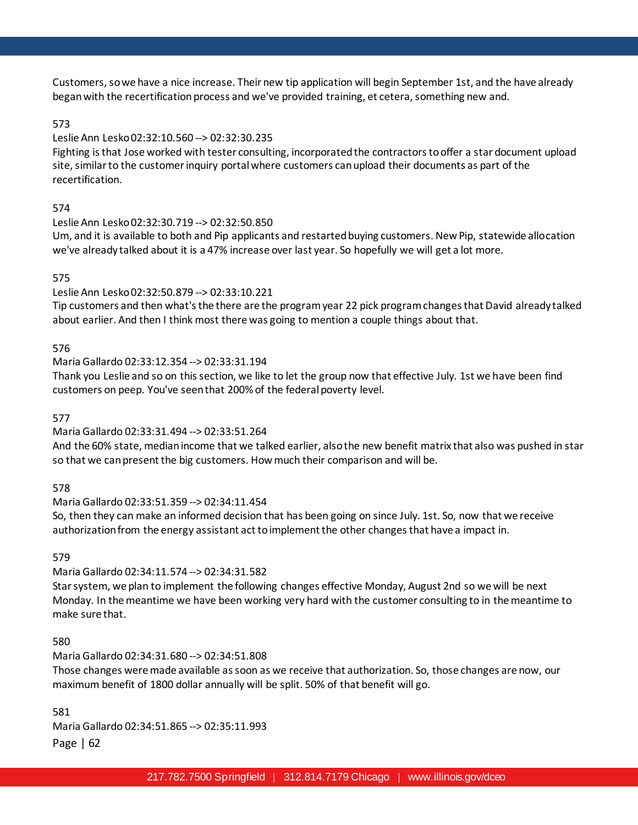Customers, so we have a nice increase. Their new tip application will begin September 1st, and the have already began with the recertification process and we've provided training, et cetera, something new and.

# 573

# Leslie Ann Lesko 02:32:10.560 --> 02:32:30.235

Fighting is that Jose worked with tester consulting, incorporated the contractors to offer a star document upload site, similar to the customer inquiry portal where customers can upload their documents as part of the recertification.

# 574

# Leslie Ann Lesko 02:32:30.719 --> 02:32:50.850

Um, and it is available to both and Pip applicants and restarted buying customers. New Pip, statewide allocation we've already talked about it is a 47% increase over last year. So hopefully we will get a lot more.

# 575

# Leslie Ann Lesko 02:32:50.879 --> 02:33:10.221

Tip customers and then what's the there are the program year 22 pick program changes that David already talked about earlier. And then I think most there was going to mention a couple things about that.

# 576

# Maria Gallardo 02:33:12.354 --> 02:33:31.194

Thank you Leslie and so on this section, we like to let the group now that effective July. 1st we have been find customers on peep. You've seen that 200% of the federal poverty level.

577

# Maria Gallardo 02:33:31.494 --> 02:33:51.264

And the 60% state, median income that we talked earlier, also the new benefit matrix that also was pushed in star so that we can present the big customers. How much their comparison and will be.

578

# Maria Gallardo 02:33:51.359 --> 02:34:11.454

So, then they can make an informed decision that has been going on since July. 1st. So, now that we receive authorization from the energy assistant act to implement the other changes that have a impact in.

579

# Maria Gallardo 02:34:11.574 --> 02:34:31.582

Star system, we plan to implement the following changes effective Monday, August 2nd so we will be next Monday. In the meantime we have been working very hard with the customer consulting to in the meantime to make sure that.

# 580

# Maria Gallardo 02:34:31.680 --> 02:34:51.808

Those changes were made available as soon as we receive that authorization. So, those changes are now, our maximum benefit of 1800 dollar annually will be split. 50% of that benefit will go.

581

Maria Gallardo 02:34:51.865 --> 02:35:11.993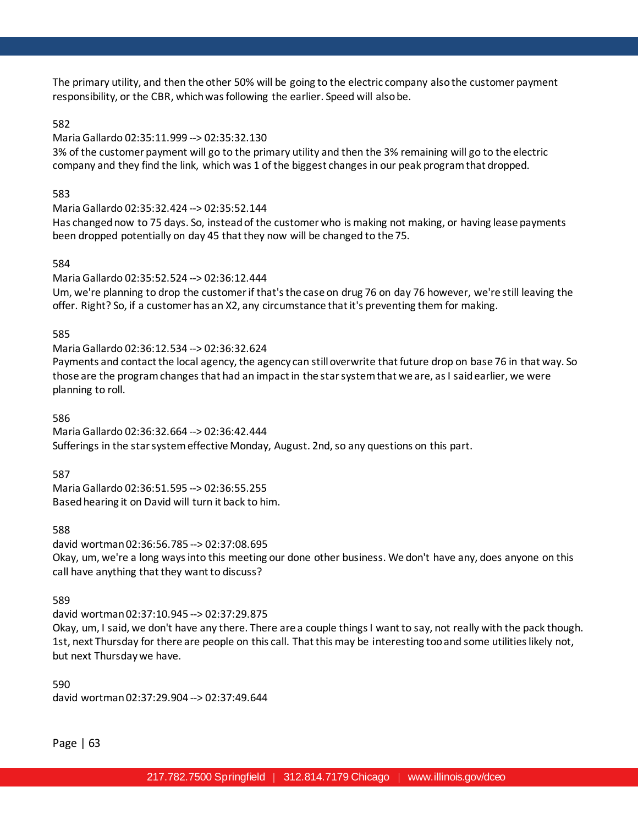The primary utility, and then the other 50% will be going to the electric company also the customer payment responsibility, or the CBR, which was following the earlier. Speed will also be.

# 582

### Maria Gallardo 02:35:11.999 --> 02:35:32.130

3% of the customer payment will go to the primary utility and then the 3% remaining will go to the electric company and they find the link, which was 1 of the biggest changes in our peak program that dropped.

### 583

Maria Gallardo 02:35:32.424 --> 02:35:52.144

Has changed now to 75 days. So, instead of the customer who is making not making, or having lease payments been dropped potentially on day 45 that they now will be changed to the 75.

### 584

Maria Gallardo 02:35:52.524 --> 02:36:12.444

Um, we're planning to drop the customer if that's the case on drug 76 on day 76 however, we're still leaving the offer. Right? So, if a customer has an X2, any circumstance that it's preventing them for making.

### 585

Maria Gallardo 02:36:12.534 --> 02:36:32.624

Payments and contact the local agency, the agency can still overwrite that future drop on base 76 in that way. So those are the program changes that had an impact in the star system that we are, as I said earlier, we were planning to roll.

### 586

Maria Gallardo 02:36:32.664 --> 02:36:42.444 Sufferings in the star system effective Monday, August. 2nd, so any questions on this part.

587

Maria Gallardo 02:36:51.595 --> 02:36:55.255 Based hearing it on David will turn it back to him.

#### 588

david wortman 02:36:56.785 --> 02:37:08.695 Okay, um, we're a long ways into this meeting our done other business. We don't have any, does anyone on this call have anything that they want to discuss?

#### 589

david wortman 02:37:10.945 --> 02:37:29.875

Okay, um, I said, we don't have any there. There are a couple things I want to say, not really with the pack though. 1st, next Thursday for there are people on this call. That this may be interesting too and some utilities likely not, but next Thursday we have.

590 david wortman 02:37:29.904 --> 02:37:49.644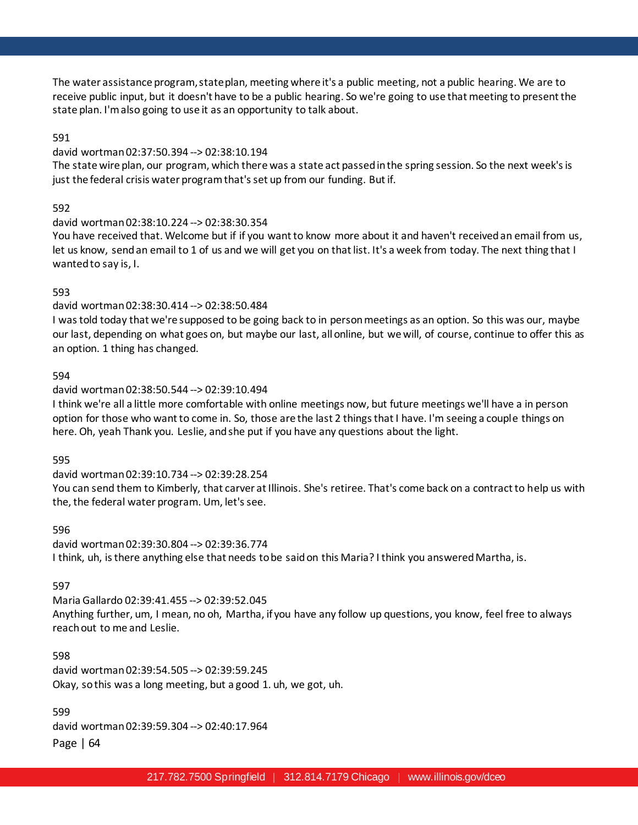The water assistance program, state plan, meeting where it's a public meeting, not a public hearing. We are to receive public input, but it doesn't have to be a public hearing. So we're going to use that meeting to present the state plan. I'm also going to use it as an opportunity to talk about.

### 591

### david wortman 02:37:50.394 --> 02:38:10.194

The state wire plan, our program, which there was a state act passed in the spring session. So the next week's is just the federal crisis water program that's set up from our funding. But if.

### 592

#### david wortman 02:38:10.224 --> 02:38:30.354

You have received that. Welcome but if if you want to know more about it and haven't received an email from us, let us know, send an email to 1 of us and we will get you on that list. It's a week from today. The next thing that I wanted to say is, I.

### 593

### david wortman 02:38:30.414 --> 02:38:50.484

I was told today that we're supposed to be going back to in person meetings as an option. So this was our, maybe our last, depending on what goes on, but maybe our last, all online, but we will, of course, continue to offer this as an option. 1 thing has changed.

#### 594

#### david wortman 02:38:50.544 --> 02:39:10.494

I think we're all a little more comfortable with online meetings now, but future meetings we'll have a in person option for those who want to come in. So, those are the last 2 things that I have. I'm seeing a couple things on here. Oh, yeah Thank you. Leslie, and she put if you have any questions about the light.

#### 595

david wortman 02:39:10.734 --> 02:39:28.254

You can send them to Kimberly, that carver at Illinois. She's retiree. That's come back on a contract to help us with the, the federal water program. Um, let's see.

#### 596

david wortman 02:39:30.804 --> 02:39:36.774 I think, uh, is there anything else that needs to be said on this Maria? I think you answered Martha, is.

#### 597

Maria Gallardo 02:39:41.455 --> 02:39:52.045 Anything further, um, I mean, no oh, Martha, if you have any follow up questions, you know, feel free to always reach out to me and Leslie.

598 david wortman 02:39:54.505 --> 02:39:59.245 Okay, so this was a long meeting, but a good 1. uh, we got, uh.

599 david wortman 02:39:59.304 --> 02:40:17.964